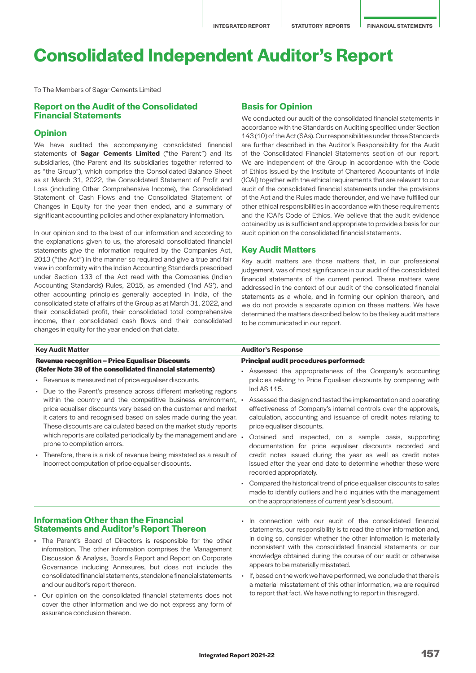# **Consolidated Independent Auditor's Report**

To The Members of Sagar Cements Limited

#### **Report on the Audit of the Consolidated Financial Statements**

#### **Opinion**

We have audited the accompanying consolidated financial statements of **Sagar Cements Limited** ("the Parent") and its subsidiaries, (the Parent and its subsidiaries together referred to as "the Group"), which comprise the Consolidated Balance Sheet as at March 31, 2022, the Consolidated Statement of Profit and Loss (including Other Comprehensive Income), the Consolidated Statement of Cash Flows and the Consolidated Statement of Changes in Equity for the year then ended, and a summary of significant accounting policies and other explanatory information.

In our opinion and to the best of our information and according to the explanations given to us, the aforesaid consolidated financial statements give the information required by the Companies Act, 2013 ("the Act") in the manner so required and give a true and fair view in conformity with the Indian Accounting Standards prescribed under Section 133 of the Act read with the Companies (Indian Accounting Standards) Rules, 2015, as amended ('Ind AS'), and other accounting principles generally accepted in India, of the consolidated state of affairs of the Group as at March 31, 2022, and their consolidated profit, their consolidated total comprehensive income, their consolidated cash flows and their consolidated changes in equity for the year ended on that date.

#### **Basis for Opinion**

We conducted our audit of the consolidated financial statements in accordance with the Standards on Auditing specified under Section 143 (10) of the Act (SAs). Our responsibilities under those Standards are further described in the Auditor's Responsibility for the Audit of the Consolidated Financial Statements section of our report. We are independent of the Group in accordance with the Code of Ethics issued by the Institute of Chartered Accountants of India (ICAI) together with the ethical requirements that are relevant to our audit of the consolidated financial statements under the provisions of the Act and the Rules made thereunder, and we have fulfilled our other ethical responsibilities in accordance with these requirements and the ICAI's Code of Ethics. We believe that the audit evidence obtained by us is sufficient and appropriate to provide a basis for our audit opinion on the consolidated financial statements.

#### **Key Audit Matters**

Key audit matters are those matters that, in our professional judgement, was of most significance in our audit of the consolidated financial statements of the current period. These matters were addressed in the context of our audit of the consolidated financial statements as a whole, and in forming our opinion thereon, and we do not provide a separate opinion on these matters. We have determined the matters described below to be the key audit matters to be communicated in our report.

| <b>Key Audit Matter</b>                                                                                                                                                                                                                                                                                                                      | <b>Auditor's Response</b>                                                                                                                                                                                                                                                     |  |  |  |
|----------------------------------------------------------------------------------------------------------------------------------------------------------------------------------------------------------------------------------------------------------------------------------------------------------------------------------------------|-------------------------------------------------------------------------------------------------------------------------------------------------------------------------------------------------------------------------------------------------------------------------------|--|--|--|
| <b>Revenue recognition - Price Equaliser Discounts</b>                                                                                                                                                                                                                                                                                       | <b>Principal audit procedures performed:</b>                                                                                                                                                                                                                                  |  |  |  |
| (Refer Note 39 of the consolidated financial statements)                                                                                                                                                                                                                                                                                     | • Assessed the appropriateness of the Company's accounting                                                                                                                                                                                                                    |  |  |  |
| • Revenue is measured net of price equaliser discounts.                                                                                                                                                                                                                                                                                      | policies relating to Price Equaliser discounts by comparing with<br>Ind AS 115.                                                                                                                                                                                               |  |  |  |
| • Due to the Parent's presence across different marketing regions<br>within the country and the competitive business environment,<br>price equaliser discounts vary based on the customer and market<br>it caters to and recognised based on sales made during the year.<br>These discounts are calculated based on the market study reports | Assessed the design and tested the implementation and operating<br>effectiveness of Company's internal controls over the approvals,<br>calculation, accounting and issuance of credit notes relating to<br>price equaliser discounts.                                         |  |  |  |
| which reports are collated periodically by the management and are<br>prone to compilation errors.<br>• Therefore, there is a risk of revenue being misstated as a result of<br>incorrect computation of price equaliser discounts.                                                                                                           | Obtained and inspected, on a sample basis, supporting<br>documentation for price equaliser discounts recorded and<br>credit notes issued during the year as well as credit notes<br>issued after the year end date to determine whether these were<br>recorded appropriately. |  |  |  |
|                                                                                                                                                                                                                                                                                                                                              | Compared the historical trend of price equaliser discounts to sales<br>made to identify outliers and held inquiries with the management<br>on the appropriateness of current year's discount.                                                                                 |  |  |  |
| <b>Information Other than the Financial</b><br><b>Statements and Auditor's Report Thereon</b>                                                                                                                                                                                                                                                | In connection with our audit of the consolidated financial<br>٠.<br>statements, our responsibility is to read the other information and,                                                                                                                                      |  |  |  |

- The Parent's Board of Directors is responsible for the other information. The other information comprises the Management Discussion & Analysis, Board's Report and Report on Corporate Governance including Annexures, but does not include the consolidated financial statements, standalone financial statements and our auditor's report thereon.
- Our opinion on the consolidated financial statements does not cover the other information and we do not express any form of assurance conclusion thereon.
- statements, our responsibility is to read the other information and, in doing so, consider whether the other information is materially inconsistent with the consolidated financial statements or our knowledge obtained during the course of our audit or otherwise appears to be materially misstated.
- If, based on the work we have performed, we conclude that there is a material misstatement of this other information, we are required to report that fact. We have nothing to report in this regard.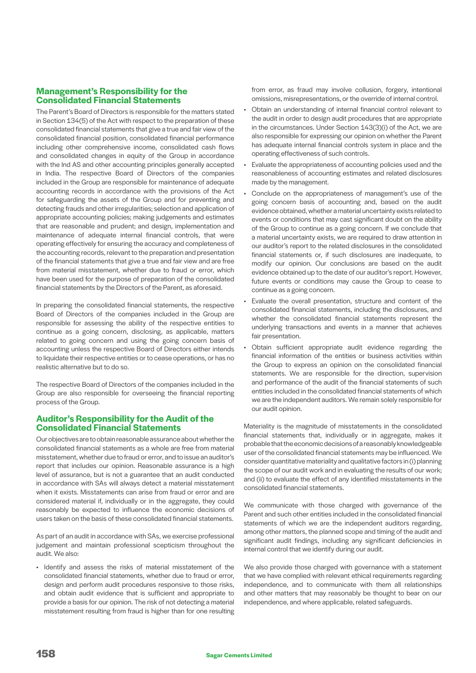### **Management's Responsibility for the Consolidated Financial Statements**

The Parent's Board of Directors is responsible for the matters stated in Section 134(5) of the Act with respect to the preparation of these consolidated financial statements that give a true and fair view of the consolidated financial position, consolidated financial performance including other comprehensive income, consolidated cash flows and consolidated changes in equity of the Group in accordance with the Ind AS and other accounting principles generally accepted in India. The respective Board of Directors of the companies included in the Group are responsible for maintenance of adequate accounting records in accordance with the provisions of the Act for safeguarding the assets of the Group and for preventing and detecting frauds and other irregularities; selection and application of appropriate accounting policies; making judgements and estimates that are reasonable and prudent; and design, implementation and maintenance of adequate internal financial controls, that were operating effectively for ensuring the accuracy and completeness of the accounting records, relevant to the preparation and presentation of the financial statements that give a true and fair view and are free from material misstatement, whether due to fraud or error, which have been used for the purpose of preparation of the consolidated financial statements by the Directors of the Parent, as aforesaid.

In preparing the consolidated financial statements, the respective Board of Directors of the companies included in the Group are responsible for assessing the ability of the respective entities to continue as a going concern, disclosing, as applicable, matters related to going concern and using the going concern basis of accounting unless the respective Board of Directors either intends to liquidate their respective entities or to cease operations, or has no realistic alternative but to do so.

The respective Board of Directors of the companies included in the Group are also responsible for overseeing the financial reporting process of the Group.

### **Auditor's Responsibility for the Audit of the Consolidated Financial Statements**

Our objectives are to obtain reasonable assurance about whether the consolidated financial statements as a whole are free from material misstatement, whether due to fraud or error, and to issue an auditor's report that includes our opinion. Reasonable assurance is a high level of assurance, but is not a guarantee that an audit conducted in accordance with SAs will always detect a material misstatement when it exists. Misstatements can arise from fraud or error and are considered material if, individually or in the aggregate, they could reasonably be expected to influence the economic decisions of users taken on the basis of these consolidated financial statements.

As part of an audit in accordance with SAs, we exercise professional judgement and maintain professional scepticism throughout the audit. We also:

• Identify and assess the risks of material misstatement of the consolidated financial statements, whether due to fraud or error, design and perform audit procedures responsive to those risks, and obtain audit evidence that is sufficient and appropriate to provide a basis for our opinion. The risk of not detecting a material misstatement resulting from fraud is higher than for one resulting from error, as fraud may involve collusion, forgery, intentional omissions, misrepresentations, or the override of internal control.

- Obtain an understanding of internal financial control relevant to the audit in order to design audit procedures that are appropriate in the circumstances. Under Section 143(3)(i) of the Act, we are also responsible for expressing our opinion on whether the Parent has adequate internal financial controls system in place and the operating effectiveness of such controls.
- Evaluate the appropriateness of accounting policies used and the reasonableness of accounting estimates and related disclosures made by the management.
- Conclude on the appropriateness of management's use of the going concern basis of accounting and, based on the audit evidence obtained, whether a material uncertainty exists related to events or conditions that may cast significant doubt on the ability of the Group to continue as a going concern. If we conclude that a material uncertainty exists, we are required to draw attention in our auditor's report to the related disclosures in the consolidated financial statements or, if such disclosures are inadequate, to modify our opinion. Our conclusions are based on the audit evidence obtained up to the date of our auditor's report. However, future events or conditions may cause the Group to cease to continue as a going concern.
- Evaluate the overall presentation, structure and content of the consolidated financial statements, including the disclosures, and whether the consolidated financial statements represent the underlying transactions and events in a manner that achieves fair presentation.
- Obtain sufficient appropriate audit evidence regarding the financial information of the entities or business activities within the Group to express an opinion on the consolidated financial statements. We are responsible for the direction, supervision and performance of the audit of the financial statements of such entities included in the consolidated financial statements of which we are the independent auditors. We remain solely responsible for our audit opinion.

Materiality is the magnitude of misstatements in the consolidated financial statements that, individually or in aggregate, makes it probable that the economic decisions of a reasonably knowledgeable user of the consolidated financial statements may be influenced. We consider quantitative materiality and qualitative factors in (i) planning the scope of our audit work and in evaluating the results of our work; and (ii) to evaluate the effect of any identified misstatements in the consolidated financial statements.

We communicate with those charged with governance of the Parent and such other entities included in the consolidated financial statements of which we are the independent auditors regarding, among other matters, the planned scope and timing of the audit and significant audit findings, including any significant deficiencies in internal control that we identify during our audit.

We also provide those charged with governance with a statement that we have complied with relevant ethical requirements regarding independence, and to communicate with them all relationships and other matters that may reasonably be thought to bear on our independence, and where applicable, related safeguards.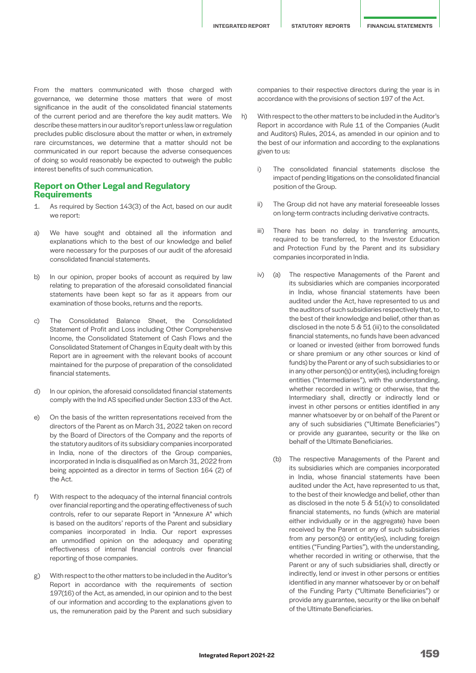From the matters communicated with those charged with governance, we determine those matters that were of most significance in the audit of the consolidated financial statements of the current period and are therefore the key audit matters. We describe these matters in our auditor's report unless law or regulation precludes public disclosure about the matter or when, in extremely rare circumstances, we determine that a matter should not be communicated in our report because the adverse consequences of doing so would reasonably be expected to outweigh the public interest benefits of such communication.

### **Report on Other Legal and Regulatory Requirements**

- As required by Section 143(3) of the Act, based on our audit we report:
- a) We have sought and obtained all the information and explanations which to the best of our knowledge and belief were necessary for the purposes of our audit of the aforesaid consolidated financial statements.
- b) In our opinion, proper books of account as required by law relating to preparation of the aforesaid consolidated financial statements have been kept so far as it appears from our examination of those books, returns and the reports.
- c) The Consolidated Balance Sheet, the Consolidated Statement of Profit and Loss including Other Comprehensive Income, the Consolidated Statement of Cash Flows and the Consolidated Statement of Changes in Equity dealt with by this Report are in agreement with the relevant books of account maintained for the purpose of preparation of the consolidated financial statements.
- d) In our opinion, the aforesaid consolidated financial statements comply with the Ind AS specified under Section 133 of the Act.
- e) On the basis of the written representations received from the directors of the Parent as on March 31, 2022 taken on record by the Board of Directors of the Company and the reports of the statutory auditors of its subsidiary companies incorporated in India, none of the directors of the Group companies, incorporated in India is disqualified as on March 31, 2022 from being appointed as a director in terms of Section 164 (2) of the Act.
- f) With respect to the adequacy of the internal financial controls over financial reporting and the operating effectiveness of such controls, refer to our separate Report in "Annexure A" which is based on the auditors' reports of the Parent and subsidiary companies incorporated in India. Our report expresses an unmodified opinion on the adequacy and operating effectiveness of internal financial controls over financial reporting of those companies.
- g) With respect to the other matters to be included in the Auditor's Report in accordance with the requirements of section 197(16) of the Act, as amended, in our opinion and to the best of our information and according to the explanations given to us, the remuneration paid by the Parent and such subsidiary

companies to their respective directors during the year is in accordance with the provisions of section 197 of the Act.

- h) With respect to the other matters to be included in the Auditor's Report in accordance with Rule 11 of the Companies (Audit and Auditors) Rules, 2014, as amended in our opinion and to the best of our information and according to the explanations given to us:
	- i) The consolidated financial statements disclose the impact of pending litigations on the consolidated financial position of the Group.
	- ii) The Group did not have any material foreseeable losses on long-term contracts including derivative contracts.
	- iii) There has been no delay in transferring amounts, required to be transferred, to the Investor Education and Protection Fund by the Parent and its subsidiary companies incorporated in India.
	- iv) (a) The respective Managements of the Parent and its subsidiaries which are companies incorporated in India, whose financial statements have been audited under the Act, have represented to us and the auditors of such subsidiaries respectively that, to the best of their knowledge and belief, other than as disclosed in the note 5 & 51 (iii) to the consolidated financial statements, no funds have been advanced or loaned or invested (either from borrowed funds or share premium or any other sources or kind of funds) by the Parent or any of such subsidiaries to or in any other person(s) or entity(ies), including foreign entities ("Intermediaries"), with the understanding, whether recorded in writing or otherwise, that the Intermediary shall, directly or indirectly lend or invest in other persons or entities identified in any manner whatsoever by or on behalf of the Parent or any of such subsidiaries ("Ultimate Beneficiaries") or provide any guarantee, security or the like on behalf of the Ultimate Beneficiaries.
		- (b) The respective Managements of the Parent and its subsidiaries which are companies incorporated in India, whose financial statements have been audited under the Act, have represented to us that, to the best of their knowledge and belief, other than as disclosed in the note 5 & 51(iv) to consolidated financial statements, no funds (which are material either individually or in the aggregate) have been received by the Parent or any of such subsidiaries from any person(s) or entity(ies), including foreign entities ("Funding Parties"), with the understanding, whether recorded in writing or otherwise, that the Parent or any of such subsidiaries shall, directly or indirectly, lend or invest in other persons or entities identified in any manner whatsoever by or on behalf of the Funding Party ("Ultimate Beneficiaries") or provide any guarantee, security or the like on behalf of the Ultimate Beneficiaries.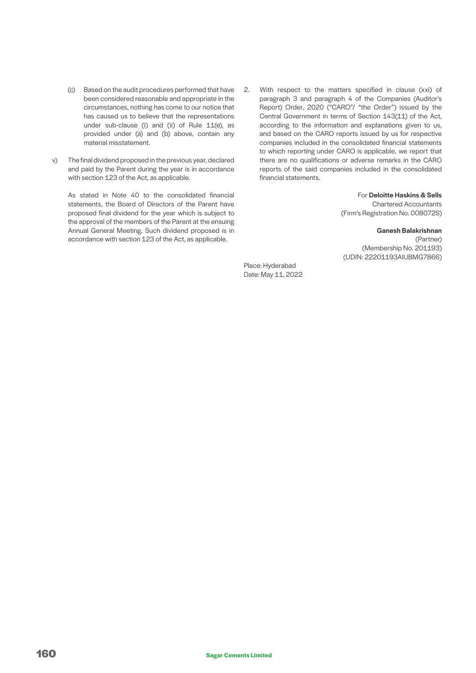- (c) Based on the audit procedures performed that have been considered reasonable and appropriate in the circumstances, nothing has come to our notice that has caused us to believe that the representations under sub-clause (i) and (ii) of Rule 11(e), as provided under (a) and (b) above, contain any material misstatement.
- v) The final dividend proposed in the previous year, declared and paid by the Parent during the year is in accordance with section 123 of the Act, as applicable.

 As stated in Note 40 to the consolidated financial statements, the Board of Directors of the Parent have proposed final dividend for the year which is subject to the approval of the members of the Parent at the ensuing Annual General Meeting. Such dividend proposed is in accordance with section 123 of the Act, as applicable.

2. With respect to the matters specified in clause (xxi) of paragraph 3 and paragraph 4 of the Companies (Auditor's Report) Order, 2020 ("CARO"/ "the Order") issued by the Central Government in terms of Section 143(11) of the Act, according to the information and explanations given to us, and based on the CARO reports issued by us for respective companies included in the consolidated financial statements to which reporting under CARO is applicable, we report that there are no qualifications or adverse remarks in the CARO reports of the said companies included in the consolidated financial statements.

For Deloitte Haskins & Sells

Chartered Accountants (Firm's Registration No. 008072S)

#### Ganesh Balakrishnan

(Partner) (Membership No. 201193) (UDIN: 22201193AIUBMG7866)

Place: Hyderabad Date: May 11, 2022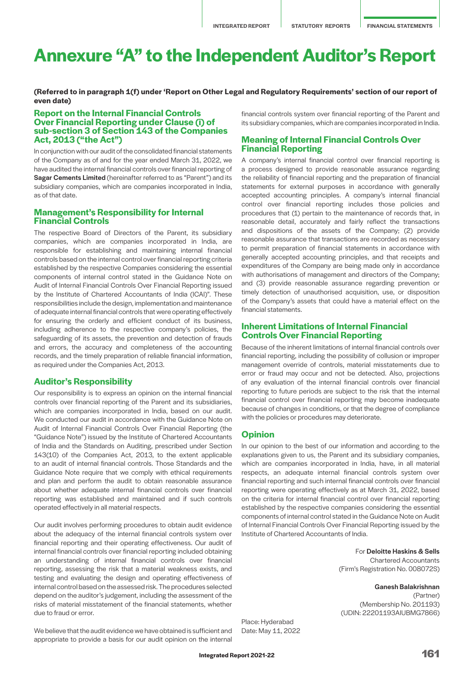# **Annexure "A" to the Independent Auditor's Report**

#### **(Referred to in paragraph 1(f) under 'Report on Other Legal and Regulatory Requirements' section of our report of even date)**

#### **Report on the Internal Financial Controls Over Financial Reporting under Clause (i) of sub-section 3 of Section 143 of the Companies Act, 2013 ("the Act")**

In conjunction with our audit of the consolidated financial statements of the Company as of and for the year ended March 31, 2022, we have audited the internal financial controls over financial reporting of Sagar Cements Limited (hereinafter referred to as "Parent") and its subsidiary companies, which are companies incorporated in India, as of that date.

#### **Management's Responsibility for Internal Financial Controls**

The respective Board of Directors of the Parent, its subsidiary companies, which are companies incorporated in India, are responsible for establishing and maintaining internal financial controls based on the internal control over financial reporting criteria established by the respective Companies considering the essential components of internal control stated in the Guidance Note on Audit of Internal Financial Controls Over Financial Reporting issued by the Institute of Chartered Accountants of India (ICAI)". These responsibilities include the design, implementation and maintenance of adequate internal financial controls that were operating effectively for ensuring the orderly and efficient conduct of its business, including adherence to the respective company's policies, the safeguarding of its assets, the prevention and detection of frauds and errors, the accuracy and completeness of the accounting records, and the timely preparation of reliable financial information, as required under the Companies Act, 2013.

### **Auditor's Responsibility**

Our responsibility is to express an opinion on the internal financial controls over financial reporting of the Parent and its subsidiaries, which are companies incorporated in India, based on our audit. We conducted our audit in accordance with the Guidance Note on Audit of Internal Financial Controls Over Financial Reporting (the "Guidance Note") issued by the Institute of Chartered Accountants of India and the Standards on Auditing, prescribed under Section 143(10) of the Companies Act, 2013, to the extent applicable to an audit of internal financial controls. Those Standards and the Guidance Note require that we comply with ethical requirements and plan and perform the audit to obtain reasonable assurance about whether adequate internal financial controls over financial reporting was established and maintained and if such controls operated effectively in all material respects.

Our audit involves performing procedures to obtain audit evidence about the adequacy of the internal financial controls system over financial reporting and their operating effectiveness. Our audit of internal financial controls over financial reporting included obtaining an understanding of internal financial controls over financial reporting, assessing the risk that a material weakness exists, and testing and evaluating the design and operating effectiveness of internal control based on the assessed risk. The procedures selected depend on the auditor's judgement, including the assessment of the risks of material misstatement of the financial statements, whether due to fraud or error.

We believe that the audit evidence we have obtained is sufficient and appropriate to provide a basis for our audit opinion on the internal financial controls system over financial reporting of the Parent and its subsidiary companies, which are companies incorporated in India.

### **Meaning of Internal Financial Controls Over Financial Reporting**

A company's internal financial control over financial reporting is a process designed to provide reasonable assurance regarding the reliability of financial reporting and the preparation of financial statements for external purposes in accordance with generally accepted accounting principles. A company's internal financial control over financial reporting includes those policies and procedures that (1) pertain to the maintenance of records that, in reasonable detail, accurately and fairly reflect the transactions and dispositions of the assets of the Company; (2) provide reasonable assurance that transactions are recorded as necessary to permit preparation of financial statements in accordance with generally accepted accounting principles, and that receipts and expenditures of the Company are being made only in accordance with authorisations of management and directors of the Company; and (3) provide reasonable assurance regarding prevention or timely detection of unauthorised acquisition, use, or disposition of the Company's assets that could have a material effect on the financial statements.

### **Inherent Limitations of Internal Financial Controls Over Financial Reporting**

Because of the inherent limitations of internal financial controls over financial reporting, including the possibility of collusion or improper management override of controls, material misstatements due to error or fraud may occur and not be detected. Also, projections of any evaluation of the internal financial controls over financial reporting to future periods are subject to the risk that the internal financial control over financial reporting may become inadequate because of changes in conditions, or that the degree of compliance with the policies or procedures may deteriorate.

#### **Opinion**

In our opinion to the best of our information and according to the explanations given to us, the Parent and its subsidiary companies, which are companies incorporated in India, have, in all material respects, an adequate internal financial controls system over financial reporting and such internal financial controls over financial reporting were operating effectively as at March 31, 2022, based on the criteria for internal financial control over financial reporting established by the respective companies considering the essential components of internal control stated in the Guidance Note on Audit of Internal Financial Controls Over Financial Reporting issued by the Institute of Chartered Accountants of India.

> For Deloitte Haskins & Sells Chartered Accountants (Firm's Registration No. 008072S)

> > Ganesh Balakrishnan

(Partner) (Membership No. 201193) (UDIN: 22201193AIUBMG7866)

Place: Hyderabad Date: May 11, 2022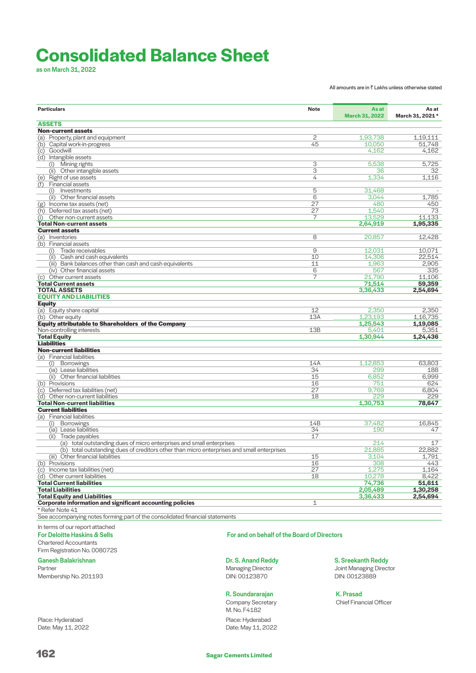# **Consolidated Balance Sheet**

as on March 31, 2022

All amounts are in  $\bar{\bar{\tau}}$  Lakhs unless otherwise stated

| <b>Particulars</b>                                                                         | Note | As at<br><b>March 31, 2022</b> | As at<br>March 31, 2021 * |
|--------------------------------------------------------------------------------------------|------|--------------------------------|---------------------------|
| <b>ASSETS</b>                                                                              |      |                                |                           |
| <b>Non-current assets</b>                                                                  |      |                                |                           |
| (a) Property, plant and equipment                                                          | 2    | 1,93,738                       | 1,19,111                  |
| (b) Capital work-in-progress                                                               | 45   | 10,050                         | 51,748                    |
| (c) Goodwill                                                                               |      | 4,162                          | 4,162                     |
| (d) Intangible assets                                                                      |      |                                |                           |
| (i) Mining rights                                                                          | 3    | 5,538                          | 5,725                     |
| (ii) Other intangible assets                                                               | 3    | 36                             | 32                        |
| (e) Right of use assets                                                                    | 4    | 1,334                          | 1,116                     |
| (f) Financial assets                                                                       |      |                                |                           |
| (i) Investments                                                                            | 5    | 31.468                         |                           |
| (ii) Other financial assets                                                                | 6    | 3.044                          | 1,785                     |
|                                                                                            | 27   | 480                            | 450                       |
| (g) Income tax assets (net)                                                                | 27   |                                |                           |
| (h) Deferred tax assets (net)                                                              |      | 1,540                          | 73                        |
| Other non-current assets<br>(i)                                                            | 7    | 13,529                         | 11,133                    |
| <b>Total Non-current assets</b>                                                            |      | 2,64,919                       | 1,95,335                  |
| <b>Current assets</b>                                                                      |      |                                |                           |
| (a) Inventories                                                                            | 8    | 20,857                         | 12,428                    |
| (b) Financial assets                                                                       |      |                                |                           |
| Trade receivables<br>(i)                                                                   | 9    | 12,031                         | 10,071                    |
| Cash and cash equivalents<br>(ii)                                                          | 10   | 14,306                         | 22,514                    |
| (iii) Bank balances other than cash and cash equivalents                                   | 11   | 1,963                          | 2,905                     |
| (iv) Other financial assets                                                                | 6    | 567                            | 335                       |
| (c) Other current assets                                                                   | 7    | 21,790                         | 11,106                    |
| <b>Total Current assets</b>                                                                |      | 71,514                         | 59,359                    |
| <b>TOTAL ASSETS</b>                                                                        |      | 3,36,433                       | 2,54,694                  |
| <b>EQUITY AND LIABILITIES</b>                                                              |      |                                |                           |
| <b>Equity</b>                                                                              |      |                                |                           |
| (a) Equity share capital                                                                   | 12   | 2,350                          | 2,350                     |
| (b) Other equity                                                                           | 13A  | 1,23,193                       | 1,16,735                  |
| <b>Equity attributable to Shareholders of the Company</b>                                  |      | 1,25,543                       | 1,19,085                  |
| Non-controlling interests                                                                  | 13B  | 5,401                          | 5,351                     |
| <b>Total Equity</b>                                                                        |      | 1,30,944                       | 1,24,436                  |
| <b>Liabilities</b>                                                                         |      |                                |                           |
| <b>Non-current liabilities</b>                                                             |      |                                |                           |
|                                                                                            |      |                                |                           |
| (a) Financial liabilities                                                                  |      |                                |                           |
| <b>Borrowings</b><br>(i)                                                                   | 14A  | 1,12,853                       | 63,803                    |
| (ia) Lease liabilities                                                                     | 34   | 299                            | 188                       |
| (ii) Other financial liabilities                                                           | 15   | 6.852                          | 6.999                     |
| (b) Provisions                                                                             | 16   | 751                            | 624                       |
| (c) Deferred tax liabilities (net)                                                         | 27   | 9,769                          | 6,804                     |
| (d) Other non-current liabilities                                                          | 18   | 229                            | 229                       |
| <b>Total Non-current liabilities</b>                                                       |      | 1,30,753                       | 78,647                    |
| <b>Current liabilities</b>                                                                 |      |                                |                           |
| (a) Financial liabilities                                                                  |      |                                |                           |
| <b>Borrowings</b><br>(i)                                                                   | 14B  | 37,482                         | 16,845                    |
| (ia) Lease liabilities                                                                     | 34   | 190                            | 47                        |
| Trade payables<br>(iii)                                                                    | 17   |                                |                           |
| (a) total outstanding dues of micro enterprises and small enterprises                      |      | 214                            | 17                        |
| (b) total outstanding dues of creditors other than micro enterprises and small enterprises |      | 21.885                         | 22,882                    |
| (iii) Other financial liabilities                                                          | 15   | 3,104                          | 1,791                     |
| (b) Provisions                                                                             | 16   | 308                            | 443                       |
| (c) Income tax liabilities (net)                                                           | 27   | 1,275                          | 1,164                     |
| (d) Other current liabilities                                                              | 18   | 10,278                         | 8,422                     |
| <b>Total Current liabilities</b>                                                           |      | 74,736                         | 51,611                    |
| <b>Total Liabilities</b>                                                                   |      |                                | 1,30,258                  |
|                                                                                            |      | 2,05,489                       |                           |
| <b>Total Equity and Liabilities</b>                                                        |      | 3,36,433                       | 2,54,694                  |
| Corporate information and significant accounting policies                                  | 1    |                                |                           |
| * Refer Note 41                                                                            |      |                                |                           |
| See accompanying notes forming part of the consolidated financial statements               |      |                                |                           |

In terms of our report attached

#### For Deloitte Haskins & Sells

### Chartered Accountants

Firm Registration No. 008072S

#### Ganesh Balakrishnan Partner

Membership No. 201193

Place: Hyderabad Date: May 11, 2022 For and on behalf of the Board of Directors

## Dr. S. Anand Reddy Managing Director

DIN: 00123870

### R. Soundararajan

Company Secretary M. No. F4182 Place: Hyderabad

Date: May 11, 2022

S. Sreekanth Reddy Joint Managing Director DIN: 00123889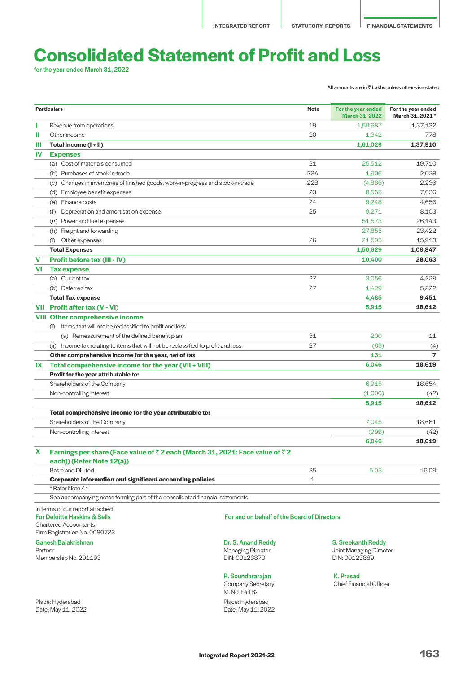# **Consolidated Statement of Profit and Loss**

for the year ended March 31, 2022

All amounts are in  $\bar{\bar{\tau}}$  Lakhs unless otherwise stated

|         | <b>Particulars</b>                                                                                                         | <b>Note</b>                                                            | For the year ended<br><b>March 31, 2022</b>                           | For the year ended<br>March 31, 2021 * |
|---------|----------------------------------------------------------------------------------------------------------------------------|------------------------------------------------------------------------|-----------------------------------------------------------------------|----------------------------------------|
| ш       | Revenue from operations                                                                                                    | 19                                                                     | 1,59,687                                                              | 1,37,132                               |
| Ш       | Other income                                                                                                               | 20                                                                     | 1,342                                                                 | 778                                    |
| ш       | Total Income (I + II)                                                                                                      |                                                                        | 1,61,029                                                              | 1,37,910                               |
| IV      | <b>Expenses</b>                                                                                                            |                                                                        |                                                                       |                                        |
|         | (a) Cost of materials consumed                                                                                             | 21                                                                     | 25,512                                                                | 19,710                                 |
|         | (b) Purchases of stock-in-trade                                                                                            | 22A                                                                    | 1,906                                                                 | 2,028                                  |
|         | (c) Changes in inventories of finished goods, work-in-progress and stock-in-trade                                          | 22B                                                                    | (4,886)                                                               | 2,236                                  |
|         | (d) Employee benefit expenses                                                                                              | 23                                                                     | 8,555                                                                 | 7,636                                  |
|         | (e) Finance costs                                                                                                          | 24                                                                     | 9,248                                                                 | 4,656                                  |
|         | Depreciation and amortisation expense<br>(f)                                                                               | 25                                                                     | 9,271                                                                 | 8,103                                  |
|         | (g) Power and fuel expenses                                                                                                |                                                                        | 51,573                                                                | 26,143                                 |
|         | (h) Freight and forwarding                                                                                                 |                                                                        | 27,855                                                                | 23,422                                 |
|         | Other expenses<br>(i)                                                                                                      | 26                                                                     | 21,595                                                                | 15,913                                 |
|         | <b>Total Expenses</b>                                                                                                      |                                                                        | 1,50,629                                                              | 1,09,847                               |
| v       | Profit before tax (III - IV)                                                                                               |                                                                        | 10,400                                                                | 28,063                                 |
| VI      | <b>Tax expense</b>                                                                                                         |                                                                        |                                                                       |                                        |
|         | (a) Current tax                                                                                                            | 27                                                                     | 3,056                                                                 | 4,229                                  |
|         | (b) Deferred tax                                                                                                           | 27                                                                     | 1,429                                                                 | 5.222                                  |
|         | <b>Total Tax expense</b>                                                                                                   |                                                                        | 4.485                                                                 | 9,451                                  |
| VII     | <b>Profit after tax (V - VI)</b>                                                                                           |                                                                        | 5,915                                                                 | 18,612                                 |
|         | <b>VIII Other comprehensive income</b>                                                                                     |                                                                        |                                                                       |                                        |
|         | Items that will not be reclassified to profit and loss<br>(i)                                                              |                                                                        |                                                                       |                                        |
|         | (a) Remeasurement of the defined benefit plan                                                                              | 31                                                                     | 200                                                                   | 11                                     |
|         | (ii) Income tax relating to items that will not be reclassified to profit and loss                                         | 27                                                                     | (69)                                                                  | (4)                                    |
|         | Other comprehensive income for the year, net of tax                                                                        |                                                                        | 131                                                                   | $\overline{7}$                         |
| IX      | Total comprehensive income for the year (VII + VIII)                                                                       |                                                                        | 6,046                                                                 | 18,619                                 |
|         | Profit for the year attributable to:                                                                                       |                                                                        |                                                                       |                                        |
|         | Shareholders of the Company                                                                                                |                                                                        | 6,915                                                                 | 18,654                                 |
|         | Non-controlling interest                                                                                                   |                                                                        | (1,000)                                                               | (42)                                   |
|         |                                                                                                                            |                                                                        | 5,915                                                                 | 18,612                                 |
|         | Total comprehensive income for the year attributable to:                                                                   |                                                                        |                                                                       |                                        |
|         | Shareholders of the Company                                                                                                |                                                                        | 7,045                                                                 | 18,661                                 |
|         | Non-controlling interest                                                                                                   |                                                                        | (999)                                                                 |                                        |
|         |                                                                                                                            |                                                                        | 6,046                                                                 | (42)<br>18,619                         |
| x       | Earnings per share (Face value of $\bar{z}$ 2 each (March 31, 2021: Face value of $\bar{z}$ 2<br>each)) (Refer Note 12(a)) |                                                                        |                                                                       |                                        |
|         | <b>Basic and Diluted</b>                                                                                                   | 35                                                                     | 5.03                                                                  | 16.09                                  |
|         | <b>Corporate information and significant accounting policies</b>                                                           | 1                                                                      |                                                                       |                                        |
|         | * Refer Note 41                                                                                                            |                                                                        |                                                                       |                                        |
|         | See accompanying notes forming part of the consolidated financial statements                                               |                                                                        |                                                                       |                                        |
|         | In terms of our report attached<br><b>For Deloitte Haskins &amp; Sells</b>                                                 | For and on behalf of the Board of Directors                            |                                                                       |                                        |
|         | <b>Chartered Accountants</b><br>Firm Registration No. 008072S                                                              |                                                                        |                                                                       |                                        |
| Partner | <b>Ganesh Balakrishnan</b><br>Membership No. 201193                                                                        | <b>Dr. S. Anand Reddy</b><br><b>Managing Director</b><br>DIN: 00123870 | <b>S. Sreekanth Reddy</b><br>Joint Managing Director<br>DIN: 00123889 |                                        |
|         |                                                                                                                            |                                                                        |                                                                       |                                        |

Place: Hyderabad Date: May 11, 2022

### R. Soundararajan

Company Secretary M. No. F4182 Place: Hyderabad Date: May 11, 2022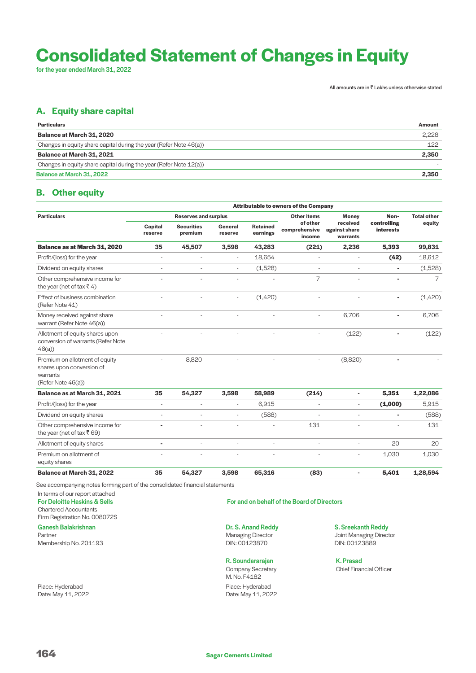# **Consolidated Statement of Changes in Equity**

for the year ended March 31, 2022

All amounts are in  $\bar{\bar{\tau}}$  Lakhs unless otherwise stated

### **A. Equity share capital**

| <b>Particulars</b>                                                 | Amount |
|--------------------------------------------------------------------|--------|
| Balance at March 31, 2020                                          | 2.228  |
| Changes in equity share capital during the year (Refer Note 46(a)) | 122    |
| Balance at March 31, 2021                                          | 2.350  |
| Changes in equity share capital during the year (Refer Note 12(a)) |        |
| Balance at March 31, 2022                                          | 2.350  |

## **B. Other equity**

|                                                                                               |                    | <b>Attributable to owners of the Company</b> |                    |                             |                                     |                                       |                                 |                    |  |
|-----------------------------------------------------------------------------------------------|--------------------|----------------------------------------------|--------------------|-----------------------------|-------------------------------------|---------------------------------------|---------------------------------|--------------------|--|
| <b>Particulars</b>                                                                            |                    | <b>Reserves and surplus</b>                  |                    |                             | Other items                         | <b>Money</b>                          | Non-                            | <b>Total other</b> |  |
|                                                                                               | Capital<br>reserve | <b>Securities</b><br>premium                 | General<br>reserve | <b>Retained</b><br>earnings | of other<br>comprehensive<br>income | received<br>against share<br>warrants | controlling<br><b>interests</b> | equity             |  |
| <b>Balance as at March 31, 2020</b>                                                           | 35                 | 45,507                                       | 3,598              | 43,283                      | (221)                               | 2,236                                 | 5.393                           | 99,831             |  |
| Profit/(loss) for the year                                                                    | $\sim$             | $\overline{\phantom{a}}$                     | $\overline{a}$     | 18,654                      | ٠                                   |                                       | (42)                            | 18,612             |  |
| Dividend on equity shares                                                                     |                    |                                              | $\overline{a}$     | (1,528)                     | $\overline{a}$                      |                                       | $\overline{a}$                  | (1,528)            |  |
| Other comprehensive income for<br>the year (net of tax $\bar{z}$ 4)                           |                    |                                              |                    |                             | 7                                   |                                       |                                 | 7                  |  |
| Effect of business combination<br>(Refer Note 41)                                             |                    |                                              |                    | (1,420)                     |                                     |                                       |                                 | (1,420)            |  |
| Money received against share<br>warrant (Refer Note 46(a))                                    |                    |                                              |                    |                             |                                     | 6,706                                 |                                 | 6,706              |  |
| Allotment of equity shares upon<br>conversion of warrants (Refer Note<br>46(a)                |                    |                                              |                    |                             |                                     | (122)                                 |                                 | (122)              |  |
| Premium on allotment of equity<br>shares upon conversion of<br>warrants<br>(Refer Note 46(a)) |                    | 8,820                                        |                    |                             |                                     | (8,820)                               |                                 |                    |  |
| Balance as at March 31, 2021                                                                  | 35                 | 54,327                                       | 3,598              | 58,989                      | (214)                               |                                       | 5,351                           | 1,22,086           |  |
| Profit/(loss) for the year                                                                    | ÷                  |                                              | $\overline{a}$     | 6,915                       | ٠                                   | $\overline{\phantom{a}}$              | (1,000)                         | 5,915              |  |
| Dividend on equity shares                                                                     |                    |                                              | $\overline{a}$     | (588)                       |                                     |                                       | $\blacksquare$                  | (588)              |  |
| Other comprehensive income for<br>the year (net of tax $\bar{x}$ 69)                          |                    |                                              |                    |                             | 131                                 |                                       |                                 | 131                |  |
| Allotment of equity shares                                                                    | $\blacksquare$     |                                              |                    |                             |                                     |                                       | 20                              | 20                 |  |
| Premium on allotment of<br>equity shares                                                      |                    |                                              |                    |                             |                                     |                                       | 1,030                           | 1,030              |  |
| Balance at March 31, 2022                                                                     | 35                 | 54,327                                       | 3,598              | 65,316                      | (83)                                | ٠                                     | 5.401                           | 1,28,594           |  |

See accompanying notes forming part of the consolidated financial statements

In terms of our report attached For Deloitte Haskins & Sells

Chartered Accountants Firm Registration No. 008072S

Ganesh Balakrishnan

Partner Membership No. 201193

Place: Hyderabad Date: May 11, 2022 For and on behalf of the Board of Directors

Dr. S. Anand Reddy Managing Director DIN: 00123870

#### R. Soundararajan

Company Secretary M. No. F4182 Place: Hyderabad Date: May 11, 2022

S. Sreekanth Reddy Joint Managing Director DIN: 00123889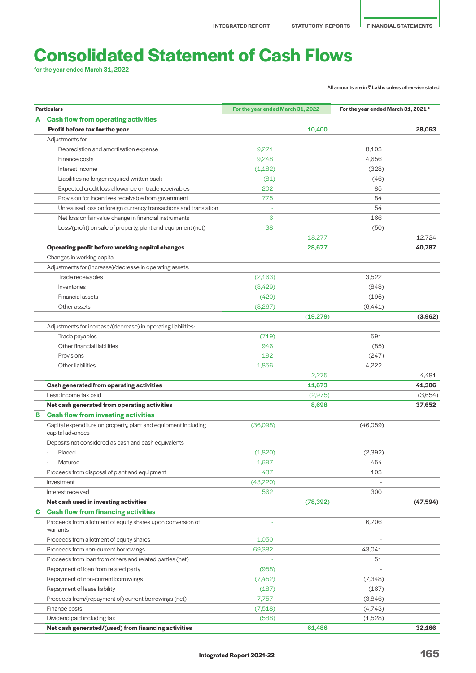# **Consolidated Statement of Cash Flows**

for the year ended March 31, 2022

All amounts are in  $\bar{\bar{\tau}}$  Lakhs unless otherwise stated

|   | <b>Particulars</b>                                                                 | For the year ended March 31, 2022 |           | For the year ended March 31, 2021* |           |
|---|------------------------------------------------------------------------------------|-----------------------------------|-----------|------------------------------------|-----------|
|   | A Cash flow from operating activities                                              |                                   |           |                                    |           |
|   | Profit before tax for the year                                                     |                                   | 10,400    |                                    | 28,063    |
|   | Adjustments for                                                                    |                                   |           |                                    |           |
|   | Depreciation and amortisation expense                                              | 9,271                             |           | 8,103                              |           |
|   | Finance costs                                                                      | 9,248                             |           | 4,656                              |           |
|   | Interest income                                                                    | (1,182)                           |           | (328)                              |           |
|   | Liabilities no longer required written back                                        | (81)                              |           | (46)                               |           |
|   | Expected credit loss allowance on trade receivables                                | 202                               |           | 85                                 |           |
|   | Provision for incentives receivable from government                                | 775                               |           | 84                                 |           |
|   | Unrealised loss on foreign currency transactions and translation                   |                                   |           | 54                                 |           |
|   | Net loss on fair value change in financial instruments                             | 6                                 |           | 166                                |           |
|   | Loss/(profit) on sale of property, plant and equipment (net)                       | 38                                |           | (50)                               |           |
|   |                                                                                    |                                   | 18,277    |                                    | 12,724    |
|   | <b>Operating profit before working capital changes</b>                             |                                   | 28,677    |                                    | 40,787    |
|   | Changes in working capital                                                         |                                   |           |                                    |           |
|   | Adjustments for (increase)/decrease in operating assets:                           |                                   |           |                                    |           |
|   | Trade receivables                                                                  | (2, 163)                          |           | 3,522                              |           |
|   | Inventories                                                                        | (8,429)                           |           | (848)                              |           |
|   | <b>Financial assets</b>                                                            | (420)                             |           | (195)                              |           |
|   | Other assets                                                                       | (8,267)                           |           | (6,441)                            |           |
|   |                                                                                    |                                   | (19, 279) |                                    | (3,962)   |
|   | Adjustments for increase/(decrease) in operating liabilities:                      |                                   |           |                                    |           |
|   | Trade payables                                                                     | (719)                             |           | 591                                |           |
|   | Other financial liabilities                                                        | 946                               |           | (85)                               |           |
|   | Provisions                                                                         | 192                               |           | (247)                              |           |
|   | Other liabilities                                                                  | 1,856                             |           | 4,222                              |           |
|   |                                                                                    |                                   | 2,275     |                                    | 4,481     |
|   | <b>Cash generated from operating activities</b>                                    |                                   | 11,673    |                                    | 41,306    |
|   | Less: Income tax paid                                                              |                                   | (2,975)   |                                    | (3,654)   |
|   | Net cash generated from operating activities                                       |                                   | 8,698     |                                    | 37,652    |
| в | <b>Cash flow from investing activities</b>                                         |                                   |           |                                    |           |
|   | Capital expenditure on property, plant and equipment including<br>capital advances | (36,098)                          |           | (46,059)                           |           |
|   | Deposits not considered as cash and cash equivalents                               |                                   |           |                                    |           |
|   | Placed                                                                             | (1,820)                           |           | (2,392)                            |           |
|   | Matured<br>$\overline{\phantom{a}}$                                                | 1,697                             |           | 454                                |           |
|   | Proceeds from disposal of plant and equipment                                      | 487                               |           | 103                                |           |
|   | Investment                                                                         | (43, 220)                         |           |                                    |           |
|   | Interest received                                                                  | 562                               |           | 300                                |           |
|   | Net cash used in investing activities                                              |                                   | (78, 392) |                                    | (47, 594) |
| С | <b>Cash flow from financing activities</b>                                         |                                   |           |                                    |           |
|   | Proceeds from allotment of equity shares upon conversion of<br>warrants            |                                   |           | 6,706                              |           |
|   | Proceeds from allotment of equity shares                                           | 1,050                             |           |                                    |           |
|   | Proceeds from non-current borrowings                                               | 69,382                            |           | 43,041                             |           |
|   | Proceeds from loan from others and related parties (net)                           |                                   |           | 51                                 |           |
|   | Repayment of loan from related party                                               | (958)                             |           |                                    |           |
|   | Repayment of non-current borrowings                                                | (7, 452)                          |           | (7,348)                            |           |
|   | Repayment of lease liability                                                       | (187)                             |           | (167)                              |           |
|   | Proceeds from/(repayment of) current borrowings (net)                              | 7,757                             |           | (3,846)                            |           |
|   | Finance costs                                                                      | (7,518)                           |           | (4,743)                            |           |
|   | Dividend paid including tax                                                        | (588)                             |           | (1,528)                            |           |
|   | Net cash generated/(used) from financing activities                                |                                   | 61,486    |                                    | 32,166    |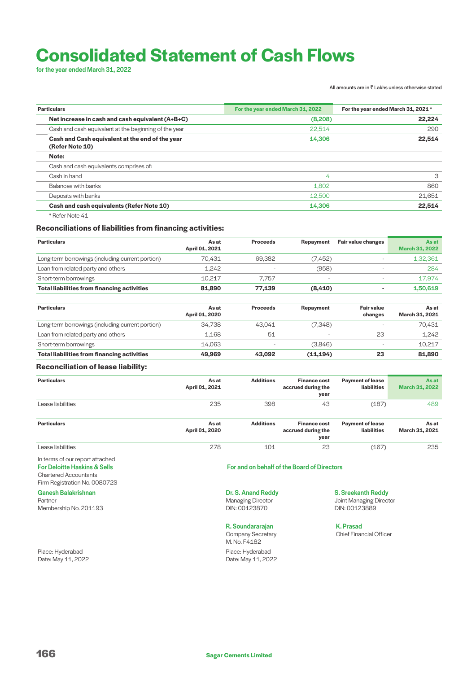# **Consolidated Statement of Cash Flows**

for the year ended March 31, 2022

#### All amounts are in  $\bar{\bar{\tau}}$  Lakhs unless otherwise stated

| <b>Particulars</b>                                                 | For the year ended March 31, 2022 | For the year ended March 31, 2021 * |
|--------------------------------------------------------------------|-----------------------------------|-------------------------------------|
| Net increase in cash and cash equivalent (A+B+C)                   | (8, 208)                          | 22,224                              |
| Cash and cash equivalent at the beginning of the year              | 22,514                            | 290                                 |
| Cash and Cash equivalent at the end of the year<br>(Refer Note 10) | 14,306                            | 22,514                              |
| Note:                                                              |                                   |                                     |
| Cash and cash equivalents comprises of:                            |                                   |                                     |
| Cash in hand                                                       | 4                                 | 3                                   |
| Balances with banks                                                | 1.802                             | 860                                 |
| Deposits with banks                                                | 12,500                            | 21.651                              |
| Cash and cash equivalents (Refer Note 10)                          | 14,306                            | 22,514                              |

\* Refer Note 41

#### **Reconciliations of liabilities from financing activities:**

| <b>Particulars</b>                                 | As at<br>April 01, 2021 | <b>Proceeds</b>          | Repayment                | <b>Fair value changes</b>    | As at<br><b>March 31, 2022</b> |
|----------------------------------------------------|-------------------------|--------------------------|--------------------------|------------------------------|--------------------------------|
| Long-term borrowings (including current portion)   | 70,431                  | 69,382                   | (7,452)                  |                              | 1,32,361                       |
| Loan from related party and others                 | 1,242                   |                          | (958)                    |                              | 284                            |
| Short-term borrowings                              | 10,217                  | 7,757                    | $\overline{\phantom{a}}$ |                              | 17,974                         |
| <b>Total liabilities from financing activities</b> | 81,890                  | 77,139                   | (8,410)                  | ۰                            | 1,50,619                       |
| <b>Particulars</b>                                 | As at<br>April 01, 2020 | <b>Proceeds</b>          | Repayment                | <b>Fair value</b><br>changes | As at<br>March 31, 2021        |
| Long-term borrowings (including current portion)   | 34,738                  | 43.041                   | (7, 348)                 |                              | 70,431                         |
| Loan from related party and others                 | 1.168                   | 51                       | $\overline{\phantom{a}}$ | 23                           | 1.242                          |
| Short-term borrowings                              | 14.063                  | $\overline{\phantom{a}}$ | (3,846)                  | $\overline{\phantom{a}}$     | 10,217                         |

#### **Reconciliation of lease liability:**

| <b>Particulars</b> | As at<br>April 01, 2021 | <b>Additions</b> | <b>Finance cost</b><br>accrued during the<br>year | <b>Payment of lease</b><br><b>liabilities</b> | As at<br><b>March 31, 2022</b> |
|--------------------|-------------------------|------------------|---------------------------------------------------|-----------------------------------------------|--------------------------------|
| Lease liabilities  | 235                     | 398              | 43                                                | (187)                                         | 489                            |
|                    |                         |                  |                                                   |                                               |                                |
| <b>Particulars</b> | As at<br>April 01, 2020 | <b>Additions</b> | <b>Finance cost</b><br>accrued during the<br>year | <b>Payment of lease</b><br>liabilities        | As at<br>March 31, 2021        |
| Lease liabilities  | 278                     | 101              | 23                                                | (167)                                         | 235                            |

**Total liabilities from financing activities 49,969 43,092 (11,194) 23 81,890** 

#### In terms of our report attached For Deloitte Haskins & Sells

Chartered Accountants Firm Registration No. 008072S

Ganesh Balakrishnan Partner Membership No. 201193

Place: Hyderabad Date: May 11, 2022 For and on behalf of the Board of Directors

#### Dr. S. Anand Reddy Managing Director DIN: 00123870

R. Soundararajan Company Secretary M. No. F4182 Place: Hyderabad Date: May 11, 2022

#### S. Sreekanth Reddy Joint Managing Director DIN: 00123889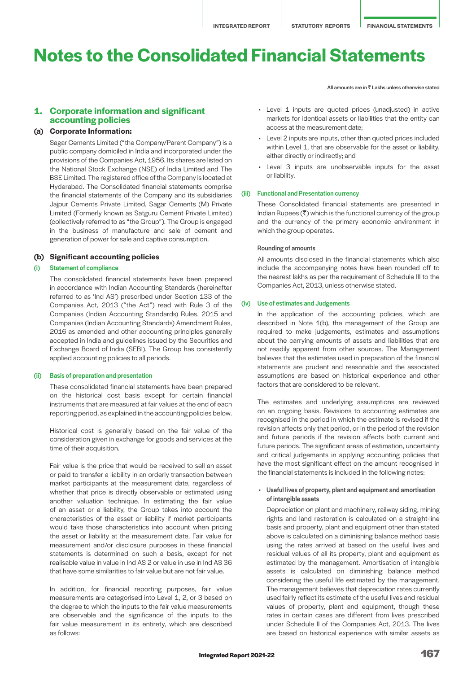### **1. Corporate information and significant accounting policies**

#### **(a) Corporate Information:**

Sagar Cements Limited ("the Company/Parent Company") is a public company domiciled in India and incorporated under the provisions of the Companies Act, 1956. Its shares are listed on the National Stock Exchange (NSE) of India Limited and The BSE Limited. The registered office of the Company is located at Hyderabad. The Consolidated financial statements comprise the financial statements of the Company and its subsidiaries Jajpur Cements Private Limited, Sagar Cements (M) Private Limited (Formerly known as Satguru Cement Private Limited) (collectively referred to as "the Group"). The Group is engaged in the business of manufacture and sale of cement and generation of power for sale and captive consumption.

#### **(b) Significant accounting policies**

#### (i) Statement of compliance

The consolidated financial statements have been prepared in accordance with Indian Accounting Standards (hereinafter referred to as 'Ind AS') prescribed under Section 133 of the Companies Act, 2013 ("the Act") read with Rule 3 of the Companies (Indian Accounting Standards) Rules, 2015 and Companies (Indian Accounting Standards) Amendment Rules, 2016 as amended and other accounting principles generally accepted in India and guidelines issued by the Securities and Exchange Board of India (SEBI). The Group has consistently applied accounting policies to all periods.

#### (ii) Basis of preparation and presentation

These consolidated financial statements have been prepared on the historical cost basis except for certain financial instruments that are measured at fair values at the end of each reporting period, as explained in the accounting policies below.

Historical cost is generally based on the fair value of the consideration given in exchange for goods and services at the time of their acquisition.

Fair value is the price that would be received to sell an asset or paid to transfer a liability in an orderly transaction between market participants at the measurement date, regardless of whether that price is directly observable or estimated using another valuation technique. In estimating the fair value of an asset or a liability, the Group takes into account the characteristics of the asset or liability if market participants would take those characteristics into account when pricing the asset or liability at the measurement date. Fair value for measurement and/or disclosure purposes in these financial statements is determined on such a basis, except for net realisable value in value in Ind AS 2 or value in use in Ind AS 36 that have some similarities to fair value but are not fair value.

In addition, for financial reporting purposes, fair value measurements are categorised into Level 1, 2, or 3 based on the degree to which the inputs to the fair value measurements are observable and the significance of the inputs to the fair value measurement in its entirety, which are described as follows:

All amounts are in  $\bar{z}$  Lakhs unless otherwise stated

- Level 1 inputs are quoted prices (unadjusted) in active markets for identical assets or liabilities that the entity can access at the measurement date;
- Level 2 inputs are inputs, other than quoted prices included within Level 1, that are observable for the asset or liability, either directly or indirectly; and
- Level 3 inputs are unobservable inputs for the asset or liability.

#### (iii) Functional and Presentation currency

These Consolidated financial statements are presented in Indian Rupees ( $\bar{\tau}$ ) which is the functional currency of the group and the currency of the primary economic environment in which the group operates.

#### Rounding of amounts

All amounts disclosed in the financial statements which also include the accompanying notes have been rounded off to the nearest lakhs as per the requirement of Schedule III to the Companies Act, 2013, unless otherwise stated.

#### (iv) Use of estimates and Judgements

In the application of the accounting policies, which are described in Note 1(b), the management of the Group are required to make judgements, estimates and assumptions about the carrying amounts of assets and liabilities that are not readily apparent from other sources. The Management believes that the estimates used in preparation of the financial statements are prudent and reasonable and the associated assumptions are based on historical experience and other factors that are considered to be relevant.

The estimates and underlying assumptions are reviewed on an ongoing basis. Revisions to accounting estimates are recognised in the period in which the estimate is revised if the revision affects only that period, or in the period of the revision and future periods if the revision affects both current and future periods. The significant areas of estimation, uncertainty and critical judgements in applying accounting policies that have the most significant effect on the amount recognised in the financial statements is included in the following notes:

#### • Useful lives of property, plant and equipment and amortisation of intangible assets

Depreciation on plant and machinery, railway siding, mining rights and land restoration is calculated on a straight-line basis and property, plant and equipment other than stated above is calculated on a diminishing balance method basis using the rates arrived at based on the useful lives and residual values of all its property, plant and equipment as estimated by the management. Amortisation of intangible assets is calculated on diminishing balance method considering the useful life estimated by the management. The management believes that depreciation rates currently used fairly reflect its estimate of the useful lives and residual values of property, plant and equipment, though these rates in certain cases are different from lives prescribed under Schedule II of the Companies Act, 2013. The lives are based on historical experience with similar assets as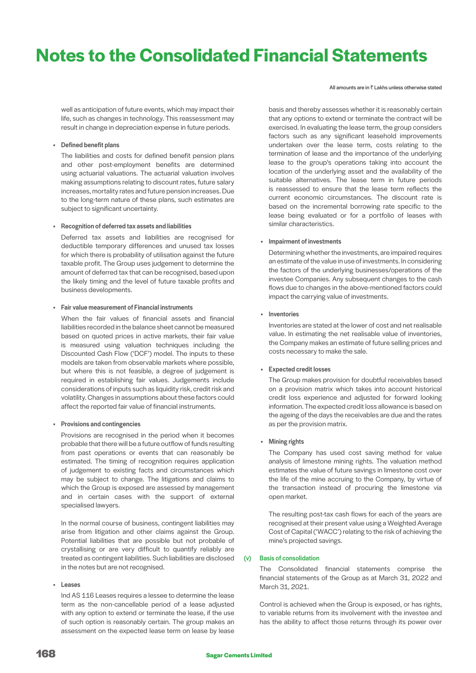well as anticipation of future events, which may impact their life, such as changes in technology. This reassessment may result in change in depreciation expense in future periods.

#### • Defined benefit plans

The liabilities and costs for defined benefit pension plans and other post-employment benefits are determined using actuarial valuations. The actuarial valuation involves making assumptions relating to discount rates, future salary increases, mortality rates and future pension increases. Due to the long-term nature of these plans, such estimates are subject to significant uncertainty.

#### • Recognition of deferred tax assets and liabilities

Deferred tax assets and liabilities are recognised for deductible temporary differences and unused tax losses for which there is probability of utilisation against the future taxable profit. The Group uses judgement to determine the amount of deferred tax that can be recognised, based upon the likely timing and the level of future taxable profits and business developments.

#### • Fair value measurement of Financial instruments

When the fair values of financial assets and financial liabilities recorded in the balance sheet cannot be measured based on quoted prices in active markets, their fair value is measured using valuation techniques including the Discounted Cash Flow ('DCF') model. The inputs to these models are taken from observable markets where possible, but where this is not feasible, a degree of judgement is required in establishing fair values. Judgements include considerations of inputs such as liquidity risk, credit risk and volatility. Changes in assumptions about these factors could affect the reported fair value of financial instruments.

#### • Provisions and contingencies

Provisions are recognised in the period when it becomes probable that there will be a future outflow of funds resulting from past operations or events that can reasonably be estimated. The timing of recognition requires application of judgement to existing facts and circumstances which may be subject to change. The litigations and claims to which the Group is exposed are assessed by management and in certain cases with the support of external specialised lawyers.

In the normal course of business, contingent liabilities may arise from litigation and other claims against the Group. Potential liabilities that are possible but not probable of crystallising or are very difficult to quantify reliably are treated as contingent liabilities. Such liabilities are disclosed in the notes but are not recognised.

#### • Leases

Ind AS 116 Leases requires a lessee to determine the lease term as the non-cancellable period of a lease adjusted with any option to extend or terminate the lease, if the use of such option is reasonably certain. The group makes an assessment on the expected lease term on lease by lease All amounts are in  $\bar{z}$  Lakhs unless otherwise stated

basis and thereby assesses whether it is reasonably certain that any options to extend or terminate the contract will be exercised. In evaluating the lease term, the group considers factors such as any significant leasehold improvements undertaken over the lease term, costs relating to the termination of lease and the importance of the underlying lease to the group's operations taking into account the location of the underlying asset and the availability of the suitable alternatives. The lease term in future periods is reassessed to ensure that the lease term reflects the current economic circumstances. The discount rate is based on the incremental borrowing rate specific to the lease being evaluated or for a portfolio of leases with similar characteristics.

#### • Impairment of investments

Determining whether the investments, are impaired requires an estimate of the value in use of investments. In considering the factors of the underlying businesses/operations of the investee Companies. Any subsequent changes to the cash flows due to changes in the above-mentioned factors could impact the carrying value of investments.

#### • Inventories

Inventories are stated at the lower of cost and net realisable value. In estimating the net realisable value of inventories, the Company makes an estimate of future selling prices and costs necessary to make the sale.

#### • Expected credit losses

The Group makes provision for doubtful receivables based on a provision matrix which takes into account historical credit loss experience and adjusted for forward looking information. The expected credit loss allowance is based on the ageing of the days the receivables are due and the rates as per the provision matrix.

#### • Mining rights

The Company has used cost saving method for value analysis of limestone mining rights. The valuation method estimates the value of future savings in limestone cost over the life of the mine accruing to the Company, by virtue of the transaction instead of procuring the limestone via open market.

The resulting post-tax cash flows for each of the years are recognised at their present value using a Weighted Average Cost of Capital ('WACC') relating to the risk of achieving the mine's projected savings.

#### (v) Basis of consolidation

The Consolidated financial statements comprise the financial statements of the Group as at March 31, 2022 and March 31, 2021.

Control is achieved when the Group is exposed, or has rights, to variable returns from its involvement with the investee and has the ability to affect those returns through its power over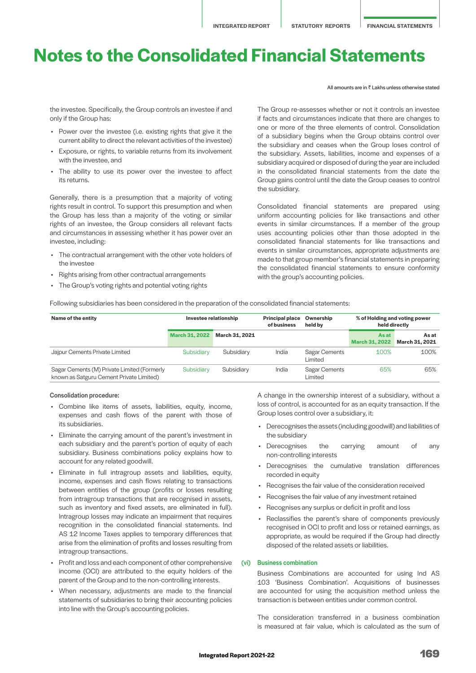All amounts are in  $\bar{z}$  Lakhs unless otherwise stated

the investee. Specifically, the Group controls an investee if and only if the Group has:

- Power over the investee (i.e. existing rights that give it the current ability to direct the relevant activities of the investee)
- Exposure, or rights, to variable returns from its involvement with the investee, and
- The ability to use its power over the investee to affect its returns.

Generally, there is a presumption that a majority of voting rights result in control. To support this presumption and when the Group has less than a majority of the voting or similar rights of an investee, the Group considers all relevant facts and circumstances in assessing whether it has power over an investee, including:

- The contractual arrangement with the other vote holders of the investee
- Rights arising from other contractual arrangements
- The Group's voting rights and potential voting rights

The Group re-assesses whether or not it controls an investee if facts and circumstances indicate that there are changes to one or more of the three elements of control. Consolidation of a subsidiary begins when the Group obtains control over the subsidiary and ceases when the Group loses control of the subsidiary. Assets, liabilities, income and expenses of a subsidiary acquired or disposed of during the year are included in the consolidated financial statements from the date the Group gains control until the date the Group ceases to control the subsidiary.

Consolidated financial statements are prepared using uniform accounting policies for like transactions and other events in similar circumstances. If a member of the group uses accounting policies other than those adopted in the consolidated financial statements for like transactions and events in similar circumstances, appropriate adjustments are made to that group member's financial statements in preparing the consolidated financial statements to ensure conformity with the group's accounting policies.

Following subsidiaries has been considered in the preparation of the consolidated financial statements:

| Name of the entity                                                                      | Investee relationship |                | <b>Principal place</b><br>of business | Ownership<br>held by            | % of Holding and voting power<br>held directly |                         |
|-----------------------------------------------------------------------------------------|-----------------------|----------------|---------------------------------------|---------------------------------|------------------------------------------------|-------------------------|
|                                                                                         | <b>March 31, 2022</b> | March 31, 2021 |                                       |                                 | As at<br><b>March 31, 2022</b>                 | As at<br>March 31, 2021 |
| Jaipur Cements Private Limited                                                          | Subsidiary            | Subsidiary     | India                                 | <b>Sagar Cements</b><br>Limited | 100%                                           | 100%                    |
| Sagar Cements (M) Private Limited (Formerly<br>known as Satguru Cement Private Limited) | Subsidiary            | Subsidiary     | India                                 | <b>Sagar Cements</b><br>Limited | 65%                                            | 65%                     |

#### Consolidation procedure:

- Combine like items of assets, liabilities, equity, income, expenses and cash flows of the parent with those of its subsidiaries.
- Eliminate the carrying amount of the parent's investment in each subsidiary and the parent's portion of equity of each subsidiary. Business combinations policy explains how to account for any related goodwill.
- Eliminate in full intragroup assets and liabilities, equity, income, expenses and cash flows relating to transactions between entities of the group (profits or losses resulting from intragroup transactions that are recognised in assets, such as inventory and fixed assets, are eliminated in full). Intragroup losses may indicate an impairment that requires recognition in the consolidated financial statements. Ind AS 12 Income Taxes applies to temporary differences that arise from the elimination of profits and losses resulting from intragroup transactions.
- Profit and loss and each component of other comprehensive income (OCI) are attributed to the equity holders of the parent of the Group and to the non-controlling interests.
- When necessary, adjustments are made to the financial statements of subsidiaries to bring their accounting policies into line with the Group's accounting policies.

A change in the ownership interest of a subsidiary, without a loss of control, is accounted for as an equity transaction. If the Group loses control over a subsidiary, it:

- Derecognises the assets (including goodwill) and liabilities of the subsidiary
- Derecognises the carrying amount of any non-controlling interests
- Derecognises the cumulative translation differences recorded in equity
- Recognises the fair value of the consideration received
- Recognises the fair value of any investment retained
- Recognises any surplus or deficit in profit and loss
- Reclassifies the parent's share of components previously recognised in OCI to profit and loss or retained earnings, as appropriate, as would be required if the Group had directly disposed of the related assets or liabilities.

#### (vi) Business combination

Business Combinations are accounted for using Ind AS 103 'Business Combination'. Acquisitions of businesses are accounted for using the acquisition method unless the transaction is between entities under common control.

The consideration transferred in a business combination is measured at fair value, which is calculated as the sum of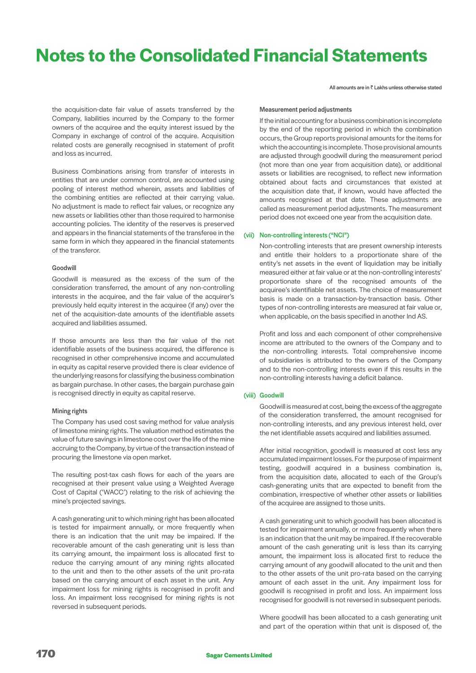the acquisition-date fair value of assets transferred by the Company, liabilities incurred by the Company to the former owners of the acquiree and the equity interest issued by the Company in exchange of control of the acquire. Acquisition related costs are generally recognised in statement of profit and loss as incurred.

Business Combinations arising from transfer of interests in entities that are under common control, are accounted using pooling of interest method wherein, assets and liabilities of the combining entities are reflected at their carrying value. No adjustment is made to reflect fair values, or recognize any new assets or liabilities other than those required to harmonise accounting policies. The identity of the reserves is preserved and appears in the financial statements of the transferee in the same form in which they appeared in the financial statements of the transferor.

#### Goodwill

Goodwill is measured as the excess of the sum of the consideration transferred, the amount of any non-controlling interests in the acquiree, and the fair value of the acquirer's previously held equity interest in the acquiree (if any) over the net of the acquisition-date amounts of the identifiable assets acquired and liabilities assumed.

If those amounts are less than the fair value of the net identifiable assets of the business acquired, the difference is recognised in other comprehensive income and accumulated in equity as capital reserve provided there is clear evidence of the underlying reasons for classifying the business combination as bargain purchase. In other cases, the bargain purchase gain is recognised directly in equity as capital reserve.

#### Mining rights

The Company has used cost saving method for value analysis of limestone mining rights. The valuation method estimates the value of future savings in limestone cost over the life of the mine accruing to the Company, by virtue of the transaction instead of procuring the limestone via open market.

The resulting post-tax cash flows for each of the years are recognised at their present value using a Weighted Average Cost of Capital ('WACC') relating to the risk of achieving the mine's projected savings.

A cash generating unit to which mining right has been allocated is tested for impairment annually, or more frequently when there is an indication that the unit may be impaired. If the recoverable amount of the cash generating unit is less than its carrying amount, the impairment loss is allocated first to reduce the carrying amount of any mining rights allocated to the unit and then to the other assets of the unit pro-rata based on the carrying amount of each asset in the unit. Any impairment loss for mining rights is recognised in profit and loss. An impairment loss recognised for mining rights is not reversed in subsequent periods.

All amounts are in  $\bar{z}$  Lakhs unless otherwise stated

#### Measurement period adjustments

If the initial accounting for a business combination is incomplete by the end of the reporting period in which the combination occurs, the Group reports provisional amounts for the items for which the accounting is incomplete. Those provisional amounts are adjusted through goodwill during the measurement period (not more than one year from acquisition date), or additional assets or liabilities are recognised, to reflect new information obtained about facts and circumstances that existed at the acquisition date that, if known, would have affected the amounts recognised at that date. These adjustments are called as measurement period adjustments. The measurement period does not exceed one year from the acquisition date.

#### (vii) Non-controlling interests ("NCI")

Non-controlling interests that are present ownership interests and entitle their holders to a proportionate share of the entity's net assets in the event of liquidation may be initially measured either at fair value or at the non-controlling interests' proportionate share of the recognised amounts of the acquiree's identifiable net assets. The choice of measurement basis is made on a transaction-by-transaction basis. Other types of non-controlling interests are measured at fair value or, when applicable, on the basis specified in another Ind AS.

Profit and loss and each component of other comprehensive income are attributed to the owners of the Company and to the non-controlling interests. Total comprehensive income of subsidiaries is attributed to the owners of the Company and to the non-controlling interests even if this results in the non-controlling interests having a deficit balance.

#### (viii) Goodwill

Goodwill is measured at cost, being the excess of the aggregate of the consideration transferred, the amount recognised for non-controlling interests, and any previous interest held, over the net identifiable assets acquired and liabilities assumed.

After initial recognition, goodwill is measured at cost less any accumulated impairment losses. For the purpose of impairment testing, goodwill acquired in a business combination is, from the acquisition date, allocated to each of the Group's cash-generating units that are expected to benefit from the combination, irrespective of whether other assets or liabilities of the acquiree are assigned to those units.

A cash generating unit to which goodwill has been allocated is tested for impairment annually, or more frequently when there is an indication that the unit may be impaired. If the recoverable amount of the cash generating unit is less than its carrying amount, the impairment loss is allocated first to reduce the carrying amount of any goodwill allocated to the unit and then to the other assets of the unit pro-rata based on the carrying amount of each asset in the unit. Any impairment loss for goodwill is recognised in profit and loss. An impairment loss recognised for goodwill is not reversed in subsequent periods.

Where goodwill has been allocated to a cash generating unit and part of the operation within that unit is disposed of, the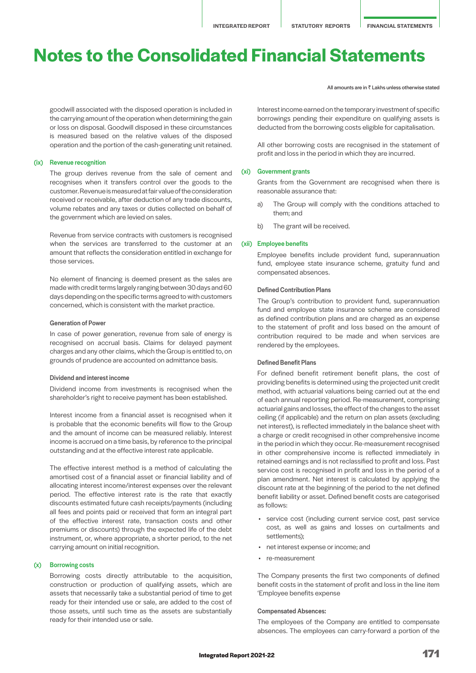goodwill associated with the disposed operation is included in the carrying amount of the operation when determining the gain or loss on disposal. Goodwill disposed in these circumstances is measured based on the relative values of the disposed operation and the portion of the cash-generating unit retained.

#### (ix) Revenue recognition

The group derives revenue from the sale of cement and recognises when it transfers control over the goods to the customer. Revenue is measured at fair value of the consideration received or receivable, after deduction of any trade discounts, volume rebates and any taxes or duties collected on behalf of the government which are levied on sales.

Revenue from service contracts with customers is recognised when the services are transferred to the customer at an amount that reflects the consideration entitled in exchange for those services.

No element of financing is deemed present as the sales are made with credit terms largely ranging between 30 days and 60 days depending on the specific terms agreed to with customers concerned, which is consistent with the market practice.

#### Generation of Power

In case of power generation, revenue from sale of energy is recognised on accrual basis. Claims for delayed payment charges and any other claims, which the Group is entitled to, on grounds of prudence are accounted on admittance basis.

#### Dividend and interest income

Dividend income from investments is recognised when the shareholder's right to receive payment has been established.

Interest income from a financial asset is recognised when it is probable that the economic benefits will flow to the Group and the amount of income can be measured reliably. Interest income is accrued on a time basis, by reference to the principal outstanding and at the effective interest rate applicable.

The effective interest method is a method of calculating the amortised cost of a financial asset or financial liability and of allocating interest income/interest expenses over the relevant period. The effective interest rate is the rate that exactly discounts estimated future cash receipts/payments (including all fees and points paid or received that form an integral part of the effective interest rate, transaction costs and other premiums or discounts) through the expected life of the debt instrument, or, where appropriate, a shorter period, to the net carrying amount on initial recognition.

#### (x) Borrowing costs

Borrowing costs directly attributable to the acquisition, construction or production of qualifying assets, which are assets that necessarily take a substantial period of time to get ready for their intended use or sale, are added to the cost of those assets, until such time as the assets are substantially ready for their intended use or sale.

All amounts are in  $\bar{z}$  Lakhs unless otherwise stated

Interest income earned on the temporary investment of specific borrowings pending their expenditure on qualifying assets is deducted from the borrowing costs eligible for capitalisation.

All other borrowing costs are recognised in the statement of profit and loss in the period in which they are incurred.

#### (xi) Government grants

Grants from the Government are recognised when there is reasonable assurance that:

- a) The Group will comply with the conditions attached to them; and
- b) The grant will be received.

#### (xii) Employee benefits

Employee benefits include provident fund, superannuation fund, employee state insurance scheme, gratuity fund and compensated absences.

#### Defined Contribution Plans

The Group's contribution to provident fund, superannuation fund and employee state insurance scheme are considered as defined contribution plans and are charged as an expense to the statement of profit and loss based on the amount of contribution required to be made and when services are rendered by the employees.

#### Defined Benefit Plans

For defined benefit retirement benefit plans, the cost of providing benefits is determined using the projected unit credit method, with actuarial valuations being carried out at the end of each annual reporting period. Re-measurement, comprising actuarial gains and losses, the effect of the changes to the asset ceiling (if applicable) and the return on plan assets (excluding net interest), is reflected immediately in the balance sheet with a charge or credit recognised in other comprehensive income in the period in which they occur. Re-measurement recognised in other comprehensive income is reflected immediately in retained earnings and is not reclassified to profit and loss. Past service cost is recognised in profit and loss in the period of a plan amendment. Net interest is calculated by applying the discount rate at the beginning of the period to the net defined benefit liability or asset. Defined benefit costs are categorised as follows:

- service cost (including current service cost, past service cost, as well as gains and losses on curtailments and settlements);
- net interest expense or income; and
- re-measurement

The Company presents the first two components of defined benefit costs in the statement of profit and loss in the line item 'Employee benefits expense

#### Compensated Absences:

The employees of the Company are entitled to compensate absences. The employees can carry-forward a portion of the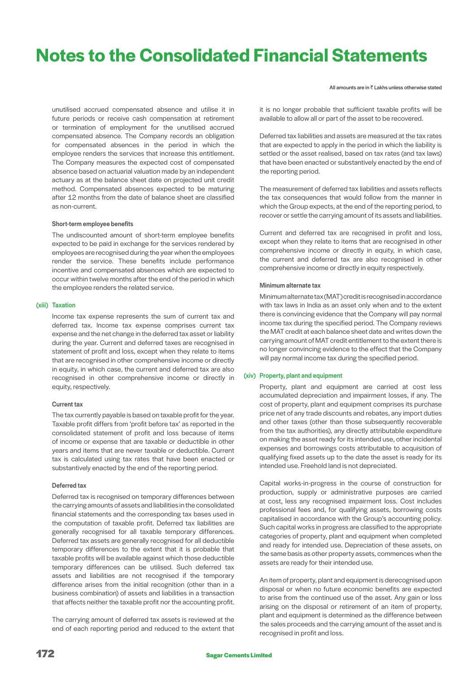unutilised accrued compensated absence and utilise it in future periods or receive cash compensation at retirement or termination of employment for the unutilised accrued compensated absence. The Company records an obligation for compensated absences in the period in which the employee renders the services that increase this entitlement. The Company measures the expected cost of compensated absence based on actuarial valuation made by an independent actuary as at the balance sheet date on projected unit credit method. Compensated absences expected to be maturing after 12 months from the date of balance sheet are classified as non-current.

#### Short-term employee benefits

The undiscounted amount of short-term employee benefits expected to be paid in exchange for the services rendered by employees are recognised during the year when the employees render the service. These benefits include performance incentive and compensated absences which are expected to occur within twelve months after the end of the period in which the employee renders the related service.

#### (xiii) Taxation

Income tax expense represents the sum of current tax and deferred tax. Income tax expense comprises current tax expense and the net change in the deferred tax asset or liability during the year. Current and deferred taxes are recognised in statement of profit and loss, except when they relate to items that are recognised in other comprehensive income or directly in equity, in which case, the current and deferred tax are also recognised in other comprehensive income or directly in equity, respectively.

#### Current tax

The tax currently payable is based on taxable profit for the year. Taxable profit differs from 'profit before tax' as reported in the consolidated statement of profit and loss because of items of income or expense that are taxable or deductible in other years and items that are never taxable or deductible. Current tax is calculated using tax rates that have been enacted or substantively enacted by the end of the reporting period.

#### Deferred tax

Deferred tax is recognised on temporary differences between the carrying amounts of assets and liabilities in the consolidated financial statements and the corresponding tax bases used in the computation of taxable profit. Deferred tax liabilities are generally recognised for all taxable temporary differences. Deferred tax assets are generally recognised for all deductible temporary differences to the extent that it is probable that taxable profits will be available against which those deductible temporary differences can be utilised. Such deferred tax assets and liabilities are not recognised if the temporary difference arises from the initial recognition (other than in a business combination) of assets and liabilities in a transaction that affects neither the taxable profit nor the accounting profit.

The carrying amount of deferred tax assets is reviewed at the end of each reporting period and reduced to the extent that All amounts are in  $\bar{z}$  Lakhs unless otherwise stated

it is no longer probable that sufficient taxable profits will be available to allow all or part of the asset to be recovered.

Deferred tax liabilities and assets are measured at the tax rates that are expected to apply in the period in which the liability is settled or the asset realised, based on tax rates (and tax laws) that have been enacted or substantively enacted by the end of the reporting period.

The measurement of deferred tax liabilities and assets reflects the tax consequences that would follow from the manner in which the Group expects, at the end of the reporting period, to recover or settle the carrying amount of its assets and liabilities.

Current and deferred tax are recognised in profit and loss, except when they relate to items that are recognised in other comprehensive income or directly in equity, in which case, the current and deferred tax are also recognised in other comprehensive income or directly in equity respectively.

#### Minimum alternate tax

Minimum alternate tax (MAT) credit is recognised in accordance with tax laws in India as an asset only when and to the extent there is convincing evidence that the Company will pay normal income tax during the specified period. The Company reviews the MAT credit at each balance sheet date and writes down the carrying amount of MAT credit entitlement to the extent there is no longer convincing evidence to the effect that the Company will pay normal income tax during the specified period.

#### (xiv) Property, plant and equipment

Property, plant and equipment are carried at cost less accumulated depreciation and impairment losses, if any. The cost of property, plant and equipment comprises its purchase price net of any trade discounts and rebates, any import duties and other taxes (other than those subsequently recoverable from the tax authorities), any directly attributable expenditure on making the asset ready for its intended use, other incidental expenses and borrowings costs attributable to acquisition of qualifying fixed assets up to the date the asset is ready for its intended use. Freehold land is not depreciated.

Capital works-in-progress in the course of construction for production, supply or administrative purposes are carried at cost, less any recognised impairment loss. Cost includes professional fees and, for qualifying assets, borrowing costs capitalised in accordance with the Group's accounting policy. Such capital works in progress are classified to the appropriate categories of property, plant and equipment when completed and ready for intended use. Depreciation of these assets, on the same basis as other property assets, commences when the assets are ready for their intended use.

An item of property, plant and equipment is derecognised upon disposal or when no future economic benefits are expected to arise from the continued use of the asset. Any gain or loss arising on the disposal or retirement of an item of property, plant and equipment is determined as the difference between the sales proceeds and the carrying amount of the asset and is recognised in profit and loss.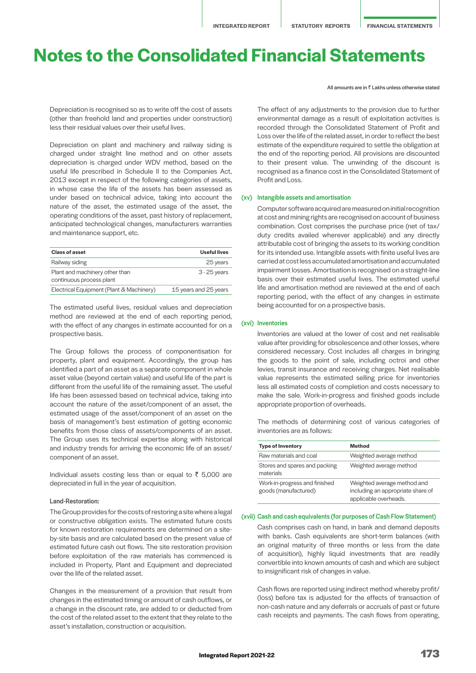Depreciation is recognised so as to write off the cost of assets (other than freehold land and properties under construction) less their residual values over their useful lives.

Depreciation on plant and machinery and railway siding is charged under straight line method and on other assets depreciation is charged under WDV method, based on the useful life prescribed in Schedule II to the Companies Act, 2013 except in respect of the following categories of assets, in whose case the life of the assets has been assessed as under based on technical advice, taking into account the nature of the asset, the estimated usage of the asset, the operating conditions of the asset, past history of replacement, anticipated technological changes, manufacturers warranties and maintenance support, etc.

| <b>Class of asset</b>                                      | <b>Useful lives</b>   |
|------------------------------------------------------------|-----------------------|
| Railway siding                                             | 25 years              |
| Plant and machinery other than<br>continuous process plant | $3 - 25$ years        |
| Electrical Equipment (Plant & Machinery)                   | 15 years and 25 years |

The estimated useful lives, residual values and depreciation method are reviewed at the end of each reporting period, with the effect of any changes in estimate accounted for on a prospective basis.

The Group follows the process of componentisation for property, plant and equipment. Accordingly, the group has identified a part of an asset as a separate component in whole asset value (beyond certain value) and useful life of the part is different from the useful life of the remaining asset. The useful life has been assessed based on technical advice, taking into account the nature of the asset/component of an asset, the estimated usage of the asset/component of an asset on the basis of management's best estimation of getting economic benefits from those class of assets/components of an asset. The Group uses its technical expertise along with historical and industry trends for arriving the economic life of an asset/ component of an asset.

Individual assets costing less than or equal to  $\bar{z}$  5,000 are depreciated in full in the year of acquisition.

#### Land-Restoration:

The Group provides for the costs of restoring a site where a legal or constructive obligation exists. The estimated future costs for known restoration requirements are determined on a siteby-site basis and are calculated based on the present value of estimated future cash out flows. The site restoration provision before exploitation of the raw materials has commenced is included in Property, Plant and Equipment and depreciated over the life of the related asset.

Changes in the measurement of a provision that result from changes in the estimated timing or amount of cash outflows, or a change in the discount rate, are added to or deducted from the cost of the related asset to the extent that they relate to the asset's installation, construction or acquisition.

All amounts are in  $\bar{z}$  Lakhs unless otherwise stated

The effect of any adjustments to the provision due to further environmental damage as a result of exploitation activities is recorded through the Consolidated Statement of Profit and Loss over the life of the related asset, in order to reflect the best estimate of the expenditure required to settle the obligation at the end of the reporting period. All provisions are discounted to their present value. The unwinding of the discount is recognised as a finance cost in the Consolidated Statement of Profit and Loss.

#### (xv) Intangible assets and amortisation

Computer software acquired are measured on initial recognition at cost and mining rights are recognised on account of business combination. Cost comprises the purchase price (net of tax/ duty credits availed wherever applicable) and any directly attributable cost of bringing the assets to its working condition for its intended use. Intangible assets with finite useful lives are carried at cost less accumulated amortisation and accumulated impairment losses. Amortisation is recognised on a straight-line basis over their estimated useful lives. The estimated useful life and amortisation method are reviewed at the end of each reporting period, with the effect of any changes in estimate being accounted for on a prospective basis.

#### (xvi) Inventories

Inventories are valued at the lower of cost and net realisable value after providing for obsolescence and other losses, where considered necessary. Cost includes all charges in bringing the goods to the point of sale, including octroi and other levies, transit insurance and receiving charges. Net realisable value represents the estimated selling price for inventories less all estimated costs of completion and costs necessary to make the sale. Work-in-progress and finished goods include appropriate proportion of overheads.

The methods of determining cost of various categories of inventories are as follows:

| <b>Type of Inventory</b>                              | Method                                                                                    |
|-------------------------------------------------------|-------------------------------------------------------------------------------------------|
| Raw materials and coal                                | Weighted average method                                                                   |
| Stores and spares and packing<br>materials            | Weighted average method                                                                   |
| Work-in-progress and finished<br>goods (manufactured) | Weighted average method and<br>including an appropriate share of<br>applicable overheads. |

#### (xvii) Cash and cash equivalents (for purposes of Cash Flow Statement)

Cash comprises cash on hand, in bank and demand deposits with banks. Cash equivalents are short-term balances (with an original maturity of three months or less from the date of acquisition), highly liquid investments that are readily convertible into known amounts of cash and which are subject to insignificant risk of changes in value.

Cash flows are reported using indirect method whereby profit/ (loss) before tax is adjusted for the effects of transaction of non-cash nature and any deferrals or accruals of past or future cash receipts and payments. The cash flows from operating,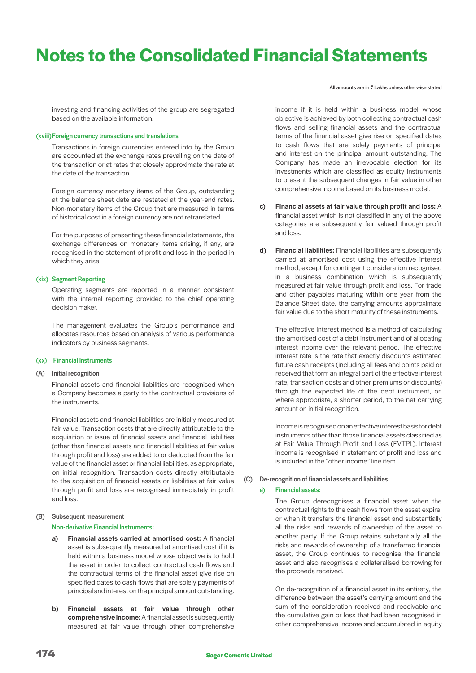investing and financing activities of the group are segregated based on the available information.

#### (xviii)Foreign currency transactions and translations

Transactions in foreign currencies entered into by the Group are accounted at the exchange rates prevailing on the date of the transaction or at rates that closely approximate the rate at the date of the transaction.

Foreign currency monetary items of the Group, outstanding at the balance sheet date are restated at the year-end rates. Non-monetary items of the Group that are measured in terms of historical cost in a foreign currency are not retranslated.

For the purposes of presenting these financial statements, the exchange differences on monetary items arising, if any, are recognised in the statement of profit and loss in the period in which they arise.

#### (xix) Segment Reporting

Operating segments are reported in a manner consistent with the internal reporting provided to the chief operating decision maker.

The management evaluates the Group's performance and allocates resources based on analysis of various performance indicators by business segments.

#### (xx) Financial Instruments

(A) Initial recognition

Financial assets and financial liabilities are recognised when a Company becomes a party to the contractual provisions of the instruments.

Financial assets and financial liabilities are initially measured at fair value. Transaction costs that are directly attributable to the acquisition or issue of financial assets and financial liabilities (other than financial assets and financial liabilities at fair value through profit and loss) are added to or deducted from the fair value of the financial asset or financial liabilities, as appropriate, on initial recognition. Transaction costs directly attributable to the acquisition of financial assets or liabilities at fair value through profit and loss are recognised immediately in profit and loss.

# (B) Subsequent measurement

### Non-derivative Financial Instruments:

- a) Financial assets carried at amortised cost: A financial asset is subsequently measured at amortised cost if it is held within a business model whose objective is to hold the asset in order to collect contractual cash flows and the contractual terms of the financial asset give rise on specified dates to cash flows that are solely payments of principal and interest on the principal amount outstanding.
- b) Financial assets at fair value through other comprehensive income: A financial asset is subsequently measured at fair value through other comprehensive

All amounts are in  $\bar{z}$  Lakhs unless otherwise stated

income if it is held within a business model whose objective is achieved by both collecting contractual cash flows and selling financial assets and the contractual terms of the financial asset give rise on specified dates to cash flows that are solely payments of principal and interest on the principal amount outstanding. The Company has made an irrevocable election for its investments which are classified as equity instruments to present the subsequent changes in fair value in other comprehensive income based on its business model.

- c) Financial assets at fair value through profit and loss: A financial asset which is not classified in any of the above categories are subsequently fair valued through profit and loss.
- d) Financial liabilities: Financial liabilities are subsequently carried at amortised cost using the effective interest method, except for contingent consideration recognised in a business combination which is subsequently measured at fair value through profit and loss. For trade and other payables maturing within one year from the Balance Sheet date, the carrying amounts approximate fair value due to the short maturity of these instruments.

The effective interest method is a method of calculating the amortised cost of a debt instrument and of allocating interest income over the relevant period. The effective interest rate is the rate that exactly discounts estimated future cash receipts (including all fees and points paid or received that form an integral part of the effective interest rate, transaction costs and other premiums or discounts) through the expected life of the debt instrument, or, where appropriate, a shorter period, to the net carrying amount on initial recognition.

Income is recognised on an effective interest basis for debt instruments other than those financial assets classified as at Fair Value Through Profit and Loss (FVTPL). Interest income is recognised in statement of profit and loss and is included in the "other income" line item.

#### (C) De-recognition of financial assets and liabilities

#### a) Financial assets:

The Group derecognises a financial asset when the contractual rights to the cash flows from the asset expire, or when it transfers the financial asset and substantially all the risks and rewards of ownership of the asset to another party. If the Group retains substantially all the risks and rewards of ownership of a transferred financial asset, the Group continues to recognise the financial asset and also recognises a collateralised borrowing for the proceeds received.

On de-recognition of a financial asset in its entirety, the difference between the asset's carrying amount and the sum of the consideration received and receivable and the cumulative gain or loss that had been recognised in other comprehensive income and accumulated in equity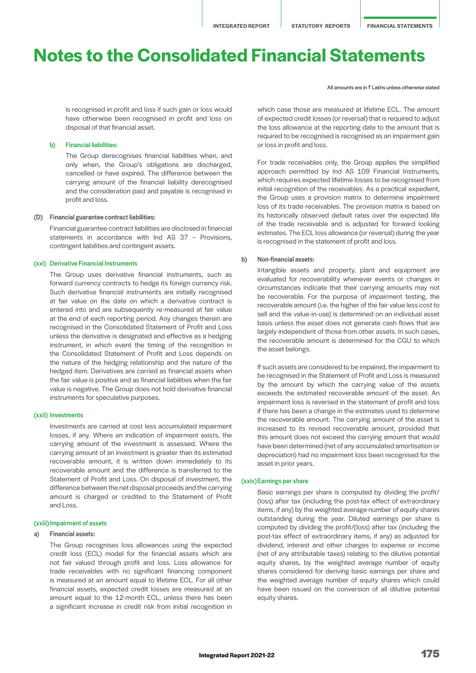is recognised in profit and loss if such gain or loss would have otherwise been recognised in profit and loss on disposal of that financial asset.

#### b) Financial liabilities:

The Group derecognises financial liabilities when, and only when, the Group's obligations are discharged, cancelled or have expired. The difference between the carrying amount of the financial liability derecognised and the consideration paid and payable is recognised in profit and loss.

#### (D) Financial guarantee contract liabilities:

Financial guarantee contract liabilities are disclosed in financial statements in accordance with Ind AS 37 – Provisions, contingent liabilities and contingent assets.

#### (xxi) Derivative Financial Instruments

The Group uses derivative financial instruments, such as forward currency contracts to hedge its foreign currency risk. Such derivative financial instruments are initially recognised at fair value on the date on which a derivative contract is entered into and are subsequently re-measured at fair value at the end of each reporting period. Any changes therein are recognised in the Consolidated Statement of Profit and Loss unless the derivative is designated and effective as a hedging instrument, in which event the timing of the recognition in the Consolidated Statement of Profit and Loss depends on the nature of the hedging relationship and the nature of the hedged item. Derivatives are carried as financial assets when the fair value is positive and as financial liabilities when the fair value is negative. The Group does not hold derivative financial instruments for speculative purposes.

#### (xxii) Investments

Investments are carried at cost less accumulated impairment losses, if any. Where an indication of impairment exists, the carrying amount of the investment is assessed. Where the carrying amount of an investment is greater than its estimated recoverable amount, it is written down immediately to its recoverable amount and the difference is transferred to the Statement of Profit and Loss. On disposal of investment, the difference between the net disposal proceeds and the carrying amount is charged or credited to the Statement of Profit and Loss.

#### (xxiii)Impairment of assets

#### a) Financial assets:

The Group recognises loss allowances using the expected credit loss (ECL) model for the financial assets which are not fair valued through profit and loss. Loss allowance for trade receivables with no significant financing component is measured at an amount equal to lifetime ECL. For all other financial assets, expected credit losses are measured at an amount equal to the 12-month ECL, unless there has been a significant increase in credit risk from initial recognition in All amounts are in  $\bar{z}$  Lakhs unless otherwise stated

which case those are measured at lifetime ECL. The amount of expected credit losses (or reversal) that is required to adjust the loss allowance at the reporting date to the amount that is required to be recognised is recognised as an impairment gain or loss in profit and loss.

For trade receivables only, the Group applies the simplified approach permitted by Ind AS 109 Financial Instruments, which requires expected lifetime losses to be recognised from initial recognition of the receivables. As a practical expedient, the Group uses a provision matrix to determine impairment loss of its trade receivables. The provision matrix is based on its historically observed default rates over the expected life of the trade receivable and is adjusted for forward looking estimates. The ECL loss allowance (or reversal) during the year is recognised in the statement of profit and loss.

#### b) Non-financial assets:

Intangible assets and property, plant and equipment are evaluated for recoverability whenever events or changes in circumstances indicate that their carrying amounts may not be recoverable. For the purpose of impairment testing, the recoverable amount (i.e. the higher of the fair value less cost to sell and the value-in-use) is determined on an individual asset basis unless the asset does not generate cash flows that are largely independent of those from other assets. In such cases, the recoverable amount is determined for the CGU to which the asset belongs.

If such assets are considered to be impaired, the impairment to be recognised in the Statement of Profit and Loss is measured by the amount by which the carrying value of the assets exceeds the estimated recoverable amount of the asset. An impairment loss is reversed in the statement of profit and loss if there has been a change in the estimates used to determine the recoverable amount. The carrying amount of the asset is increased to its revised recoverable amount, provided that this amount does not exceed the carrying amount that would have been determined (net of any accumulated amortisation or depreciation) had no impairment loss been recognised for the asset in prior years.

#### (xxiv)Earnings per share

Basic earnings per share is computed by dividing the profit/ (loss) after tax (including the post-tax effect of extraordinary items, if any) by the weighted average number of equity shares outstanding during the year. Diluted earnings per share is computed by dividing the profit/(loss) after tax (including the post-tax effect of extraordinary items, if any) as adjusted for dividend, interest and other charges to expense or income (net of any attributable taxes) relating to the dilutive potential equity shares, by the weighted average number of equity shares considered for deriving basic earnings per share and the weighted average number of equity shares which could have been issued on the conversion of all dilutive potential equity shares.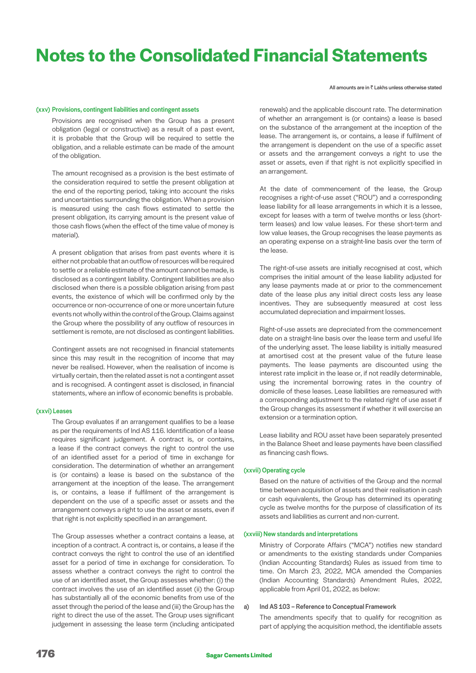All amounts are in  $\bar{z}$  Lakhs unless otherwise stated

#### (xxv) Provisions, contingent liabilities and contingent assets

Provisions are recognised when the Group has a present obligation (legal or constructive) as a result of a past event, it is probable that the Group will be required to settle the obligation, and a reliable estimate can be made of the amount of the obligation.

The amount recognised as a provision is the best estimate of the consideration required to settle the present obligation at the end of the reporting period, taking into account the risks and uncertainties surrounding the obligation. When a provision is measured using the cash flows estimated to settle the present obligation, its carrying amount is the present value of those cash flows (when the effect of the time value of money is material).

A present obligation that arises from past events where it is either not probable that an outflow of resources will be required to settle or a reliable estimate of the amount cannot be made, is disclosed as a contingent liability. Contingent liabilities are also disclosed when there is a possible obligation arising from past events, the existence of which will be confirmed only by the occurrence or non-occurrence of one or more uncertain future events not wholly within the control of the Group. Claims against the Group where the possibility of any outflow of resources in settlement is remote, are not disclosed as contingent liabilities.

Contingent assets are not recognised in financial statements since this may result in the recognition of income that may never be realised. However, when the realisation of income is virtually certain, then the related asset is not a contingent asset and is recognised. A contingent asset is disclosed, in financial statements, where an inflow of economic benefits is probable.

#### (xxvi) Leases

The Group evaluates if an arrangement qualifies to be a lease as per the requirements of Ind AS 116. Identification of a lease requires significant judgement. A contract is, or contains, a lease if the contract conveys the right to control the use of an identified asset for a period of time in exchange for consideration. The determination of whether an arrangement is (or contains) a lease is based on the substance of the arrangement at the inception of the lease. The arrangement is, or contains, a lease if fulfilment of the arrangement is dependent on the use of a specific asset or assets and the arrangement conveys a right to use the asset or assets, even if that right is not explicitly specified in an arrangement.

The Group assesses whether a contract contains a lease, at inception of a contract. A contract is, or contains, a lease if the contract conveys the right to control the use of an identified asset for a period of time in exchange for consideration. To assess whether a contract conveys the right to control the use of an identified asset, the Group assesses whether: (i) the contract involves the use of an identified asset (ii) the Group has substantially all of the economic benefits from use of the asset through the period of the lease and (iii) the Group has the right to direct the use of the asset. The Group uses significant judgement in assessing the lease term (including anticipated renewals) and the applicable discount rate. The determination of whether an arrangement is (or contains) a lease is based on the substance of the arrangement at the inception of the lease. The arrangement is, or contains, a lease if fulfilment of the arrangement is dependent on the use of a specific asset or assets and the arrangement conveys a right to use the asset or assets, even if that right is not explicitly specified in an arrangement.

At the date of commencement of the lease, the Group recognises a right-of-use asset ("ROU") and a corresponding lease liability for all lease arrangements in which it is a lessee, except for leases with a term of twelve months or less (shortterm leases) and low value leases. For these short-term and low value leases, the Group recognises the lease payments as an operating expense on a straight-line basis over the term of the lease.

The right-of-use assets are initially recognised at cost, which comprises the initial amount of the lease liability adjusted for any lease payments made at or prior to the commencement date of the lease plus any initial direct costs less any lease incentives. They are subsequently measured at cost less accumulated depreciation and impairment losses.

Right-of-use assets are depreciated from the commencement date on a straight-line basis over the lease term and useful life of the underlying asset. The lease liability is initially measured at amortised cost at the present value of the future lease payments. The lease payments are discounted using the interest rate implicit in the lease or, if not readily determinable, using the incremental borrowing rates in the country of domicile of these leases. Lease liabilities are remeasured with a corresponding adjustment to the related right of use asset if the Group changes its assessment if whether it will exercise an extension or a termination option.

Lease liability and ROU asset have been separately presented in the Balance Sheet and lease payments have been classified as financing cash flows.

#### (xxvii) Operating cycle

Based on the nature of activities of the Group and the normal time between acquisition of assets and their realisation in cash or cash equivalents, the Group has determined its operating cycle as twelve months for the purpose of classification of its assets and liabilities as current and non-current.

#### (xxviii) New standards and interpretations

Ministry of Corporate Affairs ("MCA") notifies new standard or amendments to the existing standards under Companies (Indian Accounting Standards) Rules as issued from time to time. On March 23, 2022, MCA amended the Companies (Indian Accounting Standards) Amendment Rules, 2022, applicable from April 01, 2022, as below:

#### a) Ind AS 103 – Reference to Conceptual Framework

The amendments specify that to qualify for recognition as part of applying the acquisition method, the identifiable assets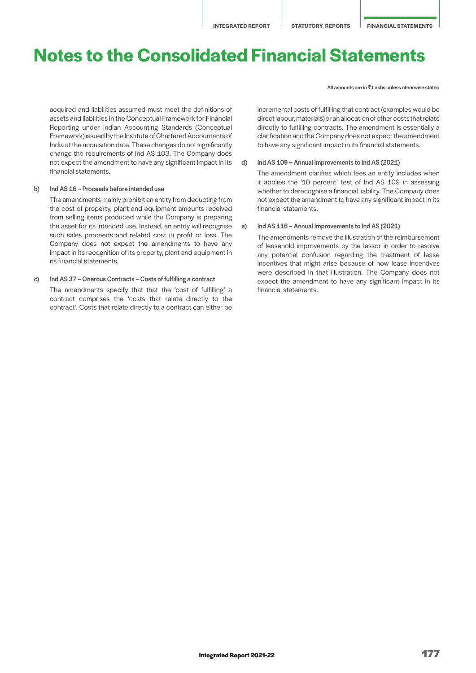acquired and liabilities assumed must meet the definitions of assets and liabilities in the Conceptual Framework for Financial Reporting under Indian Accounting Standards (Conceptual Framework) issued by the Institute of Chartered Accountants of India at the acquisition date. These changes do not significantly change the requirements of Ind AS 103. The Company does not expect the amendment to have any significant impact in its financial statements.

#### b) Ind AS 16 – Proceeds before intended use

The amendments mainly prohibit an entity from deducting from the cost of property, plant and equipment amounts received from selling items produced while the Company is preparing the asset for its intended use. Instead, an entity will recognise such sales proceeds and related cost in profit or loss. The Company does not expect the amendments to have any impact in its recognition of its property, plant and equipment in its financial statements.

#### c) Ind AS 37 – Onerous Contracts – Costs of fulfilling a contract

The amendments specify that that the 'cost of fulfilling' a contract comprises the 'costs that relate directly to the contract'. Costs that relate directly to a contract can either be All amounts are in  $\bar{z}$  Lakhs unless otherwise stated

incremental costs of fulfilling that contract (examples would be direct labour, materials) or an allocation of other costs that relate directly to fulfilling contracts. The amendment is essentially a clarification and the Company does not expect the amendment to have any significant impact in its financial statements.

#### d) Ind AS 109 – Annual improvements to Ind AS (2021)

The amendment clarifies which fees an entity includes when it applies the '10 percent' test of Ind AS 109 in assessing whether to derecognise a financial liability. The Company does not expect the amendment to have any significant impact in its financial statements.

#### e) Ind AS 116 – Annual Improvements to Ind AS (2021)

The amendments remove the illustration of the reimbursement of leasehold improvements by the lessor in order to resolve any potential confusion regarding the treatment of lease incentives that might arise because of how lease incentives were described in that illustration. The Company does not expect the amendment to have any significant impact in its financial statements.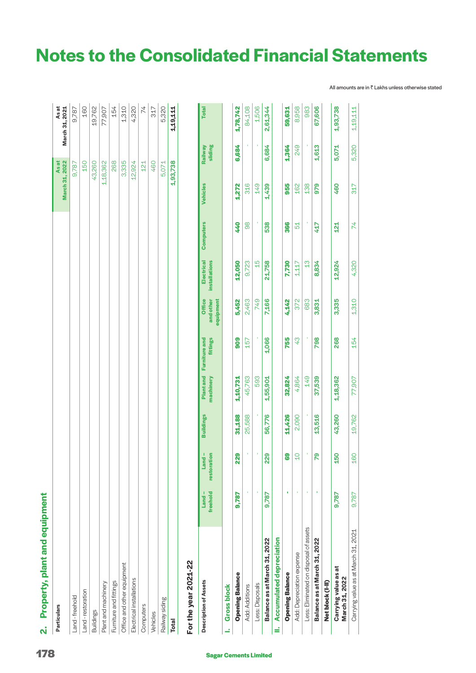# Property, plant and equipment **2. Property, plant and equipment**  $\mathbf{a}$

| <b>Particulars</b>         | <b>Asat</b>    |                         |
|----------------------------|----------------|-------------------------|
|                            | March 31, 2022 | As at<br>March 31, 2021 |
| Land-freehold              | 9,787          | 9,787                   |
| Land-restoration           | <b>150</b>     | 160                     |
| Buildings                  | 43,260         | 19,762                  |
| Plant and machinery        | 1,18,362       | 77,907                  |
| Furniture and fittings     | 268            | 154                     |
| Office and other equipment | 3,335          | 1,310                   |
| Electrical installations   | 12,924         | 4,320                   |
| Computers                  | 121            | 74                      |
| Vehicles                   | 460            | 317                     |
| Railway siding             | 5,071          | 5,320                   |
| <b>Total</b>               | 1,93,738       | 1,19,111                |
|                            |                |                         |

# For the year 2021-22 **For the year 2021-22**

| <b>Description of Assets</b>           | freehold<br>$L$ and $-$ | restoration<br>Land - | <b>Buildings</b> | machinery | <b>fittings</b><br>Plant and Furniture and | Office<br>and other<br>equipment | Electrical<br><b>installations</b> | <b>Computers</b> | <b>Vehicles</b> | sliding<br>Railway | <b>Total</b> |
|----------------------------------------|-------------------------|-----------------------|------------------|-----------|--------------------------------------------|----------------------------------|------------------------------------|------------------|-----------------|--------------------|--------------|
| <b>Gross block</b>                     |                         |                       |                  |           |                                            |                                  |                                    |                  |                 |                    |              |
| <b>Opening Balance</b>                 | 9,787                   | <b>229</b>            | 31,188           | 1,10,731  | 909                                        | 5,452                            | 12,050                             | 440              | 1,272           | 6,684              | 1,78,742     |
| <b>Add: Additions</b>                  |                         |                       | 25,588           | 45,763    | 157                                        | 2,463                            | 9,723                              | 8                | 316             |                    | 84,108       |
| Less: Disposals                        |                         |                       |                  | 593       |                                            | 749                              | $\frac{5}{1}$                      |                  | 149             |                    | 1,506        |
| Balance as at March 31, 2022           | 9,787                   | 229                   | 56,776           | 1,55,901  | 1,066                                      | 7,166                            | 21,758                             | 538              | 1,439           | 6,684              | 2,61,344     |
| II. Accumulated depreciation           |                         |                       |                  |           |                                            |                                  |                                    |                  |                 |                    |              |
| <b>Opening Balance</b>                 |                         | ශී                    | 11,426           | 32,824    | 755                                        | 4,142                            | 7,730                              | 366              | 955             | 1,364              | 59,631       |
| Add: Depreciation expense              |                         | $\overline{C}$        | 2,090            | 4,864     | 43                                         | 372                              | 1,117                              | 54               | 162             | 249                | 8,958        |
| Less: Eliminated on disposal of assets |                         |                       |                  | 149       |                                            | 683                              | $\frac{3}{4}$                      |                  | 138             |                    | 983          |
| Balance as at March 31, 2022           |                         | ల్గ                   | 13,516           | 37,539    | 798                                        | 3,831                            | 8,834                              | 417              | 979             | 1,613              | 67,606       |
| Net block (I-II)                       |                         |                       |                  |           |                                            |                                  |                                    |                  |                 |                    |              |
| Carrying value as at<br>March 31, 2022 | 9,787                   | <b>150</b>            | 43,260           | 1,18,362  | 268                                        | 3,335                            | 12,924                             | $\frac{21}{2}$   | 460             | 5,071              | 1,93,738     |
| Carrying value as at March 31, 2021    | 9.787                   | 160                   | 19,762           | 77,907    | 154                                        | 1,310                            | 4,320                              | 74               | 317             | 5,320              | 1,19,111     |

 $\pm$  $\sim 10^{-1}$  MeV  $\sim$  10  $\sim$ 

 $\mathbf{L}$ 

**Notes to the Consolidated Financial Statements** 

÷.

 $\mathcal{A}$  $\overline{1}$  $\mathbf{r}$  All amounts are in ₹ Lakhs unless otherwise stated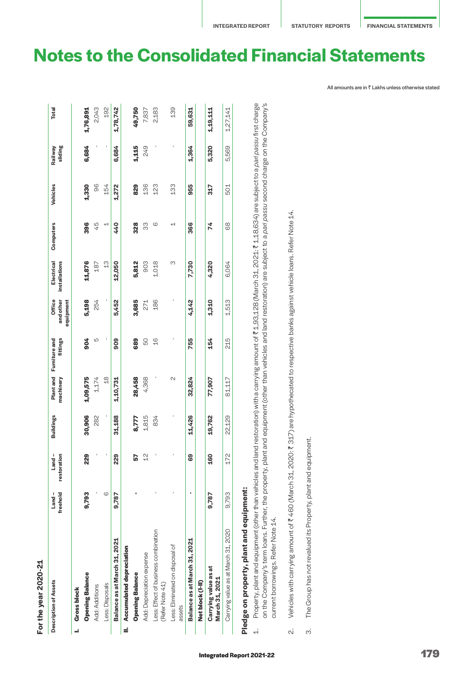# For the year 2020-21 **For the year 2020-21**

|   | Description of Assets                                                                                                                                                                                                                  | freehold<br>$L$ and $-$ | $L$ and $-$<br>restoration | <b>Buildings</b> | Plant and<br>machinery | Furniture and<br>fittings | and other<br>Office<br>equipment | Electrical<br>installations | Computers | Vehicles | sliding<br>Railway | Total    |
|---|----------------------------------------------------------------------------------------------------------------------------------------------------------------------------------------------------------------------------------------|-------------------------|----------------------------|------------------|------------------------|---------------------------|----------------------------------|-----------------------------|-----------|----------|--------------------|----------|
| ÷ | <b>Gross block</b>                                                                                                                                                                                                                     |                         |                            |                  |                        |                           |                                  |                             |           |          |                    |          |
|   | <b>Opening Balance</b>                                                                                                                                                                                                                 | 9,793                   | 229                        | 30,906           | 1,09,575               | 904                       | 5,198                            | 11,876                      | 396       | 1,330    | 6,684              | 1,76,891 |
|   | <b>Add: Additions</b>                                                                                                                                                                                                                  |                         |                            | 282              | 1,174                  | 5                         | 254                              | 187                         | 45        | 96       |                    | 2,043    |
|   | Less: Disposals                                                                                                                                                                                                                        | ပ                       |                            | ı                | $\frac{8}{10}$         |                           |                                  | $\frac{3}{1}$               | ⊣         | 154      |                    | 192      |
|   | Balance as at March 31, 2021                                                                                                                                                                                                           | 9,787                   | 229                        | 31,188           | 1,10,731               | 909                       | 5,452                            | 12,050                      | 440       | 1,272    | 6,684              | 1,78,742 |
| ś | <b>Accumulated depreciation</b>                                                                                                                                                                                                        |                         |                            |                  |                        |                           |                                  |                             |           |          |                    |          |
|   | <b>Opening Balance</b>                                                                                                                                                                                                                 |                         | 57                         | 8,777            | 28,458                 | 689                       | 3,685                            | 5,812                       | 328       | 829      | 1,115              | 49,750   |
|   | Add: Depreciation expense                                                                                                                                                                                                              |                         | $\frac{2}{1}$              | 1,815            | 4,368                  | 50                        | 271                              | 903                         | 33        | 136      | 249                | 7,837    |
|   | Less: Effect of business combination<br>(Refer Note 41)                                                                                                                                                                                |                         |                            | 834              |                        | $\frac{6}{1}$             | 186                              | 1,018                       | ဖ         | 123      |                    | 2,183    |
|   | Less: Eliminated on disposal of<br>assets                                                                                                                                                                                              |                         |                            |                  | 2                      |                           |                                  | ო                           | ⊣         | 133      |                    | 139      |
|   | Balance as at March 31, 2021                                                                                                                                                                                                           |                         | 89                         | 11,426           | 32,824                 | 755                       | 4,142                            | 7,730                       | 366       | 955      | 1,364              | 59,631   |
|   | Net block (I-II)                                                                                                                                                                                                                       |                         |                            |                  |                        |                           |                                  |                             |           |          |                    |          |
|   | Carrying value as at<br>March 31, 2021                                                                                                                                                                                                 | 9,787                   | 160                        | 19,762           | 77,907                 | 154                       | 1,310                            | 4,320                       | 74        | 317      | 5,320              | 1,19,111 |
|   | Carrying value as at March 31, 2020                                                                                                                                                                                                    | 9,793                   | 172                        | 22,129           | 81,117                 | 215                       | 1,513                            | 6,064                       | 68        | 501      | 5,569              | 1,27,141 |
|   | Property, plant and equipment (other than vehicles and land restoration) with a carrying amount of ₹ 1,93,128 (March 31, 2021: ₹ 1,18,634) are subject to a <i>pari passu</i> first charge<br>Pledge on property, plant and equipment: |                         |                            |                  |                        |                           |                                  |                             |           |          |                    |          |

Property, plant and equipment (other than vehicles and land restoration) with a carrying amount of ₹1,93,128 (March 31, 2021: ₹1,18,634) are subject to a pari passu first charge 1. Property, plant and equipment (other than vehicles and land restoration) with a carrying amount of ` 1,93,128 (March 31, 2021: ` 1,18,634) are subject to a *pari passu* first charge on the Company's term loans. Further, the property, plant and equipment (other than vehicles and land restoration) are subject to a *pari passu* second charge on the Company's on the Company's term loans. Further, the property, plant and equipment (other than vehicles and land restoration) are subject to a *pari passu* second charge on the Company's current borrowings. Refer Note 14. current borrowings. Refer Note 14.

Vehicles with carrying amount of ₹460 (March 31, 2020: ₹317) are hypothecated to respective banks against vehicle loans. Refer Note 14. 2. Vehicles with carrying amount of ` 460 (March 31, 2020: ` 317) are hypothecated to respective banks against vehicle loans. Refer Note 14.  $\sim$ 

The Group has not revalued its Property, plant and equipment. 3. The Group has not revalued its Property, plant and equipment. C.

# **Notes to the Consolidated Financial Statements**

All amounts are in ₹ Lakhs unless otherwise stated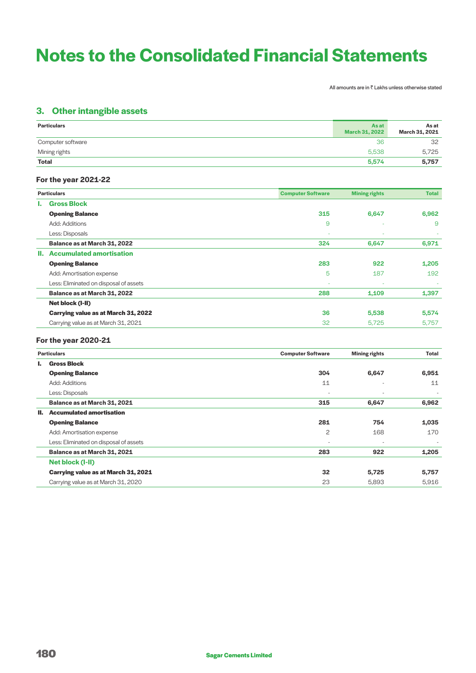All amounts are in  $\bar{\bar{\tau}}$  Lakhs unless otherwise stated

# **3. Other intangible assets**

| <b>Particulars</b> | As at<br><b>March 31, 2022</b> | As at<br>March 31, 2021 |
|--------------------|--------------------------------|-------------------------|
| Computer software  | 36                             | 32                      |
| Mining rights      | 5.538                          | 5,725                   |
| <b>Total</b>       | 5,574                          | 5,757                   |

### **For the year 2021-22**

|    | <b>Particulars</b>                     | <b>Computer Software</b> | <b>Mining rights</b>     | <b>Total</b> |
|----|----------------------------------------|--------------------------|--------------------------|--------------|
| ь. | <b>Gross Block</b>                     |                          |                          |              |
|    | <b>Opening Balance</b>                 | 315                      | 6,647                    | 6,962        |
|    | Add: Additions                         | 9                        | $\overline{\phantom{a}}$ | 9            |
|    | Less: Disposals                        | ۰                        |                          |              |
|    | Balance as at March 31, 2022           | 324                      | 6,647                    | 6,971        |
| Ш. | <b>Accumulated amortisation</b>        |                          |                          |              |
|    | <b>Opening Balance</b>                 | 283                      | 922                      | 1,205        |
|    | Add: Amortisation expense              | 5                        | 187                      | 192          |
|    | Less: Eliminated on disposal of assets | ۰                        |                          |              |
|    | Balance as at March 31, 2022           | 288                      | 1,109                    | 1,397        |
|    | Net block (I-II)                       |                          |                          |              |
|    | Carrying value as at March 31, 2022    | 36                       | 5,538                    | 5,574        |
|    | Carrying value as at March 31, 2021    | 32                       | 5,725                    | 5,757        |

### **For the year 2020-21**

|    | <b>Particulars</b>                     | <b>Computer Software</b> | <b>Mining rights</b>     | Total                    |
|----|----------------------------------------|--------------------------|--------------------------|--------------------------|
| ь. | <b>Gross Block</b>                     |                          |                          |                          |
|    | <b>Opening Balance</b>                 | 304                      | 6,647                    | 6,951                    |
|    | Add: Additions                         | 11                       |                          | 11                       |
|    | Less: Disposals                        |                          |                          |                          |
|    | Balance as at March 31, 2021           | 315                      | 6,647                    | 6,962                    |
| Ш. | <b>Accumulated amortisation</b>        |                          |                          |                          |
|    | <b>Opening Balance</b>                 | 281                      | 754                      | 1,035                    |
|    | Add: Amortisation expense              | 2                        | 168                      | 170                      |
|    | Less: Eliminated on disposal of assets | $\overline{\phantom{a}}$ | $\overline{\phantom{a}}$ | $\overline{\phantom{a}}$ |
|    | Balance as at March 31, 2021           | 283                      | 922                      | 1,205                    |
|    | Net block (I-II)                       |                          |                          |                          |
|    | Carrying value as at March 31, 2021    | 32                       | 5,725                    | 5,757                    |
|    | Carrying value as at March 31, 2020    | 23                       | 5,893                    | 5,916                    |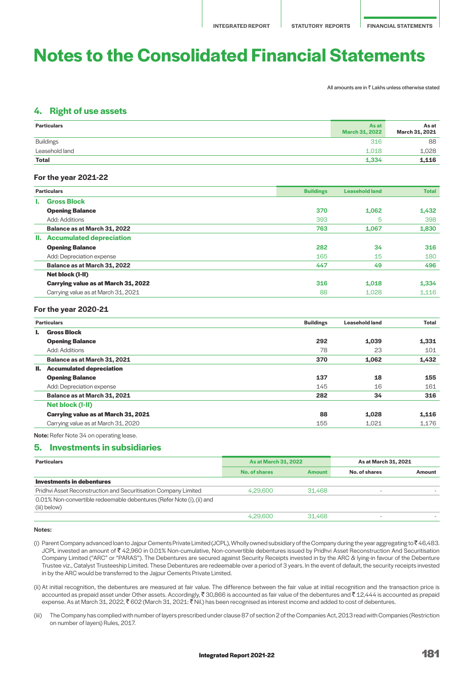All amounts are in  $\bar{\tau}$  Lakhs unless otherwise stated

### **4. Right of use assets**

| <b>Particulars</b> | <b>As at</b><br><b>March 31, 2022</b> | As at<br>March 31, 2021 |
|--------------------|---------------------------------------|-------------------------|
| <b>Buildings</b>   | 316                                   | 88                      |
| Leasehold land     | 1.018                                 | 1,028                   |
| <b>Total</b>       | 1,334                                 | 1,116                   |

#### **For the year 2021-22**

|              | <b>Particulars</b>                  | <b>Buildings</b> | <b>Leasehold land</b> | <b>Total</b> |
|--------------|-------------------------------------|------------------|-----------------------|--------------|
| $\mathbf{L}$ | <b>Gross Block</b>                  |                  |                       |              |
|              | <b>Opening Balance</b>              | 370              | 1,062                 | 1,432        |
|              | Add: Additions                      | 393              | 5                     | 398          |
|              | Balance as at March 31, 2022        | 763              | 1,067                 | 1,830        |
| н. -         | <b>Accumulated depreciation</b>     |                  |                       |              |
|              | <b>Opening Balance</b>              | 282              | 34                    | 316          |
|              | Add: Depreciation expense           | 165              | 15                    | 180          |
|              | Balance as at March 31, 2022        | 447              | 49                    | 496          |
|              | Net block (I-II)                    |                  |                       |              |
|              | Carrying value as at March 31, 2022 | 316              | 1.018                 | 1,334        |
|              | Carrying value as at March 31, 2021 | 88               | 1.028                 | 1,116        |

#### **For the year 2020-21**

|    | <b>Particulars</b>                  | <b>Buildings</b> | <b>Leasehold land</b> | <b>Total</b> |
|----|-------------------------------------|------------------|-----------------------|--------------|
| ь. | <b>Gross Block</b>                  |                  |                       |              |
|    | <b>Opening Balance</b>              | 292              | 1,039                 | 1,331        |
|    | Add: Additions                      | 78               | 23                    | 101          |
|    | Balance as at March 31, 2021        | 370              | 1,062                 | 1,432        |
| ш. | <b>Accumulated depreciation</b>     |                  |                       |              |
|    | <b>Opening Balance</b>              | 137              | 18                    | 155          |
|    | Add: Depreciation expense           | 145              | 16                    | 161          |
|    | Balance as at March 31, 2021        | 282              | 34                    | 316          |
|    | Net block (I-II)                    |                  |                       |              |
|    | Carrying value as at March 31, 2021 | 88               | 1,028                 | 1,116        |
|    | Carrying value as at March 31, 2020 | 155              | 1.021                 | 1.176        |

Note: Refer Note 34 on operating lease.

#### **5. Investments in subsidiaries**

| <b>Particulars</b>                                                                    | As at March 31, 2022 |               | As at March 31, 2021 |        |
|---------------------------------------------------------------------------------------|----------------------|---------------|----------------------|--------|
|                                                                                       | No. of shares        | <b>Amount</b> | No. of shares        | Amount |
| <b>Investments in debentures</b>                                                      |                      |               |                      |        |
| Pridhvi Asset Reconstruction and Securitisation Company Limited                       | 4.29,600             | 31.468        |                      |        |
| 0.01% Non-convertible redeemable debentures (Refer Note (i), (ii) and<br>(iii) below) |                      |               |                      |        |
|                                                                                       | 4.29.600             | 31.468        | ۰                    |        |

#### Notes:

- (i) Parent Company advanced loan to Jajpur Cements Private Limited (JCPL), Wholly owned subsidiary of the Company during the year aggregating to ` 46,483. JCPL invested an amount of ` 42,960 in 0.01% Non-cumulative, Non-convertible debentures issued by Pridhvi Asset Reconstruction And Securitisation Company Limited ("ARC" or "PARAS"). The Debentures are secured against Security Receipts invested in by the ARC & lying-in favour of the Debenture Trustee viz., Catalyst Trusteeship Limited. These Debentures are redeemable over a period of 3 years. In the event of default, the security receipts invested in by the ARC would be transferred to the Jajpur Cements Private Limited.
- (ii) At initial recognition, the debentures are measured at fair value. The difference between the fair value at initial recognition and the transaction price is accounted as prepaid asset under Other assets. Accordingly, ₹ 30,866 is accounted as fair value of the debentures and ₹ 12,444 is accounted as prepaid expense. As at March 31, 2022, ₹ 602 (March 31, 2021: ₹ Nil.) has been recognised as interest income and added to cost of debentures.
- (iii) The Company has complied with number of layers prescribed under clause 87 of section 2 of the Companies Act, 2013 read with Companies (Restriction on number of layers) Rules, 2017.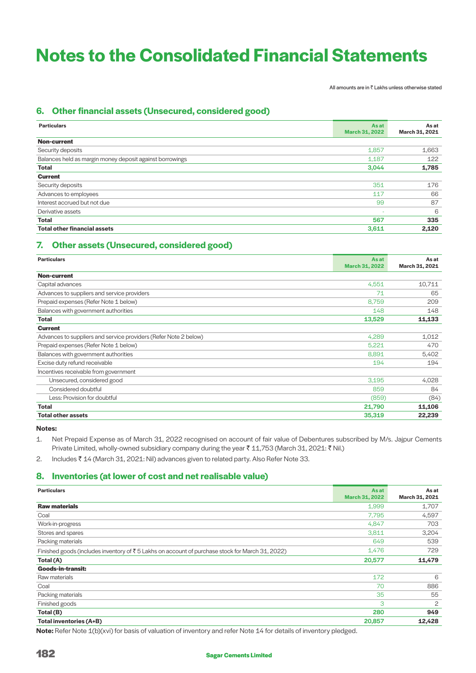All amounts are in  $\bar{\bar{\tau}}$  Lakhs unless otherwise stated

### **6. Other financial assets (Unsecured, considered good)**

| <b>Particulars</b>                                       | As at                 | As at          |
|----------------------------------------------------------|-----------------------|----------------|
|                                                          | <b>March 31, 2022</b> | March 31, 2021 |
| <b>Non-current</b>                                       |                       |                |
| Security deposits                                        | 1,857                 | 1,663          |
| Balances held as margin money deposit against borrowings | 1,187                 | 122            |
| <b>Total</b>                                             | 3,044                 | 1,785          |
| <b>Current</b>                                           |                       |                |
| Security deposits                                        | 351                   | 176            |
| Advances to employees                                    | 117                   | 66             |
| Interest accrued but not due                             | 99                    | 87             |
| Derivative assets                                        | ٠                     | 6              |
| <b>Total</b>                                             | 567                   | 335            |
| <b>Total other financial assets</b>                      | 3,611                 | 2.120          |

# **7. Other assets (Unsecured, considered good)**

| <b>Particulars</b>                                               | As at<br><b>March 31, 2022</b> | As at<br>March 31, 2021 |
|------------------------------------------------------------------|--------------------------------|-------------------------|
| <b>Non-current</b>                                               |                                |                         |
| Capital advances                                                 | 4,551                          | 10,711                  |
| Advances to suppliers and service providers                      | 71                             | 65                      |
| Prepaid expenses (Refer Note 1 below)                            | 8.759                          | 209                     |
| Balances with government authorities                             | 148                            | 148                     |
| <b>Total</b>                                                     | 13,529                         | 11,133                  |
| <b>Current</b>                                                   |                                |                         |
| Advances to suppliers and service providers (Refer Note 2 below) | 4,289                          | 1,012                   |
| Prepaid expenses (Refer Note 1 below)                            | 5,221                          | 470                     |
| Balances with government authorities                             | 8,891                          | 5,402                   |
| Excise duty refund receivable                                    | 194                            | 194                     |
| Incentives receivable from government                            |                                |                         |
| Unsecured, considered good                                       | 3,195                          | 4,028                   |
| Considered doubtful                                              | 859                            | 84                      |
| Less: Provision for doubtful                                     | (859)                          | (84)                    |
| Total                                                            | 21,790                         | 11,106                  |
| <b>Total other assets</b>                                        | 35,319                         | 22,239                  |

**Notes:** 

1. Net Prepaid Expense as of March 31, 2022 recognised on account of fair value of Debentures subscribed by M/s. Jajpur Cements Private Limited, wholly-owned subsidiary company during the year  $\bar{\tau}$  11,753 (March 31, 2021:  $\bar{\tau}$  Nil.)

2. Includes ₹ 14 (March 31, 2021: Nil) advances given to related party. Also Refer Note 33.

### **8. Inventories (at lower of cost and net realisable value)**

| <b>Particulars</b>                                                                                         | As at<br><b>March 31, 2022</b> | As at<br>March 31, 2021 |
|------------------------------------------------------------------------------------------------------------|--------------------------------|-------------------------|
| <b>Raw materials</b>                                                                                       | 1,999                          | 1,707                   |
| Coal                                                                                                       | 7.795                          | 4,597                   |
| Work-in-progress                                                                                           | 4,847                          | 703                     |
| Stores and spares                                                                                          | 3,811                          | 3,204                   |
| Packing materials                                                                                          | 649                            | 539                     |
| Finished goods (includes inventory of $\bar{\xi}$ 5 Lakhs on account of purchase stock for March 31, 2022) | 1,476                          | 729                     |
| Total (A)                                                                                                  | 20,577                         | 11,479                  |
| <b>Goods-in-transit:</b>                                                                                   |                                |                         |
| Raw materials                                                                                              | 172                            | 6                       |
| Coal                                                                                                       | 70                             | 886                     |
| Packing materials                                                                                          | 35                             | 55                      |
| Finished goods                                                                                             | 3                              | $\overline{c}$          |
| Total (B)                                                                                                  | 280                            | 949                     |
| Total inventories (A+B)                                                                                    | 20,857                         | 12,428                  |

**Note:** Refer Note 1(b)(xvi) for basis of valuation of inventory and refer Note 14 for details of inventory pledged.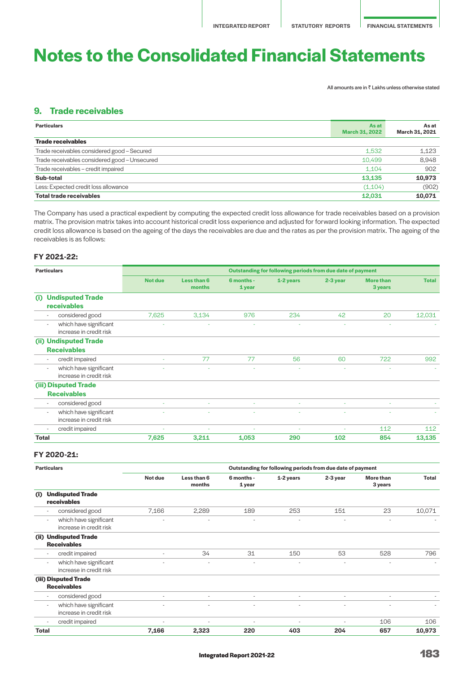All amounts are in  $\bar{\bar{\tau}}$  Lakhs unless otherwise stated

### **9. Trade receivables**

| <b>Particulars</b>                            | <b>As at</b>          | As at          |
|-----------------------------------------------|-----------------------|----------------|
|                                               | <b>March 31, 2022</b> | March 31, 2021 |
| <b>Trade receivables</b>                      |                       |                |
| Trade receivables considered good - Secured   | 1.532                 | 1,123          |
| Trade receivables considered good - Unsecured | 10.499                | 8.948          |
| Trade receivables - credit impaired           | 1.104                 | 902            |
| Sub-total                                     | 13,135                | 10,973         |
| Less: Expected credit loss allowance          | (1,104)               | (902)          |
| <b>Total trade receivables</b>                | 12,031                | 10,071         |

The Company has used a practical expedient by computing the expected credit loss allowance for trade receivables based on a provision matrix. The provision matrix takes into account historical credit loss experience and adjusted for forward looking information. The expected credit loss allowance is based on the ageing of the days the receivables are due and the rates as per the provision matrix. The ageing of the receivables is as follows:

#### **FY 2021-22:**

| Outstanding for following periods from due date of payment<br><b>Particulars</b> |                |                       |                      |           |                |                             |              |
|----------------------------------------------------------------------------------|----------------|-----------------------|----------------------|-----------|----------------|-----------------------------|--------------|
|                                                                                  | <b>Not due</b> | Less than 6<br>months | 6 months -<br>1 year | 1-2 years | 2-3 year       | <b>More than</b><br>3 years | <b>Total</b> |
| <b>Undisputed Trade</b><br>(i)<br><b>receivables</b>                             |                |                       |                      |           |                |                             |              |
| considered good<br>$\overline{\phantom{a}}$                                      | 7,625          | 3,134                 | 976                  | 234       | 42             | 20                          | 12,031       |
| which have significant<br>$\overline{\phantom{a}}$<br>increase in credit risk    |                |                       | ÷                    |           | $\overline{a}$ | ÷                           |              |
| (ii) Undisputed Trade                                                            |                |                       |                      |           |                |                             |              |
| <b>Receivables</b>                                                               |                |                       |                      |           |                |                             |              |
| credit impaired<br>$\overline{\phantom{a}}$                                      |                | 77                    | 77                   | 56        | 60             | 722                         | 992          |
| which have significant<br>$\overline{\phantom{a}}$<br>increase in credit risk    |                | ÷                     | ÷                    | ÷         | ÷              | ÷                           |              |
| (iii) Disputed Trade                                                             |                |                       |                      |           |                |                             |              |
| <b>Receivables</b>                                                               |                |                       |                      |           |                |                             |              |
| considered good<br>$\overline{\phantom{a}}$                                      | ÷              | $\sim$                | ÷                    | ÷         | $\sim$         | ٠                           |              |
| which have significant<br>$\overline{\phantom{a}}$<br>increase in credit risk    |                | ÷                     | ٠                    | ÷         | ٠              | ٠                           |              |
| credit impaired<br>$\overline{\phantom{a}}$                                      | ٠              | $\sim$                | ٠                    | ÷         | $\sim$         | 112                         | 112          |
| <b>Total</b>                                                                     | 7,625          | 3,211                 | 1,053                | 290       | 102            | 854                         | 13,135       |

### **FY 2020-21:**

|              | <b>Particulars</b>                                                            | Outstanding for following periods from due date of payment |                          |                          |                          |                          |                             |        |
|--------------|-------------------------------------------------------------------------------|------------------------------------------------------------|--------------------------|--------------------------|--------------------------|--------------------------|-----------------------------|--------|
|              |                                                                               | Not due                                                    | Less than 6<br>months    | 6 months -<br>1 year     | 1-2 years                | 2-3 year                 | <b>More than</b><br>3 years | Total  |
| (i)          | <b>Undisputed Trade</b><br>receivables                                        |                                                            |                          |                          |                          |                          |                             |        |
|              | considered good<br>$\overline{\phantom{0}}$                                   | 7,166                                                      | 2,289                    | 189                      | 253                      | 151                      | 23                          | 10,071 |
|              | which have significant<br>$\overline{\phantom{a}}$<br>increase in credit risk |                                                            | $\overline{\phantom{a}}$ | $\overline{\phantom{a}}$ | ٠                        |                          |                             |        |
| (iii)        | <b>Undisputed Trade</b><br><b>Receivables</b>                                 |                                                            |                          |                          |                          |                          |                             |        |
|              | credit impaired<br>$\overline{\phantom{a}}$                                   |                                                            | 34                       | 31                       | 150                      | 53                       | 528                         | 796    |
|              | which have significant<br>$\overline{\phantom{a}}$<br>increase in credit risk |                                                            | $\overline{a}$           | $\overline{\phantom{a}}$ | $\overline{a}$           | $\overline{\phantom{a}}$ | $\overline{a}$              |        |
|              | (iii) Disputed Trade                                                          |                                                            |                          |                          |                          |                          |                             |        |
|              | <b>Receivables</b>                                                            |                                                            |                          |                          |                          |                          |                             |        |
|              | considered good<br>$\overline{\phantom{a}}$                                   | $\overline{\phantom{a}}$                                   | $\overline{\phantom{a}}$ | $\overline{\phantom{a}}$ | $\overline{\phantom{a}}$ | $\overline{\phantom{a}}$ | $\overline{\phantom{a}}$    |        |
|              | which have significant<br>$\overline{\phantom{a}}$<br>increase in credit risk |                                                            | $\overline{\phantom{a}}$ | $\overline{\phantom{a}}$ | ٠                        |                          |                             |        |
|              | credit impaired<br>$\overline{\phantom{a}}$                                   | $\overline{\phantom{a}}$                                   | $\overline{\phantom{a}}$ | $\overline{\phantom{a}}$ | $\overline{\phantom{a}}$ | $\overline{\phantom{a}}$ | 106                         | 106    |
| <b>Total</b> |                                                                               | 7,166                                                      | 2,323                    | 220                      | 403                      | 204                      | 657                         | 10,973 |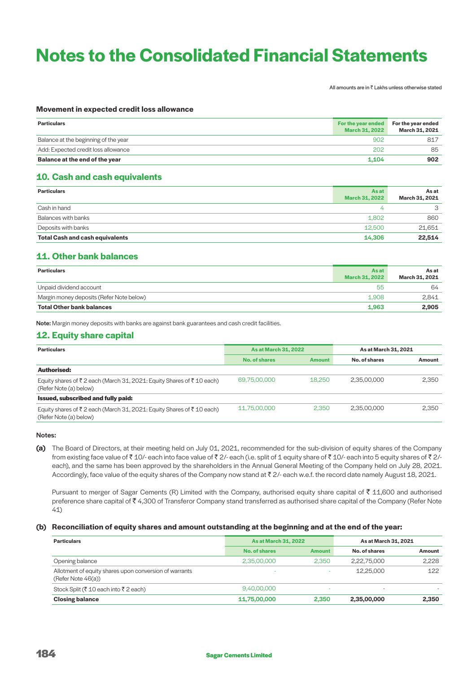All amounts are in  $\bar{\bar{\xi}}$  Lakhs unless otherwise stated

#### **Movement in expected credit loss allowance**

| <b>Particulars</b>                   | For the year ended<br>March 31, 2022 | For the year ended<br>March 31, 2021 |
|--------------------------------------|--------------------------------------|--------------------------------------|
| Balance at the beginning of the year | 902                                  | 817                                  |
| Add: Expected credit loss allowance  | 202                                  | 85                                   |
| Balance at the end of the year       | 1.104                                | 902                                  |

### **10. Cash and cash equivalents**

| <b>Particulars</b>                     | As at                 | As at          |
|----------------------------------------|-----------------------|----------------|
|                                        | <b>March 31, 2022</b> | March 31, 2021 |
| Cash in hand                           |                       | 3              |
| Balances with banks                    | 1,802                 | 860            |
| Deposits with banks                    | 12.500                | 21.651         |
| <b>Total Cash and cash equivalents</b> | 14,306                | 22,514         |

### **11. Other bank balances**

| <b>Particulars</b>                       | As at<br>March 31, 2022 | As at<br>March 31, 2021 |
|------------------------------------------|-------------------------|-------------------------|
| Unpaid dividend account                  | 55                      | 64                      |
| Margin money deposits (Refer Note below) | 1.908                   | 2.841                   |
| <b>Total Other bank balances</b>         | 1.963                   | 2.905                   |

Note: Margin money deposits with banks are against bank guarantees and cash credit facilities.

### **12. Equity share capital**

| <b>Particulars</b>                                                                                                       | <b>As at March 31, 2022</b> |               | As at March 31, 2021 |        |  |
|--------------------------------------------------------------------------------------------------------------------------|-----------------------------|---------------|----------------------|--------|--|
|                                                                                                                          | No. of shares               | <b>Amount</b> | No. of shares        | Amount |  |
| <b>Authorised:</b>                                                                                                       |                             |               |                      |        |  |
| Equity shares of ₹2 each (March 31, 2021: Equity Shares of ₹10 each)<br>(Refer Note (a) below)                           | 69,75,00,000                | 18,250        | 2.35.00.000          | 2.350  |  |
| Issued, subscribed and fully paid:                                                                                       |                             |               |                      |        |  |
| Equity shares of $\bar{\zeta}$ 2 each (March 31, 2021: Equity Shares of $\bar{\zeta}$ 10 each)<br>(Refer Note (a) below) | 11,75,00,000                | 2.350         | 2.35.00.000          | 2.350  |  |

#### Notes:

**(a)** The Board of Directors, at their meeting held on July 01, 2021, recommended for the sub-division of equity shares of the Company from existing face value of ₹10/- each into face value of ₹2/- each (i.e. split of 1 equity share of ₹10/- each into 5 equity shares of ₹2/each), and the same has been approved by the shareholders in the Annual General Meeting of the Company held on July 28, 2021. Accordingly, face value of the equity shares of the Company now stand at ₹ 2/- each w.e.f. the record date namely August 18, 2021.

Pursuant to merger of Sagar Cements (R) Limited with the Company, authorised equity share capital of  $\bar{z}$  11,600 and authorised preference share capital of  $\bar{\xi}$  4,300 of Transferor Company stand transferred as authorised share capital of the Company (Refer Note 41)

#### **(b) Reconciliation of equity shares and amount outstanding at the beginning and at the end of the year:**

| <b>Particulars</b>                                                           |               | <b>As at March 31, 2022</b> |                          | As at March 31, 2021     |  |  |
|------------------------------------------------------------------------------|---------------|-----------------------------|--------------------------|--------------------------|--|--|
|                                                                              | No. of shares | <b>Amount</b>               | No. of shares            | <b>Amount</b>            |  |  |
| Opening balance                                                              | 2,35,00,000   | 2.350                       | 2.22.75.000              | 2.228                    |  |  |
| Allotment of equity shares upon conversion of warrants<br>(Refer Note 46(a)) | -             | $\overline{\phantom{a}}$    | 12.25.000                | 122                      |  |  |
| Stock Split (₹ 10 each into ₹ 2 each)                                        | 9,40,00,000   | $\sim$                      | $\overline{\phantom{a}}$ | $\overline{\phantom{a}}$ |  |  |
| <b>Closing balance</b>                                                       | 11,75,00,000  | 2.350                       | 2,35,00,000              | 2,350                    |  |  |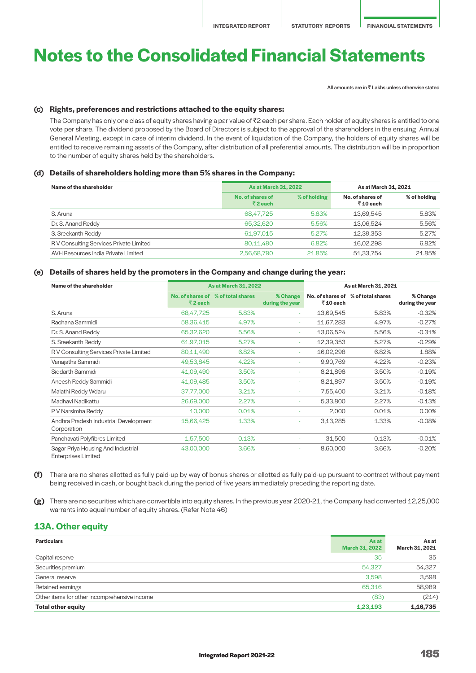All amounts are in  $\bar{z}$  Lakhs unless otherwise stated

#### **(c) Rights, preferences and restrictions attached to the equity shares:**

The Company has only one class of equity shares having a par value of  $72$  each per share. Each holder of equity shares is entitled to one vote per share. The dividend proposed by the Board of Directors is subject to the approval of the shareholders in the ensuing Annual General Meeting, except in case of interim dividend. In the event of liquidation of the Company, the holders of equity shares will be entitled to receive remaining assets of the Company, after distribution of all preferential amounts. The distribution will be in proportion to the number of equity shares held by the shareholders.

#### **(d) Details of shareholders holding more than 5% shares in the Company:**

| Name of the shareholder                 | <b>As at March 31, 2022</b>                          |        | As at March 31, 2021         |              |  |
|-----------------------------------------|------------------------------------------------------|--------|------------------------------|--------------|--|
|                                         | No. of shares of<br>% of holding<br>$\bar{z}$ 2 each |        | No. of shares of<br>₹10 each | % of holding |  |
| S. Aruna                                | 68,47,725                                            | 5.83%  | 13.69.545                    | 5.83%        |  |
| Dr. S. Anand Reddy                      | 65,32,620                                            | 5.56%  | 13,06,524                    | 5.56%        |  |
| S. Sreekanth Reddy                      | 61,97,015                                            | 5.27%  | 12.39.353                    | 5.27%        |  |
| R V Consulting Services Private Limited | 80,11,490                                            | 6.82%  | 16,02,298                    | 6.82%        |  |
| AVH Resources India Private Limited     | 2,56,68,790                                          | 21.85% | 51.33.754                    | 21.85%       |  |

#### **(e) Details of shares held by the promoters in the Company and change during the year:**

| Name of the shareholder                                          |           | <b>As at March 31, 2022</b>        |                             | As at March 31, 2021 |                                    |                             |
|------------------------------------------------------------------|-----------|------------------------------------|-----------------------------|----------------------|------------------------------------|-----------------------------|
|                                                                  | ₹2 each   | No. of shares of % of total shares | % Change<br>during the year | $\bar{z}$ 10 each    | No. of shares of % of total shares | % Change<br>during the year |
| S. Aruna                                                         | 68,47,725 | 5.83%                              |                             | 13,69,545            | 5.83%                              | $-0.32%$                    |
| Rachana Sammidi                                                  | 58,36,415 | 4.97%                              |                             | 11,67,283            | 4.97%                              | $-0.27%$                    |
| Dr. S. Anand Reddy                                               | 65,32,620 | 5.56%                              | ÷                           | 13,06,524            | 5.56%                              | $-0.31%$                    |
| S. Sreekanth Reddy                                               | 61,97,015 | 5.27%                              | ÷                           | 12,39,353            | 5.27%                              | $-0.29%$                    |
| R V Consulting Services Private Limited                          | 80,11,490 | 6.82%                              | ÷                           | 16,02,298            | 6.82%                              | 1.88%                       |
| Vanajatha Sammidi                                                | 49,53,845 | 4.22%                              | ÷                           | 9,90,769             | 4.22%                              | $-0.23%$                    |
| Siddarth Sammidi                                                 | 41,09,490 | 3.50%                              | ÷                           | 8,21,898             | 3.50%                              | $-0.19%$                    |
| Aneesh Reddy Sammidi                                             | 41,09,485 | 3.50%                              |                             | 8,21,897             | 3.50%                              | $-0.19%$                    |
| Malathi Reddy Wdaru                                              | 37,77,000 | 3.21%                              | ÷                           | 7,55,400             | 3.21%                              | $-0.18%$                    |
| Madhavi Nadikattu                                                | 26,69,000 | 2.27%                              | ÷                           | 5,33,800             | 2.27%                              | $-0.13%$                    |
| P V Narsimha Reddy                                               | 10,000    | 0.01%                              | ÷.                          | 2,000                | 0.01%                              | 0.00%                       |
| Andhra Pradesh Industrial Development<br>Corporation             | 15,66,425 | 1.33%                              | ÷                           | 3,13,285             | 1.33%                              | $-0.08%$                    |
| Panchavati Polyfibres Limited                                    | 1,57,500  | 0.13%                              |                             | 31,500               | 0.13%                              | $-0.01%$                    |
| Sagar Priya Housing And Industrial<br><b>Enterprises Limited</b> | 43,00,000 | 3.66%                              |                             | 8,60,000             | 3.66%                              | $-0.20%$                    |

**(f)** There are no shares allotted as fully paid-up by way of bonus shares or allotted as fully paid-up pursuant to contract without payment being received in cash, or bought back during the period of five years immediately preceding the reporting date.

**(g)** There are no securities which are convertible into equity shares. In the previous year 2020-21, the Company had converted 12,25,000 warrants into equal number of equity shares. (Refer Note 46)

### **13A. Other equity**

| <b>Particulars</b>                           | <b>As at</b><br><b>March 31, 2022</b> | As at<br>March 31, 2021 |
|----------------------------------------------|---------------------------------------|-------------------------|
| Capital reserve                              | 35                                    | 35                      |
| Securities premium                           | 54,327                                | 54,327                  |
| General reserve                              | 3.598                                 | 3,598                   |
| Retained earnings                            | 65,316                                | 58,989                  |
| Other items for other incomprehensive income | (83)                                  | (214)                   |
| <b>Total other equity</b>                    | 1,23,193                              | 1,16,735                |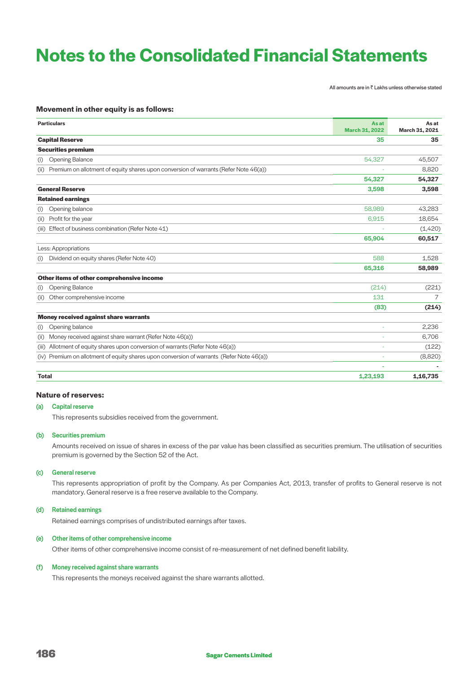All amounts are in  $\bar{\bar{\tau}}$  Lakhs unless otherwise stated

#### **Movement in other equity is as follows:**

| <b>Particulars</b>                                                                           | As at<br><b>March 31, 2022</b> | As at<br>March 31, 2021 |
|----------------------------------------------------------------------------------------------|--------------------------------|-------------------------|
| <b>Capital Reserve</b>                                                                       | 35                             | 35                      |
| <b>Securities premium</b>                                                                    |                                |                         |
| <b>Opening Balance</b><br>(i)                                                                | 54,327                         | 45,507                  |
| Premium on allotment of equity shares upon conversion of warrants (Refer Note 46(a))<br>(ii) |                                | 8,820                   |
|                                                                                              | 54,327                         | 54,327                  |
| <b>General Reserve</b>                                                                       | 3,598                          | 3,598                   |
| <b>Retained earnings</b>                                                                     |                                |                         |
| Opening balance<br>(i)                                                                       | 58,989                         | 43,283                  |
| Profit for the year<br>(ii)                                                                  | 6,915                          | 18,654                  |
| Effect of business combination (Refer Note 41)<br>(iii)                                      |                                | (1,420)                 |
|                                                                                              | 65,904                         | 60,517                  |
| Less: Appropriations                                                                         |                                |                         |
| Dividend on equity shares (Refer Note 40)<br>(i)                                             | 588                            | 1.528                   |
|                                                                                              | 65,316                         | 58,989                  |
| Other items of other comprehensive income                                                    |                                |                         |
| <b>Opening Balance</b><br>(i)                                                                | (214)                          | (221)                   |
| Other comprehensive income<br>(ii)                                                           | 131                            | 7                       |
|                                                                                              | (83)                           | (214)                   |
| <b>Money received against share warrants</b>                                                 |                                |                         |
| Opening balance<br>(i)                                                                       |                                | 2,236                   |
| Money received against share warrant (Refer Note 46(a))<br>(ii)                              |                                | 6,706                   |
| Allotment of equity shares upon conversion of warrants (Refer Note 46(a))<br>(iii)           |                                | (122)                   |
| (iv) Premium on allotment of equity shares upon conversion of warrants (Refer Note 46(a))    |                                | (8,820)                 |
|                                                                                              | ٠                              |                         |
| <b>Total</b>                                                                                 | 1,23,193                       | 1,16,735                |
|                                                                                              |                                |                         |

#### **Nature of reserves:**

#### (a) Capital reserve

This represents subsidies received from the government.

#### (b) Securities premium

 Amounts received on issue of shares in excess of the par value has been classified as securities premium. The utilisation of securities premium is governed by the Section 52 of the Act.

#### (c) General reserve

 This represents appropriation of profit by the Company. As per Companies Act, 2013, transfer of profits to General reserve is not mandatory. General reserve is a free reserve available to the Company.

#### (d) Retained earnings

Retained earnings comprises of undistributed earnings after taxes.

#### (e) Other items of other comprehensive income

Other items of other comprehensive income consist of re-measurement of net defined benefit liability.

#### (f) Money received against share warrants

This represents the moneys received against the share warrants allotted.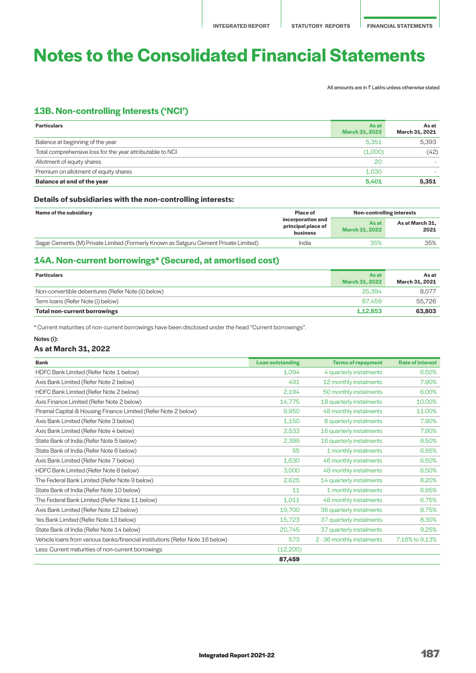All amounts are in  $\bar{\bar{\tau}}$  Lakhs unless otherwise stated

### **13B. Non-controlling Interests ('NCI')**

| <b>Particulars</b>                                        | <b>As at</b><br><b>March 31, 2022</b> | As at<br>March 31, 2021 |
|-----------------------------------------------------------|---------------------------------------|-------------------------|
| Balance at beginning of the year                          | 5.351                                 | 5.393                   |
| Total comprehensive loss for the year attributable to NCI | (1,000)                               | (42)                    |
| Allotment of equity shares                                | 20                                    |                         |
| Premium on allotment of equity shares                     | 1.030                                 |                         |
| Balance at end of the year                                | 5.401                                 | 5,351                   |

#### **Details of subsidiaries with the non-controlling interests:**

| Name of the subsidiary                                                               | Place of                                            | Non-controlling interests      |                         |
|--------------------------------------------------------------------------------------|-----------------------------------------------------|--------------------------------|-------------------------|
|                                                                                      | incorporation and<br>principal place of<br>business | <b>As at</b><br>March 31, 2022 | As at March 31,<br>2021 |
| Sagar Cements (M) Private Limited (Formerly Known as Satguru Cement Private Limited) | India                                               | 35%                            | 35%                     |

### **14A. Non-current borrowings\* (Secured, at amortised cost)**

| <b>Particulars</b>                                 | <b>As at</b>   | As at          |
|----------------------------------------------------|----------------|----------------|
|                                                    | March 31, 2022 | March 31, 2021 |
| Non-convertible debentures (Refer Note (ii) below) | 25,394         | 8.077          |
| Term loans (Refer Note (i) below)                  | 87.459         | 55.726         |
| <b>Total non-current borrowings</b>                | 1,12,853       | 63,803         |

\* Current maturities of non-current borrowings have been disclosed under the head "Current borrowings".

#### Notes (i):

#### **As at March 31, 2022**

| <b>Bank</b>                                                                   | <b>Loan outstanding</b> | <b>Terms of repayment</b>  | <b>Rate of interest</b> |
|-------------------------------------------------------------------------------|-------------------------|----------------------------|-------------------------|
| HDFC Bank Limited (Refer Note 1 below)                                        | 1,094                   | 4 quarterly instalments    | 6.50%                   |
| Axis Bank Limited (Refer Note 2 below)                                        | 491                     | 12 monthly instalments     | 7.90%                   |
| HDFC Bank Limited (Refer Note 2 below)                                        | 2,194                   | 50 monthly instalments     | 6.00%                   |
| Axis Finance Limited (Refer Note 2 below)                                     | 14,775                  | 18 quarterly instalments   | 10.00%                  |
| Piramal Capital & Housing Finance Limited (Refer Note 2 below)                | 9,950                   | 48 monthly instalments     | 11.00%                  |
| Axis Bank Limited (Refer Note 3 below)                                        | 1,150                   | 8 quarterly instalments    | 7.90%                   |
| Axis Bank Limited (Refer Note 4 below)                                        | 2,533                   | 16 quarterly instalments   | 7.90%                   |
| State Bank of India (Refer Note 5 below)                                      | 2,399                   | 16 quarterly instalments   | 8.50%                   |
| State Bank of India (Refer Note 6 below)                                      | 55                      | 1 monthly instalments      | 6.95%                   |
| Axis Bank Limited (Refer Note 7 below)                                        | 1,630                   | 46 monthly instalments     | 6.50%                   |
| HDFC Bank Limited (Refer Note 8 below)                                        | 3,000                   | 48 monthly instalments     | 6.50%                   |
| The Federal Bank Limited (Refer Note 9 below)                                 | 2,625                   | 14 quarterly instalments   | 8.20%                   |
| State Bank of India (Refer Note 10 below)                                     | 11                      | 1 monthly instalments      | 6.95%                   |
| The Federal Bank Limited (Refer Note 11 below)                                | 1,011                   | 48 monthly instalments     | 6.75%                   |
| Axis Bank Limited (Refer Note 12 below)                                       | 19,700                  | 36 quarterly instalments   | 8.75%                   |
| Yes Bank Limited (Refer Note 13 below)                                        | 15,723                  | 37 quarterly instalments   | 8.30%                   |
| State Bank of India (Refer Note 14 below)                                     | 20,745                  | 37 quarterly instalments   | 9.25%                   |
| Vehicle loans from various banks/financial institutions (Refer Note 16 below) | 573                     | 2 - 36 monthly instalments | 7.16% to 9.13%          |
| Less: Current maturities of non-current borrowings                            | (12,200)                |                            |                         |
|                                                                               | 87,459                  |                            |                         |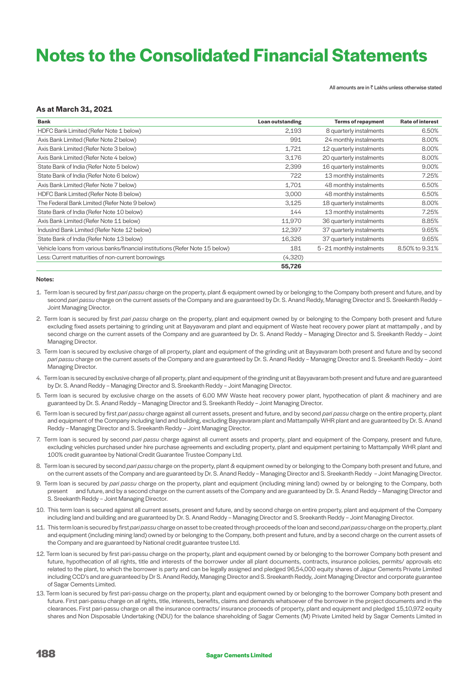All amounts are in  $\bar{z}$  Lakhs unless otherwise stated

#### **As at March 31, 2021**

| <b>Bank</b>                                                                   | Loan outstanding | <b>Terms of repayment</b>  | <b>Rate of interest</b> |
|-------------------------------------------------------------------------------|------------------|----------------------------|-------------------------|
| HDFC Bank Limited (Refer Note 1 below)                                        | 2,193            | 8 quarterly instalments    | 6.50%                   |
| Axis Bank Limited (Refer Note 2 below)                                        | 991              | 24 monthly instalments     | 8.00%                   |
| Axis Bank Limited (Refer Note 3 below)                                        | 1,721            | 12 quarterly instalments   | 8.00%                   |
| Axis Bank Limited (Refer Note 4 below)                                        | 3,176            | 20 quarterly instalments   | 8.00%                   |
| State Bank of India (Refer Note 5 below)                                      | 2,399            | 16 quarterly instalments   | 9.00%                   |
| State Bank of India (Refer Note 6 below)                                      | 722              | 13 monthly instalments     | 7.25%                   |
| Axis Bank Limited (Refer Note 7 below)                                        | 1,701            | 48 monthly instalments     | 6.50%                   |
| HDFC Bank Limited (Refer Note 8 below)                                        | 3,000            | 48 monthly instalments     | 6.50%                   |
| The Federal Bank Limited (Refer Note 9 below)                                 | 3.125            | 18 quarterly instalments   | 8.00%                   |
| State Bank of India (Refer Note 10 below)                                     | 144              | 13 monthly instalments     | 7.25%                   |
| Axis Bank Limited (Refer Note 11 below)                                       | 11,970           | 36 quarterly instalments   | 8.85%                   |
| IndusInd Bank Limited (Refer Note 12 below)                                   | 12,397           | 37 quarterly instalments   | 9.65%                   |
| State Bank of India (Refer Note 13 below)                                     | 16,326           | 37 quarterly instalments   | 9.65%                   |
| Vehicle loans from various banks/financial institutions (Refer Note 15 below) | 181              | 5 - 21 monthly instalments | 8.50% to 9.31%          |
| Less: Current maturities of non-current borrowings                            | (4,320)          |                            |                         |
|                                                                               | 55,726           |                            |                         |

#### Notes:

- 1. Term loan is secured by first *pari passu* charge on the property, plant & equipment owned by or belonging to the Company both present and future, and by second *pari passu* charge on the current assets of the Company and are guaranteed by Dr. S. Anand Reddy, Managing Director and S. Sreekanth Reddy – Joint Managing Director.
- 2. Term loan is secured by first *pari passu* charge on the property, plant and equipment owned by or belonging to the Company both present and future excluding fixed assets pertaining to grinding unit at Bayyavaram and plant and equipment of Waste heat recovery power plant at mattampally , and by second charge on the current assets of the Company and are guaranteed by Dr. S. Anand Reddy - Managing Director and S. Sreekanth Reddy - Joint Managing Director.
- 3. Term loan is secured by exclusive charge of all property, plant and equipment of the grinding unit at Bayyavaram both present and future and by second *pari passu* charge on the current assets of the Company and are guaranteed by Dr. S. Anand Reddy – Managing Director and S. Sreekanth Reddy – Joint Managing Director.
- 4. Term loan is secured by exclusive charge of all property, plant and equipment of the grinding unit at Bayyavaram both present and future and are guaranteed by Dr. S. Anand Reddy – Managing Director and S. Sreekanth Reddy – Joint Managing Director.
- 5. Term loan is secured by exclusive charge on the assets of 6.00 MW Waste heat recovery power plant, hypothecation of plant & machinery and are guaranteed by Dr. S. Anand Reddy – Managing Director and S. Sreekanth Reddy – Joint Managing Director.
- 6. Term loan is secured by first *pari passu* charge against all current assets, present and future, and by second *pari passu* charge on the entire property, plant and equipment of the Company including land and building, excluding Bayyavaram plant and Mattampally WHR plant and are guaranteed by Dr. S. Anand Reddy – Managing Director and S. Sreekanth Reddy – Joint Managing Director.
- 7. Term loan is secured by second *pari passu* charge against all current assets and property, plant and equipment of the Company, present and future, excluding vehicles purchased under hire purchase agreements and excluding property, plant and equipment pertaining to Mattampally WHR plant and 100% credit guarantee by National Credit Guarantee Trustee Company Ltd.
- 8. Term loan is secured by second *pari passu* charge on the property, plant & equipment owned by or belonging to the Company both present and future, and on the current assets of the Company and are guaranteed by Dr. S. Anand Reddy – Managing Director and S. Sreekanth Reddy – Joint Managing Director.
- 9. Term loan is secured by *pari passu* charge on the property, plant and equipment (including mining land) owned by or belonging to the Company, both present and future, and by a second charge on the current assets of the Company and are guaranteed by Dr. S. Anand Reddy – Managing Director and S. Sreekanth Reddy – Joint Managing Director.
- 10. This term loan is secured against all current assets, present and future, and by second charge on entire property, plant and equipment of the Company including land and building and are guaranteed by Dr. S. Anand Reddy – Managing Director and S. Sreekanth Reddy – Joint Managing Director.
- 11. This term loan is secured by first *pari passu* charge on asset to be created through proceeds of the loan and second *pari passu* charge on the property, plant and equipment (including mining land) owned by or belonging to the Company, both present and future, and by a second charge on the current assets of the Company and are guaranteed by National credit guarantee trustee Ltd.
- 12. Term loan is secured by first pari-passu charge on the property, plant and equipment owned by or belonging to the borrower Company both present and future, hypothecation of all rights, title and interests of the borrower under all plant documents, contracts, insurance policies, permits/ approvals etc related to the plant, to which the borrower is party and can be legally assigned and pledged 96,54,000 equity shares of Jajpur Cements Private Limited including CCD's and are guaranteed by Dr S. Anand Reddy, Managing Director and S. Sreekanth Reddy, Joint Managing Director and corporate guarantee of Sagar Cements Limited.
- 13. Term loan is secured by first pari-passu charge on the property, plant and equipment owned by or belonging to the borrower Company both present and future. First pari-passu charge on all rights, title, interests, benefits, claims and demands whatsoever of the borrower in the project documents and in the clearances. First pari-passu charge on all the insurance contracts/ insurance proceeds of property, plant and equipment and pledged 15,10,972 equity shares and Non Disposable Undertaking (NDU) for the balance shareholding of Sagar Cements (M) Private Limited held by Sagar Cements Limited in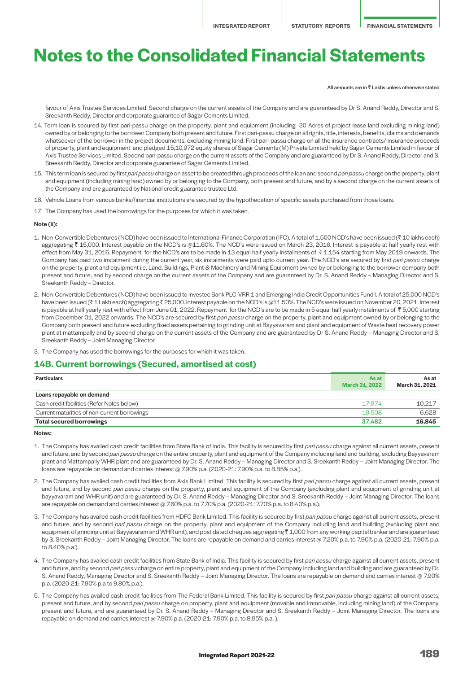All amounts are in  $\bar{z}$  Lakhs unless otherwise stated

favour of Axis Trustee Services Limited. Second charge on the current assets of the Company and are guaranteed by Dr S. Anand Reddy, Director and S. Sreekanth Reddy, Director and corporate guarantee of Sagar Cements Limited.

- 14. Term loan is secured by first pari-passu charge on the property, plant and equipment (including 30 Acres of project lease land excluding mining land) owned by or belonging to the borrower Company both present and future. First pari-passu charge on all rights, title, interests, benefits, claims and demands whatsoever of the borrower in the project documents, excluding mining land. First pari-passu charge on all the insurance contracts/ insurance proceeds of property, plant and equipment and pledged 15,10,972 equity shares of Sagar Cements (M) Private Limited held by Sagar Cements Limited in favour of Axis Trustee Services Limited. Second pari-passu charge on the current assets of the Company and are guaranteed by Dr S. Anand Reddy, Director and S. Sreekanth Reddy, Director and corporate guarantee of Sagar Cements Limited.
- 15. This term loan is secured by first *pari passu* charge on asset to be created through proceeds of the loan and second *pari passu* charge on the property, plant and equipment (including mining land) owned by or belonging to the Company, both present and future, and by a second charge on the current assets of the Company and are guaranteed by National credit guarantee trustee Ltd.
- 16. Vehicle Loans from various banks/financial institutions are secured by the hypothecation of specific assets purchased from those loans.
- 17. The Company has used the borrowings for the purposes for which it was taken.

#### Note (ii):

- 1. Non-Convertible Debentures (NCD) have been issued to International Finance Corporation (IFC). A total of 1,500 NCD's have been issued (` 10 lakhs each) aggregating ₹ 15,000. Interest payable on the NCD's is @11.60%. The NCD's were issued on March 23, 2016. Interest is payable at half yearly rest with effect from May 31, 2016. Repayment for the NCD's are to be made in 13 equal half yearly instalments of ` 1,154 starting from May 2019 onwards. The Company has paid two instalment during the current year, six instalments were paid upto current year. The NCD's are secured by first *pari passu* charge on the property, plant and equipment i.e. Land, Buildings, Plant & Machinery and Mining Equipment owned by or belonging to the borrower company both present and future, and by second charge on the current assets of the Company and are guaranteed by Dr. S. Anand Reddy – Managing Director and S. Sreekanth Reddy – Director.
- 2. Non-Convertible Debentures (NCD) have been issued to Investec Bank PLC-VRR 1 and Emerging India Credit Opportunities Fund I. A total of 25,000 NCD's have been issued (₹1 Lakh each) aggregating ₹25,000. Interest payable on the NCD's is @11.50%. The NCD's were issued on November 20, 2021. Interest is payable at half yearly rest with effect from June 01, 2022. Repayment for the NCD's are to be made in 5 equal half yearly instalments of  $\bar{\tau}$  5,000 starting from December 01, 2022 onwards. The NCD's are secured by first *pari passu* charge on the property, plant and equipment owned by or belonging to the Company both present and future excluding fixed assets pertaining to grinding unit at Bayyavaram and plant and equipment of Waste heat recovery power plant at mattampally and by second charge on the current assets of the Company and are guaranteed by Dr S. Anand Reddy – Managing Director and S. Sreekanth Reddy – Joint Managing Director

3. The Company has used the borrowings for the purposes for which it was taken.

### **14B. Current borrowings (Secured, amortised at cost)**

| <b>Particulars</b>                           | <b>As at</b><br><b>March 31, 2022</b> | As at<br>March 31, 2021 |
|----------------------------------------------|---------------------------------------|-------------------------|
| Loans repayable on demand                    |                                       |                         |
| Cash credit facilities (Refer Notes below)   | 17.974                                | 10,217                  |
| Current maturities of non-current borrowings | 19,508                                | 6.628                   |
| <b>Total secured borrowings</b>              | 37.482                                | 16,845                  |

Notes:

- 1. The Company has availed cash credit facilities from State Bank of India. This facility is secured by first *pari passu* charge against all current assets, present and future, and by second pari passu charge on the entire property, plant and equipment of the Company including land and building, excluding Bayyavaram plant and Mattampally WHR plant and are guaranteed by Dr. S. Anand Reddy – Managing Director and S. Sreekanth Reddy – Joint Managing Director. The loans are repayable on demand and carries interest @ 7.90% p.a. (2020-21: 7.90% p.a. to 8.85% p.a.).
- 2. The Company has availed cash credit facilities from Axis Bank Limited. This facility is secured by first *pari passu* charge against all current assets, present and future, and by second *pari passu* charge on the property, plant and equipment of the Company (excluding plant and equipment of grinding unit at bayyavaram and WHR unit) and are guaranteed by Dr. S. Anand Reddy – Managing Director and S. Sreekanth Reddy – Joint Managing Director. The loans are repayable on demand and carries interest @ 7.60% p.a. to 7.70% p.a. (2020-21: 7.70% p.a. to 8.40% p.a.).
- 3. The Company has availed cash credit facilities from HDFC Bank Limited. This facility is secured by first *pari passu* charge against all current assets, present and future, and by second *pari passu* charge on the property, plant and equipment of the Company including land and building (excluding plant and equipment of grinding unit at Bayyavaram and WHR unit), and post dated cheques aggregating ₹ 1,000 from any working capital banker and are guaranteed by S. Sreekanth Reddy - Joint Managing Director. The loans are repayable on demand and carries interest @ 7.20% p.a. to 7.90% p.a. (2020-21: 7.90% p.a. to 8.40% p.a.).
- 4. The Company has availed cash credit facilities from State Bank of India. This facility is secured by first *pari passu* charge against all current assets, present and future, and by second *pari passu* charge on entire property, plant and equipment of the Company including land and building and are guaranteed by Dr. S. Anand Reddy, Managing Director and S. Sreekanth Reddy - Joint Managing Director. The loans are repayable on demand and carries interest @ 7.90% p.a. (2020-21: 7.90% p.a to 9.80% p.a.).
- 5. The Company has availed cash credit facilities from The Federal Bank Limited. This facility is secured by first *pari passu* charge against all current assets, present and future, and by second *pari passu* charge on property, plant and equipment (movable and immovable, including mining land) of the Company, present and future, and are guaranteed by Dr. S. Anand Reddy – Managing Director and S. Sreekanth Reddy – Joint Managing Director. The loans are repayable on demand and carries interest @ 7.90% p.a. (2020-21: 7.90% p.a. to 8.95% p.a. ).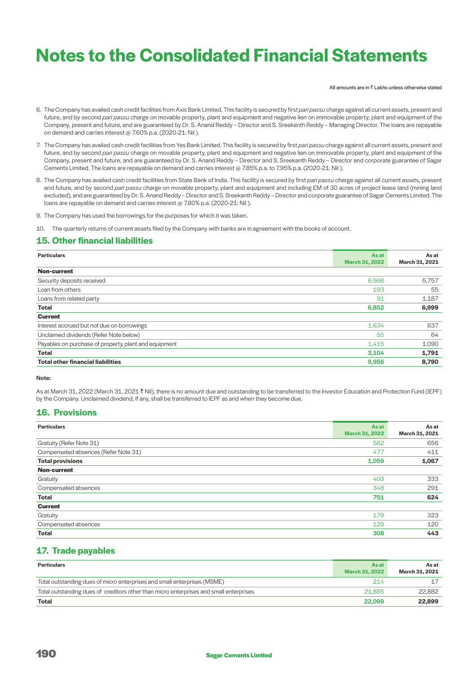All amounts are in  $\bar{z}$  Lakhs unless otherwise stated

- 6. The Company has availed cash credit facilities from Axis Bank Limited. This facility is secured by first *pari passu* charge against all current assets, present and future, and by second *pari passu* charge on movable property, plant and equipment and negative lien on immovable property, plant and equipment of the Company, present and future, and are guaranteed by Dr. S. Anand Reddy – Director and S. Sreekanth Reddy – Managing Director. The loans are repayable on demand and carries interest @ 7.60% p.a. (2020-21: Nil ).
- 7. The Company has availed cash credit facilities from Yes Bank Limited. This facility is secured by first *pari passu* charge against all current assets, present and future, and by second *pari passu* charge on movable property, plant and equipment and negative lien on immovable property, plant and equipment of the Company, present and future, and are guaranteed by Dr. S. Anand Reddy – Director and S. Sreekanth Reddy – Director and corporate guarantee of Sagar Cements Limited. The loans are repayable on demand and carries interest @ 7.85% p.a. to 7.95% p.a. (2020-21: Nil ).
- 8. The Company has availed cash credit facilities from State Bank of India. This facility is secured by first *pari passu* charge against all current assets, present and future, and by second *pari passu* charge on movable property, plant and equipment and including EM of 30 acres of project lease land (mining land excluded), and are guaranteed by Dr. S. Anand Reddy – Director and S. Sreekanth Reddy – Director and corporate guarantee of Sagar Cements Limited. The loans are repayable on demand and carries interest @ 7.80% p.a. (2020-21: Nil).
- 9. The Company has used the borrowings for the purposes for which it was taken.
- 10. The quarterly returns of current assets filed by the Company with banks are in agreement with the books of account.

### **15. Other financial Iiabilities**

| <b>Particulars</b>                                    | As at                 | As at          |
|-------------------------------------------------------|-----------------------|----------------|
|                                                       | <b>March 31, 2022</b> | March 31, 2021 |
| <b>Non-current</b>                                    |                       |                |
| Security deposits received                            | 6.568                 | 5,757          |
| Loan from others                                      | 193                   | 55             |
| Loans from related party                              | 91                    | 1,187          |
| <b>Total</b>                                          | 6,852                 | 6,999          |
| <b>Current</b>                                        |                       |                |
| Interest accrued but not due on borrowings            | 1,634                 | 637            |
| Unclaimed dividends (Refer Note below)                | 55                    | 64             |
| Payables on purchase of property, plant and equipment | 1,415                 | 1,090          |
| <b>Total</b>                                          | 3,104                 | 1,791          |
| <b>Total other financial liabilities</b>              | 9,956                 | 8,790          |

#### Note:

As at March 31, 2022 (March 31, 2021 ₹ Nil), there is no amount due and outstanding to be transferred to the Investor Education and Protection Fund (IEPF) by the Company. Unclaimed dividend, if any, shall be transferred to IEPF as and when they become due.

### **16. Provisions**

| <b>Particulars</b>                   | As at          | As at          |
|--------------------------------------|----------------|----------------|
|                                      | March 31, 2022 | March 31, 2021 |
| Gratuity (Refer Note 31)             | 582            | 656            |
| Compensated absences (Refer Note 31) | 477            | 411            |
| <b>Total provisions</b>              | 1,059          | 1,067          |
| <b>Non-current</b>                   |                |                |
| Gratuity                             | 403            | 333            |
| Compensated absences                 | 348            | 291            |
| <b>Total</b>                         | 751            | 624            |
| <b>Current</b>                       |                |                |
| Gratuity                             | 179            | 323            |
| Compensated absences                 | 129            | 120            |
| <b>Total</b>                         | 308            | 443            |

### **17. Trade payables**

| <b>Particulars</b>                                                                     | As at<br><b>March 31, 2022</b> | As at<br>March 31, 2021 |
|----------------------------------------------------------------------------------------|--------------------------------|-------------------------|
| Total outstanding dues of micro enterprises and small enterprises (MSME)               | 214                            |                         |
| Total outstanding dues of creditors other than micro enterprises and small enterprises | 21.885                         | 22,882                  |
| Total                                                                                  | 22,099                         | 22,899                  |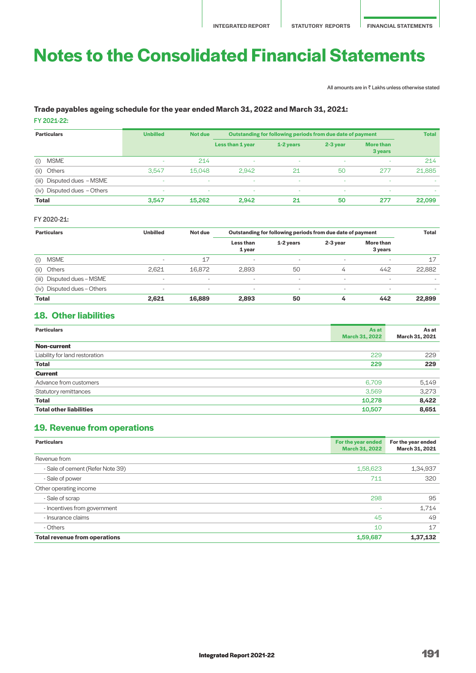All amounts are in  $\bar{\bar{\tau}}$  Lakhs unless otherwise stated

### **Trade payables ageing schedule for the year ended March 31, 2022 and March 31, 2021:**

FY 2021-22:

| <b>Particulars</b>          | <b>Unbilled</b> | Not due | Outstanding for following periods from due date of payment |           |            |                             | <b>Total</b> |
|-----------------------------|-----------------|---------|------------------------------------------------------------|-----------|------------|-----------------------------|--------------|
|                             |                 |         | Less than 1 year                                           | 1-2 years | $2-3$ year | <b>More than</b><br>3 years |              |
| <b>MSME</b><br>(i)          | ٠               | 214     | $\sim$                                                     | $\sim$    | $\sim$     | $\sim$                      | 214          |
| (ii) Others                 | 3.547           | 15.048  | 2.942                                                      | 21        | 50         | 277                         | 21,885       |
| (iii) Disputed dues - MSME  | ٠               | $\sim$  | $\sim$                                                     | $\sim$    | $\sim$     | $\sim$                      |              |
| (iv) Disputed dues - Others | $\sim$          | $\sim$  | $\sim$                                                     | ÷         | $\sim$     | $\sim$                      |              |
| <b>Total</b>                | 3.547           | 15,262  | 2.942                                                      | 21        | 50         | 277                         | 22,099       |

FY 2020-21:

| <b>Particulars</b>            | <b>Unbilled</b>          | Not due                  | Outstanding for following periods from due date of payment |                          |                          |                             |        |  |  | <b>Total</b> |
|-------------------------------|--------------------------|--------------------------|------------------------------------------------------------|--------------------------|--------------------------|-----------------------------|--------|--|--|--------------|
|                               |                          |                          | Less than<br>$1$ year                                      | 1-2 years                | $2-3$ year               | <b>More than</b><br>3 years |        |  |  |              |
| <b>MSME</b><br>(i)            | $\overline{\phantom{a}}$ | 17                       | $\sim$                                                     | $\overline{\phantom{a}}$ | $\overline{\phantom{a}}$ | $\overline{\phantom{a}}$    | 17     |  |  |              |
| <b>Others</b><br>(ii)         | 2.621                    | 16.872                   | 2.893                                                      | 50                       | 4                        | 442                         | 22,882 |  |  |              |
| Disputed dues - MSME<br>(iii) | $\overline{\phantom{a}}$ | $\overline{\phantom{a}}$ | $\overline{\phantom{a}}$                                   | $\sim$                   | $\overline{\phantom{a}}$ | $\overline{\phantom{a}}$    |        |  |  |              |
| (iv) Disputed dues - Others   | $\overline{\phantom{a}}$ | $\sim$                   | $\sim$                                                     | $\overline{\phantom{a}}$ | $\overline{\phantom{a}}$ | $\overline{\phantom{a}}$    |        |  |  |              |
| <b>Total</b>                  | 2.621                    | 16,889                   | 2.893                                                      | 50                       | 4                        | 442                         | 22,899 |  |  |              |

# **18. Other liabilities**

| <b>Particulars</b>             | Asat                  | As at          |
|--------------------------------|-----------------------|----------------|
|                                | <b>March 31, 2022</b> | March 31, 2021 |
| <b>Non-current</b>             |                       |                |
| Liability for land restoration | 229                   | 229            |
| <b>Total</b>                   | 229                   | 229            |
| <b>Current</b>                 |                       |                |
| Advance from customers         | 6,709                 | 5,149          |
| <b>Statutory remittances</b>   | 3,569                 | 3,273          |
| <b>Total</b>                   | 10,278                | 8,422          |
| <b>Total other liabilities</b> | 10,507                | 8,651          |
|                                |                       |                |

### **19. Revenue from operations**

| <b>Particulars</b>                   | For the year ended<br><b>March 31, 2022</b> | For the year ended<br>March 31, 2021 |
|--------------------------------------|---------------------------------------------|--------------------------------------|
| Revenue from                         |                                             |                                      |
| - Sale of cement (Refer Note 39)     | 1,58,623                                    | 1,34,937                             |
| - Sale of power                      | 711                                         | 320                                  |
| Other operating income               |                                             |                                      |
| - Sale of scrap                      | 298                                         | 95                                   |
| - Incentives from government         |                                             | 1,714                                |
| - Insurance claims                   | 45                                          | 49                                   |
| - Others                             | 10                                          | 17                                   |
| <b>Total revenue from operations</b> | 1,59,687                                    | 1,37,132                             |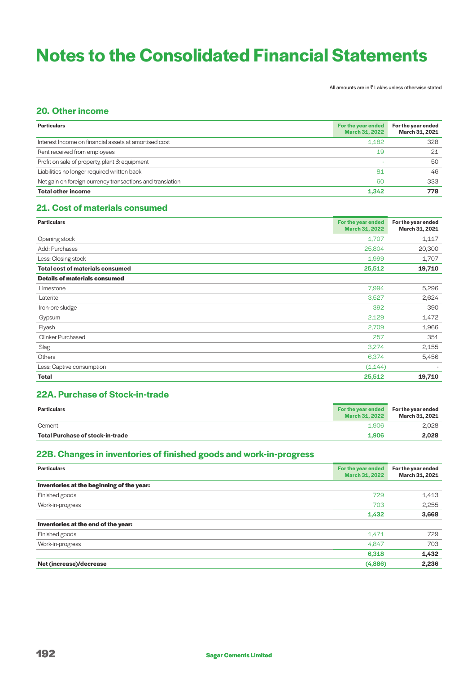All amounts are in  $\bar{\bar{\tau}}$  Lakhs unless otherwise stated

### **20. Other income**

| <b>Particulars</b>                                        | For the year ended<br><b>March 31, 2022</b> | For the year ended<br>March 31, 2021 |
|-----------------------------------------------------------|---------------------------------------------|--------------------------------------|
| Interest Income on financial assets at amortised cost     | 1.182                                       | 328                                  |
| Rent received from employees                              | 19                                          | 21                                   |
| Profit on sale of property, plant & equipment             |                                             | 50                                   |
| Liabilities no longer required written back               | 81                                          | 46                                   |
| Net gain on foreign currency transactions and translation | 60                                          | 333                                  |
| <b>Total other income</b>                                 | 1,342                                       | 778                                  |

# **21. Cost of materials consumed**

| <b>Particulars</b>                      | For the year ended<br><b>March 31, 2022</b> | For the year ended<br>March 31, 2021 |
|-----------------------------------------|---------------------------------------------|--------------------------------------|
| Opening stock                           | 1,707                                       | 1,117                                |
| Add: Purchases                          | 25,804                                      | 20,300                               |
| Less: Closing stock                     | 1,999                                       | 1,707                                |
| <b>Total cost of materials consumed</b> | 25,512                                      | 19,710                               |
| <b>Details of materials consumed</b>    |                                             |                                      |
| Limestone                               | 7,994                                       | 5,296                                |
| Laterite                                | 3,527                                       | 2,624                                |
| Iron-ore sludge                         | 392                                         | 390                                  |
| Gypsum                                  | 2,129                                       | 1,472                                |
| Flyash                                  | 2,709                                       | 1,966                                |
| <b>Clinker Purchased</b>                | 257                                         | 351                                  |
| Slag                                    | 3,274                                       | 2,155                                |
| Others                                  | 6,374                                       | 5,456                                |
| Less: Captive consumption               | (1, 144)                                    |                                      |
| <b>Total</b>                            | 25,512                                      | 19,710                               |

# **22A. Purchase of Stock-in-trade**

| <b>Particulars</b>               | For the year ended<br>March 31, 2022 | For the year ended<br>March 31, 2021 |
|----------------------------------|--------------------------------------|--------------------------------------|
| Cement                           | 1.906                                | 2.028                                |
| Total Purchase of stock-in-trade | 1.906                                | 2.028                                |

# **22B. Changes in inventories of finished goods and work-in-progress**

| <b>Particulars</b>                        | For the year ended<br><b>March 31, 2022</b> | For the year ended<br>March 31, 2021 |
|-------------------------------------------|---------------------------------------------|--------------------------------------|
| Inventories at the beginning of the year: |                                             |                                      |
| Finished goods                            | 729                                         | 1,413                                |
| Work-in-progress                          | 703                                         | 2,255                                |
|                                           | 1,432                                       | 3,668                                |
| Inventories at the end of the year:       |                                             |                                      |
| Finished goods                            | 1,471                                       | 729                                  |
| Work-in-progress                          | 4,847                                       | 703                                  |
|                                           | 6,318                                       | 1,432                                |
| Net (increase)/decrease                   | (4,886)                                     | 2,236                                |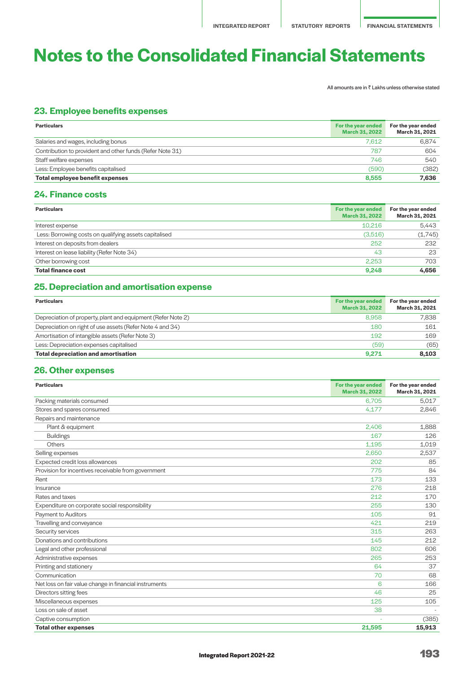All amounts are in  $\bar{\bar{\tau}}$  Lakhs unless otherwise stated

# **23. Employee benefits expenses**

| <b>Particulars</b>                                        | For the year ended<br><b>March 31, 2022</b> | For the year ended<br>March 31, 2021 |
|-----------------------------------------------------------|---------------------------------------------|--------------------------------------|
| Salaries and wages, including bonus                       | 7.612                                       | 6.874                                |
| Contribution to provident and other funds (Refer Note 31) | 787                                         | 604                                  |
| Staff welfare expenses                                    | 746                                         | 540                                  |
| Less: Employee benefits capitalised                       | (590)                                       | (382)                                |
| Total employee benefit expenses                           | 8.555                                       | 7,636                                |

### **24. Finance costs**

| <b>Particulars</b>                                     | For the year ended<br><b>March 31, 2022</b> | For the year ended<br>March 31, 2021 |
|--------------------------------------------------------|---------------------------------------------|--------------------------------------|
| Interest expense                                       | 10.216                                      | 5.443                                |
| Less: Borrowing costs on qualifying assets capitalised | (3,516)                                     | (1,745)                              |
| Interest on deposits from dealers                      | 252                                         | 232                                  |
| Interest on lease liability (Refer Note 34)            | 43                                          | 23                                   |
| Other borrowing cost                                   | 2.253                                       | 703                                  |
| <b>Total finance cost</b>                              | 9.248                                       | 4,656                                |

# **25. Depreciation and amortisation expense**

| <b>Particulars</b>                                           | For the year ended<br><b>March 31, 2022</b> | For the year ended<br>March 31, 2021 |
|--------------------------------------------------------------|---------------------------------------------|--------------------------------------|
| Depreciation of property, plant and equipment (Refer Note 2) | 8.958                                       | 7.838                                |
| Depreciation on right of use assets (Refer Note 4 and 34)    | 180                                         | 161                                  |
| Amortisation of intangible assets (Refer Note 3)             | 192                                         | 169                                  |
| Less: Depreciation expenses capitalised                      | (59)                                        | (65)                                 |
| <b>Total depreciation and amortisation</b>                   | 9.271                                       | 8,103                                |

### **26. Other expenses**

| <b>Particulars</b>                                     | For the year ended<br><b>March 31, 2022</b> | For the year ended<br>March 31, 2021 |
|--------------------------------------------------------|---------------------------------------------|--------------------------------------|
| Packing materials consumed                             | 6.705                                       | 5,017                                |
| Stores and spares consumed                             | 4,177                                       | 2,846                                |
| Repairs and maintenance                                |                                             |                                      |
| Plant & equipment                                      | 2,406                                       | 1,888                                |
| <b>Buildings</b>                                       | 167                                         | 126                                  |
| Others                                                 | 1,195                                       | 1,019                                |
| Selling expenses                                       | 2,650                                       | 2,537                                |
| Expected credit loss allowances                        | 202                                         | 85                                   |
| Provision for incentives receivable from government    | 775                                         | 84                                   |
| Rent                                                   | 173                                         | 133                                  |
| Insurance                                              | 276                                         | 218                                  |
| Rates and taxes                                        | 212                                         | 170                                  |
| Expenditure on corporate social responsibility         | 255                                         | 130                                  |
| Payment to Auditors                                    | 105                                         | 91                                   |
| Travelling and conveyance                              | 421                                         | 219                                  |
| Security services                                      | 315                                         | 263                                  |
| Donations and contributions                            | 145                                         | 212                                  |
| Legal and other professional                           | 802                                         | 606                                  |
| Administrative expenses                                | 265                                         | 253                                  |
| Printing and stationery                                | 64                                          | 37                                   |
| Communication                                          | 70                                          | 68                                   |
| Net loss on fair value change in financial instruments | 6                                           | 166                                  |
| Directors sitting fees                                 | 46                                          | 25                                   |
| Miscellaneous expenses                                 | 125                                         | 105                                  |
| Loss on sale of asset                                  | 38                                          |                                      |
| Captive consumption                                    |                                             | (385)                                |
| <b>Total other expenses</b>                            | 21,595                                      | 15,913                               |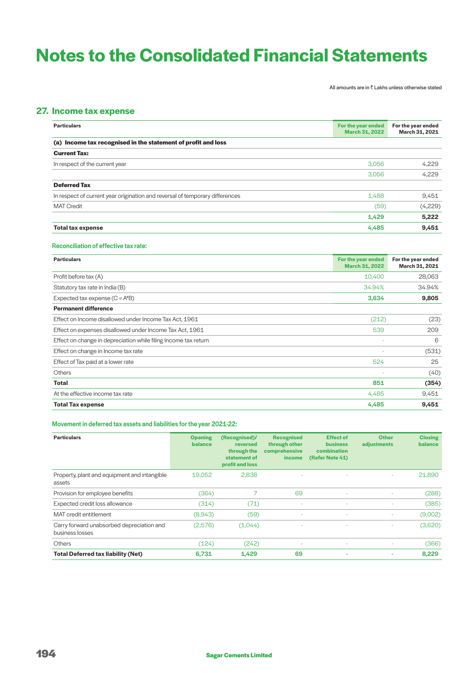All amounts are in  $\bar{\bar{\tau}}$  Lakhs unless otherwise stated

### **27. Income tax expense**

| <b>Particulars</b>                                                           | For the year ended<br><b>March 31, 2022</b> | For the year ended<br>March 31, 2021 |
|------------------------------------------------------------------------------|---------------------------------------------|--------------------------------------|
|                                                                              |                                             |                                      |
| (a) Income tax recognised in the statement of profit and loss                |                                             |                                      |
| <b>Current Tax:</b>                                                          |                                             |                                      |
| In respect of the current year                                               | 3.056                                       | 4.229                                |
|                                                                              | 3,056                                       | 4,229                                |
| <b>Deferred Tax</b>                                                          |                                             |                                      |
| In respect of current year origination and reversal of temporary differences | 1,488                                       | 9,451                                |
| <b>MAT Credit</b>                                                            | (59)                                        | (4,229)                              |
|                                                                              | 1,429                                       | 5,222                                |
| <b>Total tax expense</b>                                                     | 4,485                                       | 9,451                                |

#### Reconciliation of effective tax rate:

| <b>Particulars</b>                                              | For the year ended<br><b>March 31, 2022</b> | For the year ended<br>March 31, 2021 |
|-----------------------------------------------------------------|---------------------------------------------|--------------------------------------|
| Profit before tax (A)                                           | 10,400                                      | 28,063                               |
| Statutory tax rate in India (B)                                 | 34.94%                                      | 34.94%                               |
| Expected tax expense $(C = A^*B)$                               | 3,634                                       | 9,805                                |
| <b>Permanent difference</b>                                     |                                             |                                      |
| Effect on Income disallowed under Income Tax Act, 1961          | (212)                                       | (23)                                 |
| Effect on expenses disallowed under Income Tax Act, 1961        | 539                                         | 209                                  |
| Effect on change in depreciation while filing Income tax return |                                             | 6                                    |
| Effect on change in Income tax rate                             |                                             | (531)                                |
| Effect of Tax paid at a lower rate                              | 524                                         | 25                                   |
| <b>Others</b>                                                   |                                             | (40)                                 |
| Total                                                           | 851                                         | (354)                                |
| At the effective income tax rate                                | 4,485                                       | 9,451                                |
| <b>Total Tax expense</b>                                        | 4,485                                       | 9,451                                |

#### Movement in deferred tax assets and liabilities for the year 2021-22:

| <b>Particulars</b>                                           | <b>Opening</b><br>balance | (Recognised)/<br>reversed<br>through the<br>statement of<br>profit and loss | <b>Recognised</b><br>through other<br>comprehensive<br>income | <b>Effect of</b><br><b>business</b><br>combination<br>(Refer Note 41) | <b>Other</b><br>adjustments | <b>Closing</b><br>balance |
|--------------------------------------------------------------|---------------------------|-----------------------------------------------------------------------------|---------------------------------------------------------------|-----------------------------------------------------------------------|-----------------------------|---------------------------|
| Property, plant and equipment and intangible<br>assets       | 19,052                    | 2,838                                                                       |                                                               | ۰                                                                     | ۰                           | 21,890                    |
| Provision for employee benefits                              | (364)                     |                                                                             | 69                                                            | ٠                                                                     | ۰                           | (288)                     |
| Expected credit loss allowance                               | (314)                     | (71)                                                                        | ٠                                                             | ٠                                                                     | ۰                           | (385)                     |
| MAT credit entitlement                                       | (8,943)                   | (59)                                                                        |                                                               | ٠                                                                     | ۰                           | (9,002)                   |
| Carry forward unabsorbed depreciation and<br>business losses | (2,576)                   | (1,044)                                                                     |                                                               | ٠                                                                     |                             | (3,620)                   |
| <b>Others</b>                                                | (124)                     | (242)                                                                       |                                                               | ٠                                                                     |                             | (366)                     |
| <b>Total Deferred tax liability (Net)</b>                    | 6,731                     | 1,429                                                                       | 69                                                            | ۰                                                                     | ۰                           | 8,229                     |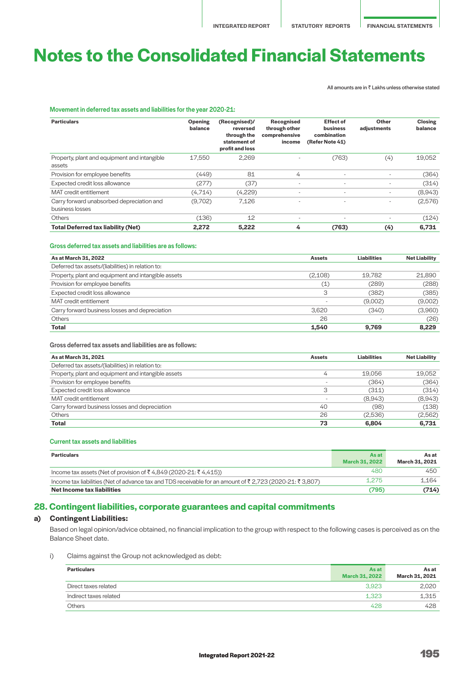All amounts are in  $\bar{\bar{\tau}}$  Lakhs unless otherwise stated

#### Movement in deferred tax assets and liabilities for the year 2020-21:

| <b>Particulars</b>                                           | Opening<br>balance | (Recognised)/<br>reversed<br>through the<br>statement of<br>profit and loss | Recognised<br>through other<br>comprehensive<br>income | <b>Effect of</b><br><b>business</b><br>combination<br>(Refer Note 41) | Other<br>adjustments     | <b>Closing</b><br>balance |
|--------------------------------------------------------------|--------------------|-----------------------------------------------------------------------------|--------------------------------------------------------|-----------------------------------------------------------------------|--------------------------|---------------------------|
| Property, plant and equipment and intangible<br>assets       | 17.550             | 2,269                                                                       |                                                        | (763)                                                                 | (4)                      | 19,052                    |
| Provision for employee benefits                              | (449)              | 81                                                                          | 4                                                      | $\overline{\phantom{a}}$                                              | $\overline{\phantom{a}}$ | (364)                     |
| Expected credit loss allowance                               | (277)              | (37)                                                                        | $\sim$                                                 |                                                                       |                          | (314)                     |
| MAT credit entitlement                                       | (4,714)            | (4,229)                                                                     | $\overline{\phantom{a}}$                               | $\overline{\phantom{a}}$                                              | $\overline{\phantom{a}}$ | (8,943)                   |
| Carry forward unabsorbed depreciation and<br>business losses | (9,702)            | 7,126                                                                       | $\overline{\phantom{a}}$                               | $\overline{\phantom{a}}$                                              | $\overline{\phantom{a}}$ | (2,576)                   |
| <b>Others</b>                                                | (136)              | 12                                                                          | $\overline{\phantom{a}}$                               | $\overline{\phantom{a}}$                                              | $\overline{\phantom{a}}$ | (124)                     |
| <b>Total Deferred tax liability (Net)</b>                    | 2,272              | 5,222                                                                       | 4                                                      | (763)                                                                 | (4)                      | 6,731                     |

#### Gross deferred tax assets and liabilities are as follows:

| As at March 31, 2022                                | <b>Assets</b>            | <b>Liabilities</b>       | <b>Net Liability</b> |
|-----------------------------------------------------|--------------------------|--------------------------|----------------------|
| Deferred tax assets/(liabilities) in relation to:   |                          |                          |                      |
| Property, plant and equipment and intangible assets | (2,108)                  | 19.782                   | 21,890               |
| Provision for employee benefits                     | (1)                      | (289)                    | (288)                |
| Expected credit loss allowance                      |                          | (382)                    | (385)                |
| MAT credit entitlement                              | $\overline{\phantom{a}}$ | (9,002)                  | (9,002)              |
| Carry forward business losses and depreciation      | 3.620                    | (340)                    | (3,960)              |
| <b>Others</b>                                       | 26                       | $\overline{\phantom{a}}$ | (26)                 |
| <b>Total</b>                                        | 1.540                    | 9.769                    | 8,229                |

#### Gross deferred tax assets and liabilities are as follows:

| As at March 31, 2021                                | <b>Assets</b>            | <b>Liabilities</b> | <b>Net Liability</b> |
|-----------------------------------------------------|--------------------------|--------------------|----------------------|
| Deferred tax assets/(liabilities) in relation to:   |                          |                    |                      |
| Property, plant and equipment and intangible assets | 4                        | 19.056             | 19.052               |
| Provision for employee benefits                     | $\overline{\phantom{a}}$ | (364)              | (364)                |
| Expected credit loss allowance                      | ↷                        | (311)              | (314)                |
| MAT credit entitlement                              |                          | (8,943)            | (8,943)              |
| Carry forward business losses and depreciation      | 40                       | (98)               | (138)                |
| Others                                              | 26                       | (2,536)            | (2,562)              |
| <b>Total</b>                                        | 73                       | 6.804              | 6,731                |

#### Current tax assets and liabilities

| <b>Particulars</b>                                                                                      | As at<br>March 31, 2022 | As at<br>March 31, 2021 |
|---------------------------------------------------------------------------------------------------------|-------------------------|-------------------------|
| Income tax assets (Net of provision of ₹4,849 (2020-21: ₹4,415))                                        | 480                     | 450                     |
| Income tax liabilities (Net of advance tax and TDS receivable for an amount of ₹2,723 (2020-21: ₹3,807) | 1.275                   | 1.164                   |
| Net Income tax liabilities                                                                              | (795)                   | (714)                   |

### **28. Contingent liabilities, corporate guarantees and capital commitments**

#### **a) Contingent Liabilities:**

 Based on legal opinion/advice obtained, no financial implication to the group with respect to the following cases is perceived as on the Balance Sheet date.

i) Claims against the Group not acknowledged as debt:

| <b>Particulars</b>     | <b>As at</b>          | As at          |
|------------------------|-----------------------|----------------|
|                        | <b>March 31, 2022</b> | March 31, 2021 |
| Direct taxes related   | 3.923                 | 2,020          |
| Indirect taxes related | 1.323                 | 1.315          |
| Others                 | 428                   | 428            |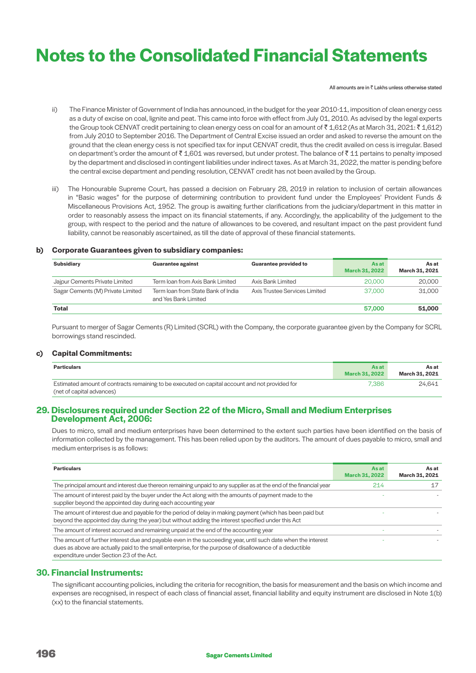All amounts are in  $\bar{z}$  Lakhs unless otherwise stated

- ii) The Finance Minister of Government of India has announced, in the budget for the year 2010-11, imposition of clean energy cess as a duty of excise on coal, lignite and peat. This came into force with effect from July 01, 2010. As advised by the legal experts the Group took CENVAT credit pertaining to clean energy cess on coal for an amount of  $\bar{\tau}$  1,612 (As at March 31, 2021:  $\bar{\tau}$  1,612) from July 2010 to September 2016. The Department of Central Excise issued an order and asked to reverse the amount on the ground that the clean energy cess is not specified tax for input CENVAT credit, thus the credit availed on cess is irregular. Based on department's order the amount of  $\bar{z}$  1,601 was reversed, but under protest. The balance of  $\bar{z}$  11 pertains to penalty imposed by the department and disclosed in contingent liabilities under indirect taxes. As at March 31, 2022, the matter is pending before the central excise department and pending resolution, CENVAT credit has not been availed by the Group.
- iii) The Honourable Supreme Court, has passed a decision on February 28, 2019 in relation to inclusion of certain allowances in "Basic wages" for the purpose of determining contribution to provident fund under the Employees' Provident Funds & Miscellaneous Provisions Act, 1952. The group is awaiting further clarifications from the judiciary/department in this matter in order to reasonably assess the impact on its financial statements, if any. Accordingly, the applicability of the judgement to the group, with respect to the period and the nature of allowances to be covered, and resultant impact on the past provident fund liability, cannot be reasonably ascertained, as till the date of approval of these financial statements.

#### **b) Corporate Guarantees given to subsidiary companies:**

|                                                            | Guarantee provided to         | As at<br><b>March 31, 2022</b> | As at<br>March 31, 2021 |
|------------------------------------------------------------|-------------------------------|--------------------------------|-------------------------|
| Term Ioan from Axis Bank Limited                           | Axis Bank Limited             | 20,000                         | 20,000                  |
| Term Ioan from State Bank of India<br>and Yes Bank Limited | Axis Trustee Services Limited | 37,000                         | 31.000                  |
|                                                            |                               | 57,000                         | 51,000                  |
|                                                            | <b>Guarantee against</b>      |                                |                         |

Pursuant to merger of Sagar Cements (R) Limited (SCRL) with the Company, the corporate guarantee given by the Company for SCRL borrowings stand rescinded.

#### **c) Capital Commitments:**

| <b>Particulars</b>                                                                             | As at<br>March 31, 2022 | As at<br>March 31, 2021 |
|------------------------------------------------------------------------------------------------|-------------------------|-------------------------|
| Estimated amount of contracts remaining to be executed on capital account and not provided for | 7.386                   | 24.641                  |
| (net of capital advances)                                                                      |                         |                         |

### **29. Disclosures required under Section 22 of the Micro, Small and Medium Enterprises Development Act, 2006:**

 Dues to micro, small and medium enterprises have been determined to the extent such parties have been identified on the basis of information collected by the management. This has been relied upon by the auditors. The amount of dues payable to micro, small and medium enterprises is as follows:

| <b>Particulars</b>                                                                                                                                                                                                                                                    | As at<br><b>March 31, 2022</b> | As at<br>March 31, 2021 |
|-----------------------------------------------------------------------------------------------------------------------------------------------------------------------------------------------------------------------------------------------------------------------|--------------------------------|-------------------------|
| The principal amount and interest due thereon remaining unpaid to any supplier as at the end of the financial year                                                                                                                                                    | 214                            |                         |
| The amount of interest paid by the buyer under the Act along with the amounts of payment made to the<br>supplier beyond the appointed day during each accounting year                                                                                                 |                                |                         |
| The amount of interest due and payable for the period of delay in making payment (which has been paid but<br>beyond the appointed day during the year) but without adding the interest specified under this Act                                                       |                                |                         |
| The amount of interest accrued and remaining unpaid at the end of the accounting year                                                                                                                                                                                 |                                |                         |
| The amount of further interest due and payable even in the succeeding year, until such date when the interest<br>dues as above are actually paid to the small enterprise, for the purpose of disallowance of a deductible<br>expenditure under Section 23 of the Act. |                                |                         |

### **30. Financial Instruments:**

 The significant accounting policies, including the criteria for recognition, the basis for measurement and the basis on which income and expenses are recognised, in respect of each class of financial asset, financial liability and equity instrument are disclosed in Note 1(b) (xx) to the financial statements.

### **196 Sagar Cements Limited**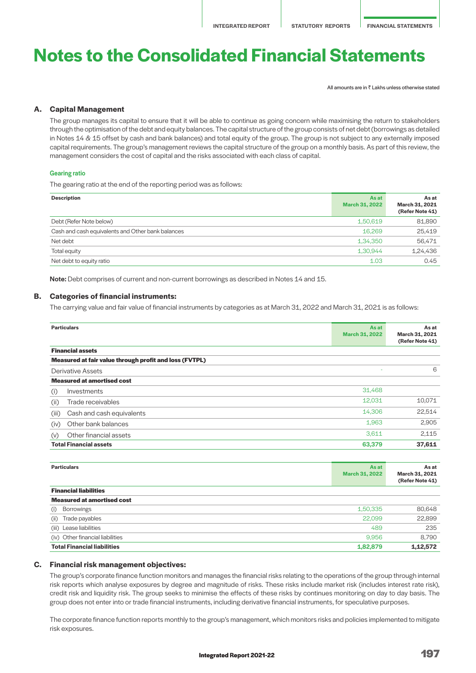All amounts are in  $\bar{z}$  Lakhs unless otherwise stated

#### **A. Capital Management**

 The group manages its capital to ensure that it will be able to continue as going concern while maximising the return to stakeholders through the optimisation of the debt and equity balances. The capital structure of the group consists of net debt (borrowings as detailed in Notes 14 & 15 offset by cash and bank balances) and total equity of the group. The group is not subject to any externally imposed capital requirements. The group's management reviews the capital structure of the group on a monthly basis. As part of this review, the management considers the cost of capital and the risks associated with each class of capital.

#### Gearing ratio

The gearing ratio at the end of the reporting period was as follows:

| <b>Description</b>                                | As at<br><b>March 31, 2022</b> | As at<br>March 31, 2021<br>(Refer Note 41) |
|---------------------------------------------------|--------------------------------|--------------------------------------------|
| Debt (Refer Note below)                           | 1,50,619                       | 81,890                                     |
| Cash and cash equivalents and Other bank balances | 16,269                         | 25,419                                     |
| Net debt                                          | 1,34,350                       | 56,471                                     |
| Total equity                                      | 1.30.944                       | 1,24,436                                   |
| Net debt to equity ratio                          | 1.03                           | 0.45                                       |

Note: Debt comprises of current and non-current borrowings as described in Notes 14 and 15.

#### **B. Categories of financial instruments:**

The carrying value and fair value of financial instruments by categories as at March 31, 2022 and March 31, 2021 is as follows:

|       | <b>Particulars</b>                                     | As at<br><b>March 31, 2022</b> | As at<br>March 31, 2021<br>(Refer Note 41) |
|-------|--------------------------------------------------------|--------------------------------|--------------------------------------------|
|       | <b>Financial assets</b>                                |                                |                                            |
|       | Measured at fair value through profit and loss (FVTPL) |                                |                                            |
|       | <b>Derivative Assets</b>                               |                                | 6                                          |
|       | <b>Measured at amortised cost</b>                      |                                |                                            |
| (i)   | Investments                                            | 31,468                         |                                            |
| (ii)  | Trade receivables                                      | 12,031                         | 10,071                                     |
| (iii) | Cash and cash equivalents                              | 14,306                         | 22,514                                     |
| (iv)  | Other bank balances                                    | 1,963                          | 2,905                                      |
| (v)   | Other financial assets                                 | 3,611                          | 2,115                                      |
|       | <b>Total Financial assets</b>                          | 63,379                         | 37,611                                     |
|       |                                                        |                                |                                            |
|       | <b>Particulars</b>                                     | As at<br><b>March 31, 2022</b> | As at<br>March 31, 2021<br>(Refer Note 41) |

| <b>Financial liabilities</b><br><b>Measured at amortised cost</b> |          |          |  |
|-------------------------------------------------------------------|----------|----------|--|
|                                                                   |          |          |  |
| Trade payables<br>(ii)                                            | 22,099   | 22.899   |  |
| (iii) Lease liabilities                                           | 489      | 235      |  |
| (iv) Other financial liabilities                                  | 9.956    | 8.790    |  |
| <b>Total Financial liabilities</b>                                | 1,82,879 | 1,12,572 |  |

#### **C. Financial risk management objectives:**

 The group's corporate finance function monitors and manages the financial risks relating to the operations of the group through internal risk reports which analyse exposures by degree and magnitude of risks. These risks include market risk (includes interest rate risk), credit risk and liquidity risk. The group seeks to minimise the effects of these risks by continues monitoring on day to day basis. The group does not enter into or trade financial instruments, including derivative financial instruments, for speculative purposes.

 The corporate finance function reports monthly to the group's management, which monitors risks and policies implemented to mitigate risk exposures.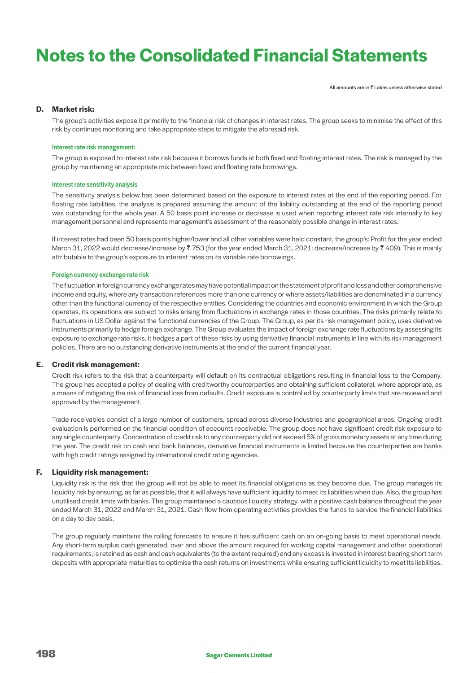All amounts are in  $\bar{z}$  Lakhs unless otherwise stated

#### **D. Market risk:**

 The group's activities expose it primarily to the financial risk of changes in interest rates. The group seeks to minimise the effect of this risk by continues monitoring and take appropriate steps to mitigate the aforesaid risk.

#### Interest rate risk management:

The group is exposed to interest rate risk because it borrows funds at both fixed and floating interest rates. The risk is managed by the group by maintaining an appropriate mix between fixed and floating rate borrowings.

#### Interest rate sensitivity analysis

The sensitivity analysis below has been determined based on the exposure to interest rates at the end of the reporting period. For floating rate liabilities, the analysis is prepared assuming the amount of the liability outstanding at the end of the reporting period was outstanding for the whole year. A 50 basis point increase or decrease is used when reporting interest rate risk internally to key management personnel and represents management's assessment of the reasonably possible change in interest rates.

If interest rates had been 50 basis points higher/lower and all other variables were held constant, the group's: Profit for the year ended March 31, 2022 would decrease/increase by  $\bar{z}$  753 (for the year ended March 31, 2021: decrease/increase by  $\bar{z}$  409). This is mainly attributable to the group's exposure to interest rates on its variable rate borrowings.

#### Foreign currency exchange rate risk

The fluctuation in foreign currency exchange rates may have potential impact on the statement of profit and loss and other comprehensive income and equity, where any transaction references more than one currency or where assets/liabilities are denominated in a currency other than the functional currency of the respective entities. Considering the countries and economic environment in which the Group operates, its operations are subject to risks arising from fluctuations in exchange rates in those countries. The risks primarily relate to fluctuations in US Dollar against the functional currencies of the Group. The Group, as per its risk management policy, uses derivative instruments primarily to hedge foreign exchange. The Group evaluates the impact of foreign exchange rate fluctuations by assessing its exposure to exchange rate risks. It hedges a part of these risks by using derivative financial instruments in line with its risk management policies. There are no outstanding derivative instruments at the end of the current financial year.

#### **E. Credit risk management:**

Credit risk refers to the risk that a counterparty will default on its contractual obligations resulting in financial loss to the Company. The group has adopted a policy of dealing with creditworthy counterparties and obtaining sufficient collateral, where appropriate, as a means of mitigating the risk of financial loss from defaults. Credit exposure is controlled by counterparty limits that are reviewed and approved by the management.

Trade receivables consist of a large number of customers, spread across diverse industries and geographical areas. Ongoing credit evaluation is performed on the financial condition of accounts receivable. The group does not have significant credit risk exposure to any single counterparty. Concentration of credit risk to any counterparty did not exceed 5% of gross monetary assets at any time during the year. The credit risk on cash and bank balances, derivative financial instruments is limited because the counterparties are banks with high credit ratings assigned by international credit rating agencies.

#### **F. Liquidity risk management:**

Liquidity risk is the risk that the group will not be able to meet its financial obligations as they become due. The group manages its liquidity risk by ensuring, as far as possible, that it will always have sufficient liquidity to meet its liabilities when due. Also, the group has unutilised credit limits with banks. The group maintained a cautious liquidity strategy, with a positive cash balance throughout the year ended March 31, 2022 and March 31, 2021. Cash flow from operating activities provides the funds to service the financial liabilities on a day to day basis.

The group regularly maintains the rolling forecasts to ensure it has sufficient cash on an on-going basis to meet operational needs. Any short-term surplus cash generated, over and above the amount required for working capital management and other operational requirements, is retained as cash and cash equivalents (to the extent required) and any excess is invested in interest bearing short-term deposits with appropriate maturities to optimise the cash returns on investments while ensuring sufficient liquidity to meet its liabilities.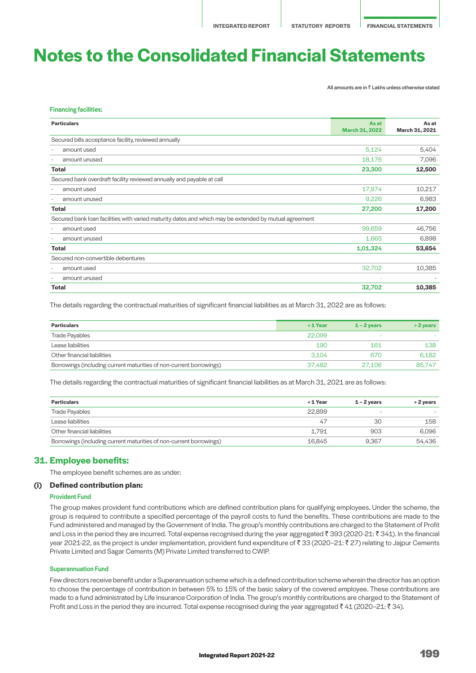All amounts are in  $\bar{z}$  Lakhs unless otherwise stated

| <b>Financing facilities:</b>                                                                          |                                       |                         |
|-------------------------------------------------------------------------------------------------------|---------------------------------------|-------------------------|
| <b>Particulars</b>                                                                                    | <b>As at</b><br><b>March 31, 2022</b> | As at<br>March 31, 2021 |
| Secured bills acceptance facility, reviewed annually                                                  |                                       |                         |
| amount used                                                                                           | 5,124                                 | 5,404                   |
| amount unused                                                                                         | 18,176                                | 7,096                   |
| <b>Total</b>                                                                                          | 23,300                                | 12,500                  |
| Secured bank overdraft facility reviewed annually and payable at call                                 |                                       |                         |
| amount used                                                                                           | 17,974                                | 10,217                  |
| amount unused                                                                                         | 9,226                                 | 6,983                   |
| <b>Total</b>                                                                                          | 27,200                                | 17,200                  |
| Secured bank loan facilities with varied maturity dates and which may be extended by mutual agreement |                                       |                         |
| amount used                                                                                           | 99,659                                | 46,756                  |
| amount unused                                                                                         | 1,665                                 | 6,898                   |
| <b>Total</b>                                                                                          | 1,01,324                              | 53,654                  |
| Secured non-convertible debentures                                                                    |                                       |                         |
| amount used                                                                                           | 32,702                                | 10,385                  |
| amount unused                                                                                         |                                       |                         |
| <b>Total</b>                                                                                          | 32,702                                | 10,385                  |

The details regarding the contractual maturities of significant financial liabilities as at March 31, 2022 are as follows:

| <b>Particulars</b>                                                  | $<$ 1 Year | $1 - 2$ vears | $>$ 2 years |
|---------------------------------------------------------------------|------------|---------------|-------------|
| <b>Trade Payables</b>                                               | 22.099     | ۰             |             |
| Lease liabilities                                                   | 190        | 161           | 138         |
| Other financial liabilities                                         | 3.104      | 670           | 6.182       |
| Borrowings (including current maturities of non-current borrowings) | 37.482     | 27.106        | 85.747      |

The details regarding the contractual maturities of significant financial liabilities as at March 31, 2021 are as follows:

| <b>Particulars</b>                                                  | ≺ 1 Year | $1 - 2$ years | > 2 years |
|---------------------------------------------------------------------|----------|---------------|-----------|
| <b>Trade Payables</b>                                               | 22,899   | -             |           |
| Lease liabilities                                                   | 47       | 30            | 158       |
| Other financial liabilities                                         | 1.791    | 903           | 6.096     |
| Borrowings (including current maturities of non-current borrowings) | 16.845   | 9.367         | 54.436    |

### **31. Employee benefits:**

The employee benefit schemes are as under:

#### **(i) Defined contribution plan:**

#### Provident Fund

 The group makes provident fund contributions which are defined contribution plans for qualifying employees. Under the scheme, the group is required to contribute a specified percentage of the payroll costs to fund the benefits. These contributions are made to the Fund administered and managed by the Government of India. The group's monthly contributions are charged to the Statement of Profit and Loss in the period they are incurred. Total expense recognised during the year aggregated ₹ 393 (2020-21: ₹ 341). In the financial year 2021-22, as the project is under implementation, provident fund expenditure of  $\bar{z}$  33 (2020–21:  $\bar{z}$  27) relating to Jajpur Cements Private Limited and Sagar Cements (M) Private Limited transferred to CWIP.

#### Superannuation Fund

 Few directors receive benefit under a Superannuation scheme which is a defined contribution scheme wherein the director has an option to choose the percentage of contribution in between 5% to 15% of the basic salary of the covered employee. These contributions are made to a fund administrated by Life Insurance Corporation of India. The group's monthly contributions are charged to the Statement of Profit and Loss in the period they are incurred. Total expense recognised during the year aggregated  $\bar{f}$  41 (2020–21:  $\bar{f}$  34).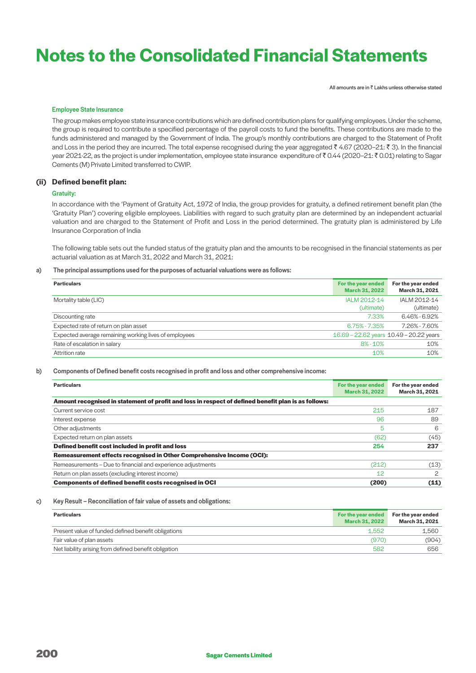All amounts are in  $\bar{z}$  Lakhs unless otherwise stated

#### Employee State Insurance

 The group makes employee state insurance contributions which are defined contribution plans for qualifying employees. Under the scheme, the group is required to contribute a specified percentage of the payroll costs to fund the benefits. These contributions are made to the funds administered and managed by the Government of India. The group's monthly contributions are charged to the Statement of Profit and Loss in the period they are incurred. The total expense recognised during the year aggregated  $\bar{\tau}$  4.67 (2020–21:  $\bar{\tau}$  3). In the financial year 2021-22, as the project is under implementation, employee state insurance expenditure of ₹0.44 (2020–21: ₹0.01) relating to Sagar Cements (M) Private Limited transferred to CWIP.

#### **(ii) Defined benefit plan:**

#### Gratuity:

 In accordance with the 'Payment of Gratuity Act, 1972 of India, the group provides for gratuity, a defined retirement benefit plan (the 'Gratuity Plan') covering eligible employees. Liabilities with regard to such gratuity plan are determined by an independent actuarial valuation and are charged to the Statement of Profit and Loss in the period determined. The gratuity plan is administered by Life Insurance Corporation of India

 The following table sets out the funded status of the gratuity plan and the amounts to be recognised in the financial statements as per actuarial valuation as at March 31, 2022 and March 31, 2021:

#### a) The principal assumptions used for the purposes of actuarial valuations were as follows:

| <b>Particulars</b>                                    | For the year ended<br><b>March 31, 2022</b> | For the year ended<br>March 31, 2021 |
|-------------------------------------------------------|---------------------------------------------|--------------------------------------|
| Mortality table (LIC)                                 | IALM 2012-14                                | IALM 2012-14                         |
|                                                       | (ultimate)                                  | (ultimate)                           |
| Discounting rate                                      | 7.33%                                       | $6.46\% - 6.92\%$                    |
| Expected rate of return on plan asset                 | $6.75\% - 7.35\%$                           | 7.26% - 7.60%                        |
| Expected average remaining working lives of employees | 16.69 - 22.62 years 10.49 - 20.22 years     |                                      |
| Rate of escalation in salary                          | $8\% - 10\%$                                | 10%                                  |
| Attrition rate                                        | 10%                                         | 10%                                  |

#### b) Components of Defined benefit costs recognised in profit and loss and other comprehensive income:

| <b>Particulars</b>                                                                                  | For the year ended<br><b>March 31, 2022</b> | For the year ended<br>March 31, 2021 |
|-----------------------------------------------------------------------------------------------------|---------------------------------------------|--------------------------------------|
| Amount recognised in statement of profit and loss in respect of defined benefit plan is as follows: |                                             |                                      |
| Current service cost                                                                                | 215                                         | 187                                  |
| Interest expense                                                                                    | 96                                          | 89                                   |
| Other adjustments                                                                                   | 5                                           | 6                                    |
| Expected return on plan assets                                                                      | (62)                                        | (45)                                 |
| Defined benefit cost included in profit and loss                                                    | 254                                         | 237                                  |
| Remeasurement effects recognised in Other Comprehensive Income (OCI):                               |                                             |                                      |
| Remeasurements – Due to financial and experience adjustments                                        | (212)                                       | (13)                                 |
| Return on plan assets (excluding interest income)                                                   | 12                                          | $\overline{c}$                       |
| <b>Components of defined benefit costs recognised in OCI</b>                                        | (200)                                       | (11)                                 |

#### c) Key Result – Reconciliation of fair value of assets and obligations:

| <b>Particulars</b>                                    | For the year ended<br><b>March 31, 2022</b> | For the year ended<br>March 31, 2021 |
|-------------------------------------------------------|---------------------------------------------|--------------------------------------|
| Present value of funded defined benefit obligations   | 1.552                                       | 1.560                                |
| Fair value of plan assets                             | (970)                                       | (904)                                |
| Net liability arising from defined benefit obligation | 582                                         | 656                                  |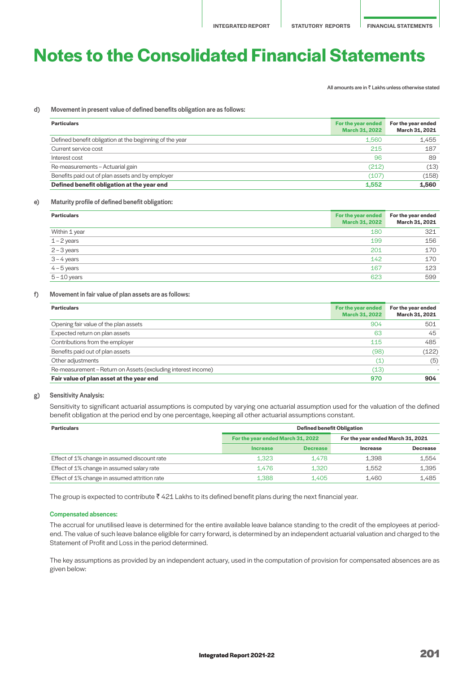All amounts are in  $\bar{\bar{\tau}}$  Lakhs unless otherwise stated

#### d) Movement in present value of defined benefits obligation are as follows:

| <b>Particulars</b>                                      | For the year ended<br><b>March 31, 2022</b> | For the year ended<br>March 31, 2021 |
|---------------------------------------------------------|---------------------------------------------|--------------------------------------|
| Defined benefit obligation at the beginning of the year | 1,560                                       | 1.455                                |
| Current service cost                                    | 215                                         | 187                                  |
| Interest cost                                           | 96                                          | 89                                   |
| Re-measurements - Actuarial gain                        | (212)                                       | (13)                                 |
| Benefits paid out of plan assets and by employer        | (107)                                       | (158)                                |
| Defined benefit obligation at the year end              | 1,552                                       | 1,560                                |

#### e) Maturity profile of defined benefit obligation:

| <b>Particulars</b> | For the year ended<br>March 31, 2022 | For the year ended<br>March 31, 2021 |
|--------------------|--------------------------------------|--------------------------------------|
| Within 1 year      | 180                                  | 321                                  |
| $1 - 2$ years      | 199                                  | 156                                  |
| $2 - 3$ years      | 201                                  | 170                                  |
| $3 - 4$ years      | 142                                  | 170                                  |
| $4 - 5$ years      | 167                                  | 123                                  |
| $5 - 10$ years     | 623                                  | 599                                  |

#### f) Movement in fair value of plan assets are as follows:

| <b>Particulars</b>                                            | For the year ended<br><b>March 31, 2022</b> | For the year ended<br>March 31, 2021 |
|---------------------------------------------------------------|---------------------------------------------|--------------------------------------|
| Opening fair value of the plan assets                         | 904                                         | 501                                  |
| Expected return on plan assets                                | 63                                          | 45                                   |
| Contributions from the employer                               | 115                                         | 485                                  |
| Benefits paid out of plan assets                              | (98)                                        | (122)                                |
| Other adjustments                                             | (1)                                         | (5)                                  |
| Re-measurement – Return on Assets (excluding interest income) | (13)                                        |                                      |
| Fair value of plan asset at the year end                      | 970                                         | 904                                  |

#### g) Sensitivity Analysis:

Sensitivity to significant actuarial assumptions is computed by varying one actuarial assumption used for the valuation of the defined benefit obligation at the period end by one percentage, keeping all other actuarial assumptions constant.

| <b>Particulars</b>                            | <b>Defined benefit Obligation</b> |                 |                                   |                 |  |
|-----------------------------------------------|-----------------------------------|-----------------|-----------------------------------|-----------------|--|
|                                               | For the year ended March 31, 2022 |                 | For the year ended March 31, 2021 |                 |  |
|                                               | <b>Increase</b>                   | <b>Decrease</b> | Increase                          | <b>Decrease</b> |  |
| Effect of 1% change in assumed discount rate  | 1.323                             | 1.478           | 1.398                             | 1.554           |  |
| Effect of 1% change in assumed salary rate    | 1.476                             | 1.320           | 1.552                             | 1,395           |  |
| Effect of 1% change in assumed attrition rate | 1.388                             | 1.405           | 1.460                             | 1.485           |  |

The group is expected to contribute  $\bar{\zeta}$  421 Lakhs to its defined benefit plans during the next financial year.

#### Compensated absences:

 The accrual for unutilised leave is determined for the entire available leave balance standing to the credit of the employees at periodend. The value of such leave balance eligible for carry forward, is determined by an independent actuarial valuation and charged to the Statement of Profit and Loss in the period determined.

 The key assumptions as provided by an independent actuary, used in the computation of provision for compensated absences are as given below: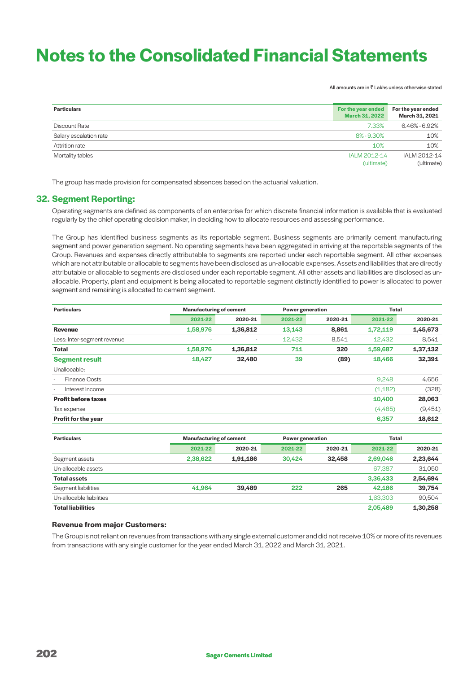All amounts are in  $\bar{\bar{\xi}}$  Lakhs unless otherwise stated

| <b>Particulars</b>     | For the year ended<br><b>March 31, 2022</b> | For the year ended<br>March 31, 2021 |
|------------------------|---------------------------------------------|--------------------------------------|
| <b>Discount Rate</b>   | 7.33%                                       | 6.46%-6.92%                          |
| Salary escalation rate | 8%-9.30%                                    | 10%                                  |
| Attrition rate         | 10%                                         | 10%                                  |
| Mortality tables       | IALM 2012-14<br>(ultimate)                  | IALM 2012-14<br>(ultimate)           |

The group has made provision for compensated absences based on the actuarial valuation.

### **32. Segment Reporting:**

 Operating segments are defined as components of an enterprise for which discrete financial information is available that is evaluated regularly by the chief operating decision maker, in deciding how to allocate resources and assessing performance.

 The Group has identified business segments as its reportable segment. Business segments are primarily cement manufacturing segment and power generation segment. No operating segments have been aggregated in arriving at the reportable segments of the Group. Revenues and expenses directly attributable to segments are reported under each reportable segment. All other expenses which are not attributable or allocable to segments have been disclosed as un-allocable expenses. Assets and liabilities that are directly attributable or allocable to segments are disclosed under each reportable segment. All other assets and liabilities are disclosed as unallocable. Property, plant and equipment is being allocated to reportable segment distinctly identified to power is allocated to power segment and remaining is allocated to cement segment.

| <b>Particulars</b>                               | <b>Manufacturing of cement</b> |                          | <b>Power generation</b> |         | <b>Total</b> |          |
|--------------------------------------------------|--------------------------------|--------------------------|-------------------------|---------|--------------|----------|
|                                                  | 2021-22                        | 2020-21                  | 2021-22                 | 2020-21 | 2021-22      | 2020-21  |
| <b>Revenue</b>                                   | 1,58,976                       | 1,36,812                 | 13,143                  | 8,861   | 1,72,119     | 1,45,673 |
| Less: Inter-segment revenue                      | $\overline{\phantom{a}}$       | $\overline{\phantom{a}}$ | 12.432                  | 8.541   | 12.432       | 8.541    |
| <b>Total</b>                                     | 1,58,976                       | 1,36,812                 | 711                     | 320     | 1,59,687     | 1,37,132 |
| <b>Segment result</b>                            | 18,427                         | 32,480                   | 39                      | (89)    | 18,466       | 32,391   |
| Unallocable:                                     |                                |                          |                         |         |              |          |
| <b>Finance Costs</b><br>$\overline{\phantom{a}}$ |                                |                          |                         |         | 9.248        | 4,656    |
| Interest income<br>$\overline{\phantom{a}}$      |                                |                          |                         |         | (1,182)      | (328)    |
| <b>Profit before taxes</b>                       |                                |                          |                         |         | 10,400       | 28,063   |
| Tax expense                                      |                                |                          |                         |         | (4,485)      | (9,451)  |
| <b>Profit for the year</b>                       |                                |                          |                         |         | 6,357        | 18,612   |

| <b>Particulars</b>       | <b>Manufacturing of cement</b> |          | <b>Power generation</b> |         | <b>Total</b> |          |
|--------------------------|--------------------------------|----------|-------------------------|---------|--------------|----------|
|                          | 2021-22                        | 2020-21  | 2021-22                 | 2020-21 | 2021-22      | 2020-21  |
| Segment assets           | 2,38,622                       | 1,91,186 | 30.424                  | 32,458  | 2,69,046     | 2,23,644 |
| Un-allocable assets      |                                |          |                         |         | 67,387       | 31,050   |
| <b>Total assets</b>      |                                |          |                         |         | 3,36,433     | 2,54,694 |
| Segment liabilities      | 41,964                         | 39,489   | 222                     | 265     | 42.186       | 39,754   |
| Un-allocable liabilities |                                |          |                         |         | 1,63,303     | 90,504   |
| <b>Total liabilities</b> |                                |          |                         |         | 2,05,489     | 1,30,258 |

#### **Revenue from major Customers:**

 The Group is not reliant on revenues from transactions with any single external customer and did not receive 10% or more of its revenues from transactions with any single customer for the year ended March 31, 2022 and March 31, 2021.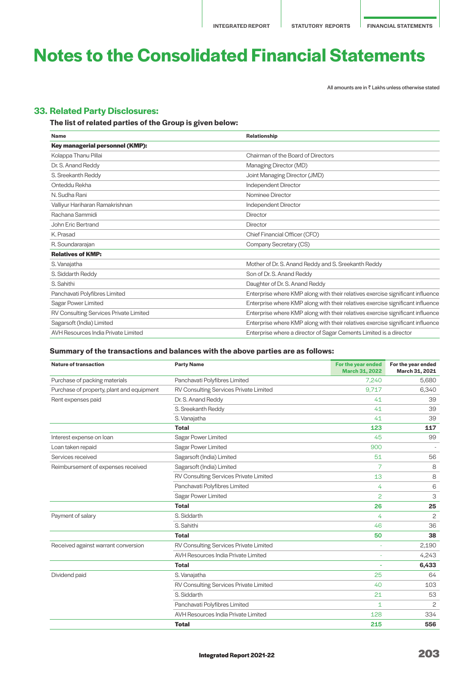All amounts are in  $\bar{\bar{\tau}}$  Lakhs unless otherwise stated

### **33. Related Party Disclosures:**

**The list of related parties of the Group is given below:**

| Name                                   | <b>Relationship</b>                                                            |
|----------------------------------------|--------------------------------------------------------------------------------|
| <b>Key managerial personnel (KMP):</b> |                                                                                |
| Kolappa Thanu Pillai                   | Chairman of the Board of Directors                                             |
| Dr. S. Anand Reddy                     | Managing Director (MD)                                                         |
| S. Sreekanth Reddy                     | Joint Managing Director (JMD)                                                  |
| Onteddu Rekha                          | Independent Director                                                           |
| N. Sudha Rani                          | Nominee Director                                                               |
| Valliyur Hariharan Ramakrishnan        | Independent Director                                                           |
| Rachana Sammidi                        | <b>Director</b>                                                                |
| John Eric Bertrand                     | <b>Director</b>                                                                |
| K. Prasad                              | Chief Financial Officer (CFO)                                                  |
| R. Soundararajan                       | Company Secretary (CS)                                                         |
| <b>Relatives of KMP:</b>               |                                                                                |
| S. Vanajatha                           | Mother of Dr. S. Anand Reddy and S. Sreekanth Reddy                            |
| S. Siddarth Reddy                      | Son of Dr. S. Anand Reddy                                                      |
| S. Sahithi                             | Daughter of Dr. S. Anand Reddy                                                 |
| Panchavati Polyfibres Limited          | Enterprise where KMP along with their relatives exercise significant influence |
| Sagar Power Limited                    | Enterprise where KMP along with their relatives exercise significant influence |
| RV Consulting Services Private Limited | Enterprise where KMP along with their relatives exercise significant influence |
| Sagarsoft (India) Limited              | Enterprise where KMP along with their relatives exercise significant influence |
| AVH Resources India Private Limited    | Enterprise where a director of Sagar Cements Limited is a director             |

#### **Summary of the transactions and balances with the above parties are as follows:**

| <b>Nature of transaction</b>              | <b>Party Name</b>                      | For the year ended<br><b>March 31, 2022</b> | For the year ended<br>March 31, 2021 |
|-------------------------------------------|----------------------------------------|---------------------------------------------|--------------------------------------|
| Purchase of packing materials             | Panchavati Polyfibres Limited          | 7,240                                       | 5,680                                |
| Purchase of property, plant and equipment | RV Consulting Services Private Limited | 9.717                                       | 6,340                                |
| Rent expenses paid                        | Dr. S. Anand Reddy                     | 41                                          | 39                                   |
|                                           | S. Sreekanth Reddy                     | 41                                          | 39                                   |
|                                           | S. Vanajatha                           | 41                                          | 39                                   |
|                                           | <b>Total</b>                           | 123                                         | 117                                  |
| Interest expense on loan                  | Sagar Power Limited                    | 45                                          | 99                                   |
| Loan taken repaid                         | Sagar Power Limited                    | 900                                         |                                      |
| Services received                         | Sagarsoft (India) Limited              | 51                                          | 56                                   |
| Reimbursement of expenses received        | Sagarsoft (India) Limited              | 7                                           | 8                                    |
|                                           | RV Consulting Services Private Limited | 13                                          | 8                                    |
|                                           | Panchavati Polyfibres Limited          | 4                                           | 6                                    |
|                                           | Sagar Power Limited                    | $\overline{2}$                              | 3                                    |
|                                           | <b>Total</b>                           | 26                                          | 25                                   |
| Payment of salary                         | S. Siddarth                            | 4                                           | $\overline{c}$                       |
|                                           | S. Sahithi                             | 46                                          | 36                                   |
|                                           | <b>Total</b>                           | 50                                          | 38                                   |
| Received against warrant conversion       | RV Consulting Services Private Limited |                                             | 2,190                                |
|                                           | AVH Resources India Private Limited    |                                             | 4,243                                |
|                                           | <b>Total</b>                           |                                             | 6,433                                |
| Dividend paid                             | S. Vanajatha                           | 25                                          | 64                                   |
|                                           | RV Consulting Services Private Limited | 40                                          | 103                                  |
|                                           | S. Siddarth                            | 21                                          | 53                                   |
|                                           | Panchavati Polyfibres Limited          | $\mathbf 1$                                 | $\overline{c}$                       |
|                                           | AVH Resources India Private Limited    | 128                                         | 334                                  |
|                                           | <b>Total</b>                           | 215                                         | 556                                  |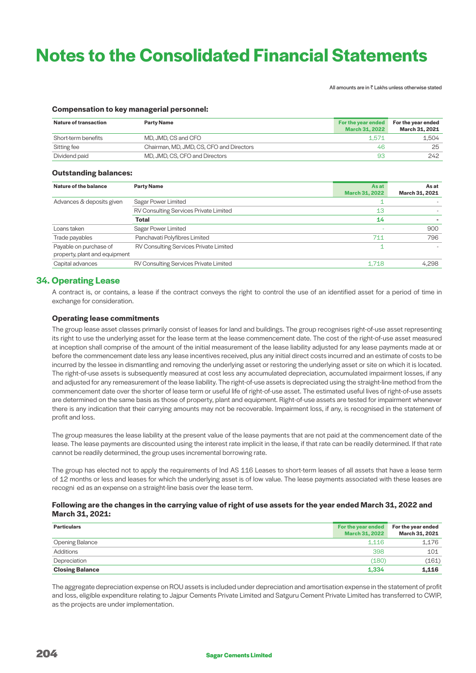All amounts are in  $\bar{z}$  Lakhs unless otherwise stated

#### **Compensation to key managerial personnel:**

| Nature of transaction | <b>Party Name</b>                        | For the year ended    | For the year ended |
|-----------------------|------------------------------------------|-----------------------|--------------------|
|                       |                                          | <b>March 31, 2022</b> | March 31, 2021     |
| Short-term benefits   | MD. JMD. CS and CFO                      | 1.571                 | 1.504              |
| Sitting fee           | Chairman, MD, JMD, CS, CFO and Directors | 46                    | 25                 |
| Dividend paid         | MD. JMD. CS. CFO and Directors           | -93                   | 242                |
|                       |                                          |                       |                    |

#### **Outstanding balances:**

| Nature of the balance                                   | <b>Party Name</b>                             | As at<br><b>March 31, 2022</b> | As at<br>March 31, 2021 |
|---------------------------------------------------------|-----------------------------------------------|--------------------------------|-------------------------|
| Advances & deposits given                               | Sagar Power Limited                           |                                |                         |
|                                                         | RV Consulting Services Private Limited        | 13                             |                         |
|                                                         | <b>Total</b>                                  | 14                             |                         |
| Loans taken                                             | Sagar Power Limited                           |                                | 900                     |
| Trade payables                                          | Panchavati Polyfibres Limited                 | 711                            | 796                     |
| Payable on purchase of<br>property, plant and equipment | RV Consulting Services Private Limited        |                                |                         |
| Capital advances                                        | <b>RV Consulting Services Private Limited</b> | 1.718                          | 4.298                   |

### **34. Operating Lease**

 A contract is, or contains, a lease if the contract conveys the right to control the use of an identified asset for a period of time in exchange for consideration.

#### **Operating lease commitments**

 The group lease asset classes primarily consist of leases for land and buildings. The group recognises right-of-use asset representing its right to use the underlying asset for the lease term at the lease commencement date. The cost of the right-of-use asset measured at inception shall comprise of the amount of the initial measurement of the lease liability adjusted for any lease payments made at or before the commencement date less any lease incentives received, plus any initial direct costs incurred and an estimate of costs to be incurred by the lessee in dismantling and removing the underlying asset or restoring the underlying asset or site on which it is located. The right-of-use assets is subsequently measured at cost less any accumulated depreciation, accumulated impairment losses, if any and adjusted for any remeasurement of the lease liability. The right-of-use assets is depreciated using the straight-line method from the commencement date over the shorter of lease term or useful life of right-of-use asset. The estimated useful lives of right-of-use assets are determined on the same basis as those of property, plant and equipment. Right-of-use assets are tested for impairment whenever there is any indication that their carrying amounts may not be recoverable. Impairment loss, if any, is recognised in the statement of profit and loss.

 The group measures the lease liability at the present value of the lease payments that are not paid at the commencement date of the lease. The lease payments are discounted using the interest rate implicit in the lease, if that rate can be readily determined. If that rate cannot be readily determined, the group uses incremental borrowing rate.

 The group has elected not to apply the requirements of Ind AS 116 Leases to short-term leases of all assets that have a lease term of 12 months or less and leases for which the underlying asset is of low value. The lease payments associated with these leases are recogni ed as an expense on a straight-line basis over the lease term.

#### **Following are the changes in the carrying value of right of use assets for the year ended March 31, 2022 and March 31, 2021:**

| <b>Particulars</b>     | For the year ended    | For the year ended |
|------------------------|-----------------------|--------------------|
|                        | <b>March 31, 2022</b> | March 31, 2021     |
| <b>Opening Balance</b> | 1.116                 | 1.176              |
| Additions              | 398                   | 101                |
| Depreciation           | (180)                 | (161)              |
| <b>Closing Balance</b> | 1.334                 | 1.116              |

The aggregate depreciation expense on ROU assets is included under depreciation and amortisation expense in the statement of profit and loss, eligible expenditure relating to Jajpur Cements Private Limited and Satguru Cement Private Limited has transferred to CWIP, as the projects are under implementation.

### **204 Sagar Cements Limited**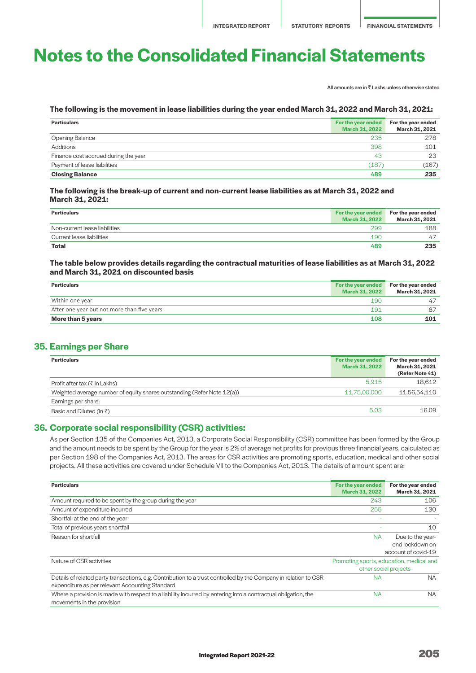All amounts are in  $\bar{\bar{\xi}}$  Lakhs unless otherwise stated

#### **The following is the movement in lease liabilities during the year ended March 31, 2022 and March 31, 2021:**

| <b>Particulars</b>                   | For the year ended<br><b>March 31, 2022</b> | For the year ended<br>March 31, 2021 |
|--------------------------------------|---------------------------------------------|--------------------------------------|
| <b>Opening Balance</b>               | 235                                         | 278                                  |
| Additions                            | 398                                         | 101                                  |
| Finance cost accrued during the year | 43                                          | 23                                   |
| Payment of lease liabilities         | (187)                                       | (167)                                |
| <b>Closing Balance</b>               | 489                                         | 235                                  |

#### **The following is the break-up of current and non-current lease liabilities as at March 31, 2022 and March 31, 2021:**

| <b>Particulars</b>            | For the year ended<br><b>March 31, 2022</b> | For the year ended<br>March 31, 2021 |
|-------------------------------|---------------------------------------------|--------------------------------------|
| Non-current lease liabilities | 299                                         | 188                                  |
| Current lease liabilities     | 190                                         | 47                                   |
| <b>Total</b>                  | 489                                         | 235                                  |

#### **The table below provides details regarding the contractual maturities of lease liabilities as at March 31, 2022 and March 31, 2021 on discounted basis**

| <b>Particulars</b>                          |                       | For the year ended For the year ended |
|---------------------------------------------|-----------------------|---------------------------------------|
|                                             | <b>March 31, 2022</b> | March 31, 2021                        |
| Within one year                             | 190                   | 47                                    |
| After one year but not more than five years | 191                   | 87                                    |
| More than 5 years                           | 108                   | 101                                   |

### **35. Earnings per Share**

| <b>Particulars</b>                                                      | For the year ended<br><b>March 31, 2022</b> | For the year ended<br>March 31, 2021<br>(Refer Note 41) |
|-------------------------------------------------------------------------|---------------------------------------------|---------------------------------------------------------|
| Profit after tax ( $\bar{\tau}$ in Lakhs)                               | 5.915                                       | 18.612                                                  |
| Weighted average number of equity shares outstanding (Refer Note 12(a)) | 11,75,00,000                                | 11,56,54,110                                            |
| Earnings per share:                                                     |                                             |                                                         |
| Basic and Diluted (in ₹)                                                | 5.03                                        | 16.09                                                   |

#### **36. Corporate social responsibility (CSR) activities:**

 As per Section 135 of the Companies Act, 2013, a Corporate Social Responsibility (CSR) committee has been formed by the Group and the amount needs to be spent by the Group for the year is 2% of average net profits for previous three financial years, calculated as per Section 198 of the Companies Act, 2013. The areas for CSR activities are promoting sports, education, medical and other social projects. All these activities are covered under Schedule VII to the Companies Act, 2013. The details of amount spent are:

| <b>Particulars</b>                                                                                                                                                  | For the year ended<br><b>March 31, 2022</b>                       | For the year ended<br>March 31, 2021                       |
|---------------------------------------------------------------------------------------------------------------------------------------------------------------------|-------------------------------------------------------------------|------------------------------------------------------------|
| Amount required to be spent by the group during the year                                                                                                            | 243                                                               | 106                                                        |
| Amount of expenditure incurred                                                                                                                                      | 255                                                               | 130                                                        |
| Shortfall at the end of the year                                                                                                                                    |                                                                   |                                                            |
| Total of previous years shortfall                                                                                                                                   | $\sim$                                                            | 10                                                         |
| Reason for shortfall                                                                                                                                                | <b>NA</b>                                                         | Due to the year-<br>end lockdown on<br>account of covid-19 |
| Nature of CSR activities                                                                                                                                            | Promoting sports, education, medical and<br>other social projects |                                                            |
| Details of related party transactions, e.g. Contribution to a trust controlled by the Company in relation to CSR<br>expenditure as per relevant Accounting Standard | <b>NA</b>                                                         | NA.                                                        |
| Where a provision is made with respect to a liability incurred by entering into a contractual obligation, the<br>movements in the provision                         | <b>NA</b>                                                         | NA.                                                        |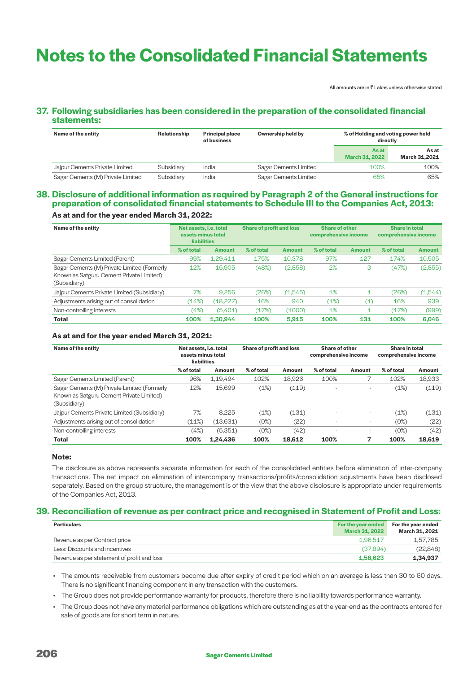All amounts are in  $\bar{z}$  Lakhs unless otherwise stated

### **37. Following subsidiaries has been considered in the preparation of the consolidated financial statements:**

| Name of the entity                | Relationship | <b>Principal place</b><br>of business | Ownership held by     | % of Holding and voting power held<br>directly |                        |
|-----------------------------------|--------------|---------------------------------------|-----------------------|------------------------------------------------|------------------------|
|                                   |              |                                       |                       | As at<br><b>March 31, 2022</b>                 | As at<br>March 31,2021 |
| Jaipur Cements Private Limited    | Subsidiary   | India                                 | Sagar Cements Limited | 100%                                           | 100%                   |
| Sagar Cements (M) Private Limited | Subsidiary   | India                                 | Sagar Cements Limited | 65%                                            | 65%                    |

### **38. Disclosure of additional information as required by Paragraph 2 of the General instructions for preparation of consolidated financial statements to Schedule III to the Companies Act, 2013: As at and for the year ended March 31, 2022:**

| Name of the entity                                                                                      | Net assets, i.e. total<br>assets minus total<br><b>liabilities</b> |               | <b>Share of profit and loss</b> |               | <b>Share of other</b><br>comprehensive income |               | <b>Share in total</b><br>comprehensive income |               |
|---------------------------------------------------------------------------------------------------------|--------------------------------------------------------------------|---------------|---------------------------------|---------------|-----------------------------------------------|---------------|-----------------------------------------------|---------------|
|                                                                                                         | % of total                                                         | <b>Amount</b> | % of total                      | <b>Amount</b> | % of total                                    | <b>Amount</b> | % of total                                    | <b>Amount</b> |
| Sagar Cements Limited (Parent)                                                                          | 99%                                                                | 1,29,411      | 175%                            | 10,378        | 97%                                           | 127           | 174%                                          | 10,505        |
| Sagar Cements (M) Private Limited (Formerly<br>Known as Satguru Cement Private Limited)<br>(Subsidiary) | 12%                                                                | 15,905        | (48%)                           | (2,858)       | 2%                                            | 3             | (47%)                                         | (2,855)       |
| Jaipur Cements Private Limited (Subsidiary)                                                             | 7%                                                                 | 9.256         | (26%)                           | (1,545)       | 1%                                            | 1             | (26%)                                         | (1,544)       |
| Adjustments arising out of consolidation                                                                | (14%)                                                              | (18,227)      | 16%                             | 940           | (1%)                                          | (1)           | 16%                                           | 939           |
| Non-controlling interests                                                                               | (4%)                                                               | (5,401)       | (17%)                           | (1000)        | 1%                                            | 1             | (17%)                                         | (999)         |
| <b>Total</b>                                                                                            | 100%                                                               | 1.30.944      | 100%                            | 5.915         | 100%                                          | 131           | 100%                                          | 6,046         |

#### **As at and for the year ended March 31, 2021:**

| Name of the entity                          | Net assets, i.e. total<br>assets minus total<br><b>liabilities</b> |          | Share of profit and loss |        | Share of other<br>comprehensive income |                          | Share in total<br>comprehensive income |               |
|---------------------------------------------|--------------------------------------------------------------------|----------|--------------------------|--------|----------------------------------------|--------------------------|----------------------------------------|---------------|
|                                             | % of total                                                         | Amount   | % of total               | Amount | % of total                             | Amount                   | % of total                             | <b>Amount</b> |
| Sagar Cements Limited (Parent)              | 96%                                                                | 1,19,494 | 102%                     | 18,926 | 100%                                   |                          | 102%                                   | 18,933        |
| Sagar Cements (M) Private Limited (Formerly | 12%                                                                | 15,699   | (1%)                     | (119)  |                                        |                          | (1%)                                   | (119)         |
| Known as Satguru Cement Private Limited)    |                                                                    |          |                          |        |                                        |                          |                                        |               |
| (Subsidiary)                                |                                                                    |          |                          |        |                                        |                          |                                        |               |
| Jaipur Cements Private Limited (Subsidiary) | 7%                                                                 | 8.225    | (1%)                     | (131)  |                                        |                          | (1%)                                   | (131)         |
| Adjustments arising out of consolidation    | (11%)                                                              | (13,631) | (0%)                     | (22)   | ۰                                      | $\overline{\phantom{a}}$ | (0%)                                   | (22)          |
| Non-controlling interests                   | (4%)                                                               | (5,351)  | (0%)                     | (42)   | $\overline{\phantom{a}}$               | $\overline{\phantom{a}}$ | (0%)                                   | (42)          |
| <b>Total</b>                                | 100%                                                               | 1.24.436 | 100%                     | 18,612 | 100%                                   | 7                        | 100%                                   | 18,619        |

#### **Note:**

The disclosure as above represents separate information for each of the consolidated entities before elimination of inter-company transactions. The net impact on elimination of intercompany transactions/profits/consolidation adjustments have been disclosed separately. Based on the group structure, the management is of the view that the above disclosure is appropriate under requirements of the Companies Act, 2013.

### **39. Reconciliation of revenue as per contract price and recognised in Statement of Profit and Loss:**

| <b>Particulars</b>                          | For the year ended<br>March 31, 2022 | For the vear ended<br>March 31, 2021 |
|---------------------------------------------|--------------------------------------|--------------------------------------|
| Revenue as per Contract price               | 1.96.517                             | 1.57.785                             |
| Less: Discounts and incentives              | (37.894)                             | (22,848)                             |
| Revenue as per statement of profit and loss | 1.58.623                             | 1,34,937                             |

• The amounts receivable from customers become due after expiry of credit period which on an average is less than 30 to 60 days. There is no significant financing component in any transaction with the customers.

- The Group does not provide performance warranty for products, therefore there is no liability towards performance warranty.
- The Group does not have any material performance obligations which are outstanding as at the year-end as the contracts entered for sale of goods are for short term in nature.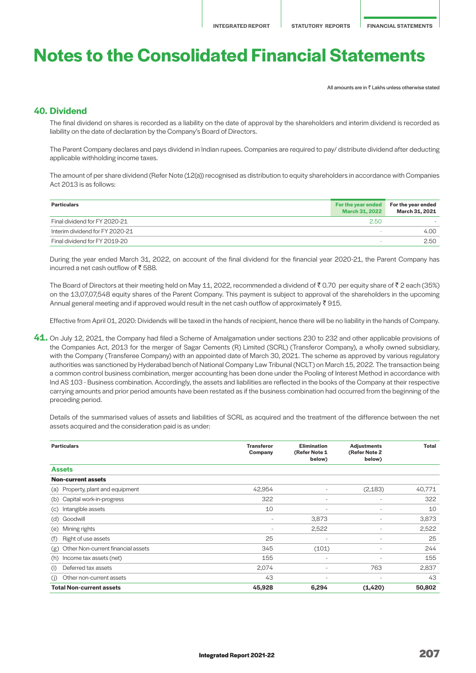All amounts are in  $\bar{z}$  Lakhs unless otherwise stated

### **40. Dividend**

The final dividend on shares is recorded as a liability on the date of approval by the shareholders and interim dividend is recorded as liability on the date of declaration by the Company's Board of Directors.

The Parent Company declares and pays dividend in Indian rupees. Companies are required to pay/ distribute dividend after deducting applicable withholding income taxes.

The amount of per share dividend (Refer Note (12(a)) recognised as distribution to equity shareholders in accordance with Companies Act 2013 is as follows:

| <b>Particulars</b>              | For the year ended<br><b>March 31, 2022</b> | For the year ended<br>March 31, 2021 |
|---------------------------------|---------------------------------------------|--------------------------------------|
| Final dividend for FY 2020-21   | 2.50                                        |                                      |
| Interim dividend for FY 2020-21 |                                             | 4.00                                 |
| Final dividend for FY 2019-20   |                                             | 2.50                                 |

During the year ended March 31, 2022, on account of the final dividend for the financial year 2020-21, the Parent Company has incurred a net cash outflow of  $\bar{z}$  588.

The Board of Directors at their meeting held on May 11, 2022, recommended a dividend of  $\bar{z}$  0.70 per equity share of  $\bar{z}$  2 each (35%) on the 13,07,07,548 equity shares of the Parent Company. This payment is subject to approval of the shareholders in the upcoming Annual general meeting and if approved would result in the net cash outflow of approximately  $\bar{\zeta}$  915.

Effective from April 01, 2020: Dividends will be taxed in the hands of recipient, hence there will be no liability in the hands of Company.

**41.** On July 12, 2021, the Company had filed a Scheme of Amalgamation under sections 230 to 232 and other applicable provisions of the Companies Act, 2013 for the merger of Sagar Cements (R) Limited (SCRL) (Transferor Company), a wholly owned subsidiary, with the Company (Transferee Company) with an appointed date of March 30, 2021. The scheme as approved by various regulatory authorities was sanctioned by Hyderabad bench of National Company Law Tribunal (NCLT) on March 15, 2022. The transaction being a common control business combination, merger accounting has been done under the Pooling of Interest Method in accordance with Ind AS 103 - Business combination. Accordingly, the assets and liabilities are reflected in the books of the Company at their respective carrying amounts and prior period amounts have been restated as if the business combination had occurred from the beginning of the preceding period.

 Details of the summarised values of assets and liabilities of SCRL as acquired and the treatment of the difference between the net assets acquired and the consideration paid is as under:

| <b>Particulars</b>                        | <b>Transferor</b><br>Company | <b>Elimination</b><br>(Refer Note 1<br>below) | <b>Adjustments</b><br>(Refer Note 2<br>below) | <b>Total</b> |
|-------------------------------------------|------------------------------|-----------------------------------------------|-----------------------------------------------|--------------|
| <b>Assets</b>                             |                              |                                               |                                               |              |
| <b>Non-current assets</b>                 |                              |                                               |                                               |              |
| (a) Property, plant and equipment         | 42,954                       |                                               | (2, 183)                                      | 40,771       |
| (b) Capital work-in-progress              | 322                          |                                               | $\overline{a}$                                | 322          |
| Intangible assets<br>(c)                  | 10                           | $\overline{\phantom{a}}$                      | $\qquad \qquad \blacksquare$                  | 10           |
| (d) Goodwill                              | $\overline{\phantom{a}}$     | 3,873                                         |                                               | 3,873        |
| Mining rights<br>(e)                      |                              | 2,522                                         |                                               | 2,522        |
| Right of use assets<br>(f)                | 25                           | $\overline{\phantom{a}}$                      | $\overline{a}$                                | 25           |
| Other Non-current financial assets<br>(g) | 345                          | (101)                                         | $\overline{a}$                                | 244          |
| (h) Income tax assets (net)               | 155                          | $\overline{\phantom{a}}$                      | $\overline{\phantom{a}}$                      | 155          |
| Deferred tax assets<br>(i)                | 2,074                        |                                               | 763                                           | 2,837        |
| Other non-current assets<br>(i)           | 43                           | $\overline{\phantom{a}}$                      | $\overline{a}$                                | 43           |
| <b>Total Non-current assets</b>           | 45,928                       | 6,294                                         | (1, 420)                                      | 50,802       |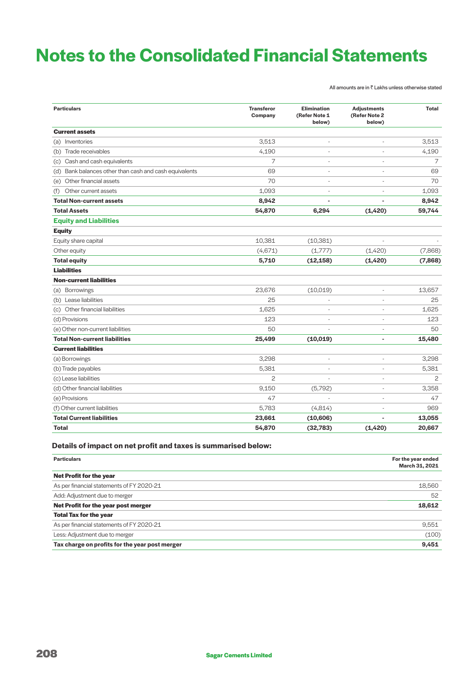All amounts are in  $\bar{\bar{\tau}}$  Lakhs unless otherwise stated

| <b>Particulars</b>                                        | <b>Transferor</b><br>Company | <b>Elimination</b><br>(Refer Note 1<br>below) | <b>Adjustments</b><br>(Refer Note 2<br>below) | <b>Total</b> |
|-----------------------------------------------------------|------------------------------|-----------------------------------------------|-----------------------------------------------|--------------|
| <b>Current assets</b>                                     |                              |                                               |                                               |              |
| Inventories<br>(a)                                        | 3,513                        |                                               |                                               | 3,513        |
| Trade receivables<br>(b)                                  | 4,190                        | $\overline{a}$                                |                                               | 4,190        |
| Cash and cash equivalents<br>(c)                          | 7                            | $\overline{a}$                                |                                               | 7            |
| Bank balances other than cash and cash equivalents<br>(d) | 69                           | $\overline{a}$                                | $\overline{a}$                                | 69           |
| Other financial assets<br>(e)                             | 70                           | $\overline{a}$                                |                                               | 70           |
| Other current assets<br>(f)                               | 1,093                        |                                               |                                               | 1,093        |
| <b>Total Non-current assets</b>                           | 8,942                        |                                               |                                               | 8,942        |
| <b>Total Assets</b>                                       | 54,870                       | 6,294                                         | (1, 420)                                      | 59,744       |
| <b>Equity and Liabilities</b>                             |                              |                                               |                                               |              |
| <b>Equity</b>                                             |                              |                                               |                                               |              |
| Equity share capital                                      | 10,381                       | (10, 381)                                     |                                               |              |
| Other equity                                              | (4,671)                      | (1,777)                                       | (1,420)                                       | (7,868)      |
| <b>Total equity</b>                                       | 5,710                        | (12, 158)                                     | (1, 420)                                      | (7,868)      |
| <b>Liabilities</b>                                        |                              |                                               |                                               |              |
| <b>Non-current liabilities</b>                            |                              |                                               |                                               |              |
| (a) Borrowings                                            | 23,676                       | (10,019)                                      |                                               | 13,657       |
| Lease liabilities<br>(b)                                  | 25                           |                                               |                                               | 25           |
| Other financial liabilities<br>(c)                        | 1,625                        | $\overline{a}$                                |                                               | 1,625        |
| (d) Provisions                                            | 123                          |                                               |                                               | 123          |
| (e) Other non-current liabilities                         | 50                           |                                               |                                               | 50           |
| <b>Total Non-current liabilities</b>                      | 25,499                       | (10, 019)                                     | ٠                                             | 15,480       |
| <b>Current liabilities</b>                                |                              |                                               |                                               |              |
| (a) Borrowings                                            | 3,298                        | $\overline{a}$                                | $\overline{\phantom{a}}$                      | 3,298        |
| (b) Trade payables                                        | 5,381                        | $\overline{a}$                                | $\overline{a}$                                | 5,381        |
| (c) Lease liabilities                                     | $\overline{c}$               |                                               |                                               | 2            |
| (d) Other financial liabilities                           | 9,150                        | (5,792)                                       |                                               | 3,358        |
| (e) Provisions                                            | 47                           |                                               |                                               | 47           |
| (f) Other current liabilities                             | 5,783                        | (4,814)                                       |                                               | 969          |
| <b>Total Current liabilities</b>                          | 23,661                       | (10, 606)                                     |                                               | 13,055       |
| <b>Total</b>                                              | 54,870                       | (32,783)                                      | (1, 420)                                      | 20,667       |

### **Details of impact on net profit and taxes is summarised below:**

| <b>Particulars</b>                             | For the year ended<br>March 31, 2021 |
|------------------------------------------------|--------------------------------------|
| <b>Net Profit for the year</b>                 |                                      |
| As per financial statements of FY 2020-21      | 18,560                               |
| Add: Adjustment due to merger                  | 52                                   |
| Net Profit for the year post merger            | 18,612                               |
| <b>Total Tax for the year</b>                  |                                      |
| As per financial statements of FY 2020-21      | 9,551                                |
| Less: Adjustment due to merger                 | (100)                                |
| Tax charge on profits for the year post merger | 9,451                                |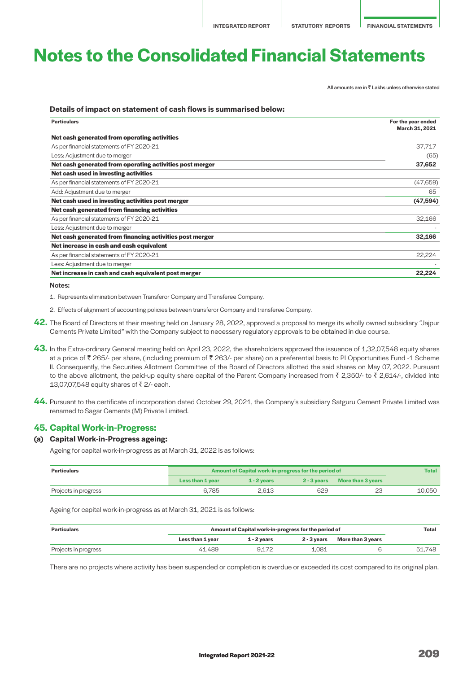All amounts are in  $\bar{z}$  Lakhs unless otherwise stated

#### **Details of impact on statement of cash flows is summarised below:**

| <b>Particulars</b>                                       | For the year ended<br>March 31, 2021 |
|----------------------------------------------------------|--------------------------------------|
| Net cash generated from operating activities             |                                      |
| As per financial statements of FY 2020-21                | 37,717                               |
| Less: Adjustment due to merger                           | (65)                                 |
| Net cash generated from operating activities post merger | 37,652                               |
| Net cash used in investing activities                    |                                      |
| As per financial statements of FY 2020-21                | (47,659)                             |
| Add: Adjustment due to merger                            | 65                                   |
| Net cash used in investing activities post merger        | (47, 594)                            |
| Net cash generated from financing activities             |                                      |
| As per financial statements of FY 2020-21                | 32,166                               |
| Less: Adjustment due to merger                           |                                      |
| Net cash generated from financing activities post merger | 32,166                               |
| Net increase in cash and cash equivalent                 |                                      |
| As per financial statements of FY 2020-21                | 22,224                               |
| Less: Adjustment due to merger                           |                                      |
| Net increase in cash and cash equivalent post merger     | 22,224                               |

#### Notes:

1. Represents elimination between Transferor Company and Transferee Company.

2. Effects of alignment of accounting policies between transferor Company and transferee Company.

**42.** The Board of Directors at their meeting held on January 28, 2022, approved a proposal to merge its wholly owned subsidiary "Jajpur Cements Private Limited" with the Company subject to necessary regulatory approvals to be obtained in due course.

**43.** In the Extra-ordinary General meeting held on April 23, 2022, the shareholders approved the issuance of 1,32,07,548 equity shares at a price of ₹ 265/- per share, (including premium of ₹ 263/- per share) on a preferential basis to PI Opportunities Fund -1 Scheme II. Consequently, the Securities Allotment Committee of the Board of Directors allotted the said shares on May 07, 2022. Pursuant to the above allotment, the paid-up equity share capital of the Parent Company increased from  $\bar{\tau}$  2,350/- to  $\bar{\tau}$  2,614/-, divided into 13,07,07,548 equity shares of ₹2/- each.

**44.** Pursuant to the certificate of incorporation dated October 29, 2021, the Company's subsidiary Satguru Cement Private Limited was renamed to Sagar Cements (M) Private Limited.

#### **45. Capital Work-in-Progress:**

#### **(a) Capital Work-in-Progress ageing:**

Ageing for capital work-in-progress as at March 31, 2022 is as follows:

| <b>Particulars</b>   |                  | Amount of Capital work-in-progress for the period of |               |                   | Total  |
|----------------------|------------------|------------------------------------------------------|---------------|-------------------|--------|
|                      | Less than 1 year | $1 - 2$ vears                                        | $2 - 3$ vears | More than 3 years |        |
| Projects in progress | 6.785            | 2.613                                                | 629           |                   | 10.050 |

Ageing for capital work-in-progress as at March 31, 2021 is as follows:

| <b>Particulars</b>   | Amount of Capital work-in-progress for the period of | Total         |             |                   |        |
|----------------------|------------------------------------------------------|---------------|-------------|-------------------|--------|
|                      | Less than 1 year                                     | $1 - 2$ vears | 2 - 3 years | More than 3 years |        |
| Projects in progress | 41.489                                               | 9.172         | 1.081       |                   | 51.748 |

There are no projects where activity has been suspended or completion is overdue or exceeded its cost compared to its original plan.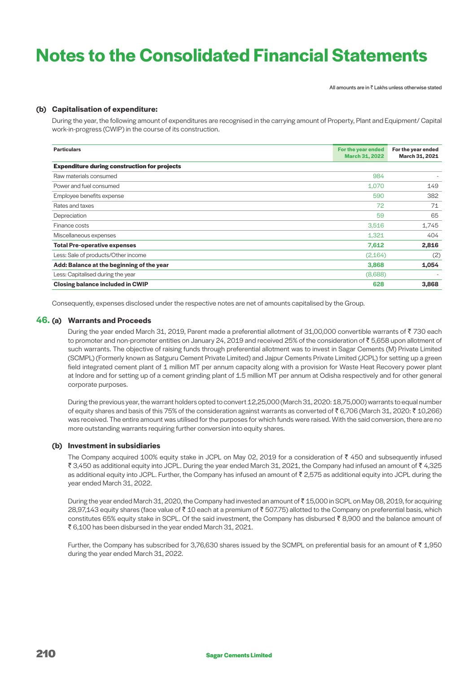All amounts are in  $\bar{z}$  Lakhs unless otherwise stated

#### **(b) Capitalisation of expenditure:**

 During the year, the following amount of expenditures are recognised in the carrying amount of Property, Plant and Equipment/ Capital work-in-progress (CWIP) in the course of its construction.

| <b>Particulars</b>                                  | For the year ended<br><b>March 31, 2022</b> | For the year ended<br>March 31, 2021 |
|-----------------------------------------------------|---------------------------------------------|--------------------------------------|
| <b>Expenditure during construction for projects</b> |                                             |                                      |
| Raw materials consumed                              | 984                                         |                                      |
| Power and fuel consumed                             | 1,070                                       | 149                                  |
| Employee benefits expense                           | 590                                         | 382                                  |
| Rates and taxes                                     | 72                                          | 71                                   |
| Depreciation                                        | 59                                          | 65                                   |
| Finance costs                                       | 3,516                                       | 1,745                                |
| Miscellaneous expenses                              | 1,321                                       | 404                                  |
| <b>Total Pre-operative expenses</b>                 | 7,612                                       | 2,816                                |
| Less: Sale of products/Other income                 | (2, 164)                                    | (2)                                  |
| Add: Balance at the beginning of the year           | 3,868                                       | 1,054                                |
| Less: Capitalised during the year                   | (8,688)                                     |                                      |
| <b>Closing balance included in CWIP</b>             | 628                                         | 3,868                                |

Consequently, expenses disclosed under the respective notes are net of amounts capitalised by the Group.

#### **46. (a) Warrants and Proceeds**

During the year ended March 31, 2019, Parent made a preferential allotment of 31,00,000 convertible warrants of  $\bar{z}$  730 each to promoter and non-promoter entities on January 24, 2019 and received 25% of the consideration of  $\bar{z}$  5,658 upon allotment of such warrants. The objective of raising funds through preferential allotment was to invest in Sagar Cements (M) Private Limited (SCMPL) (Formerly known as Satguru Cement Private Limited) and Jajpur Cements Private Limited (JCPL) for setting up a green field integrated cement plant of 1 million MT per annum capacity along with a provision for Waste Heat Recovery power plant at Indore and for setting up of a cement grinding plant of 1.5 million MT per annum at Odisha respectively and for other general corporate purposes.

 During the previous year, the warrant holders opted to convert 12,25,000 (March 31, 2020: 18,75,000) warrants to equal number of equity shares and basis of this 75% of the consideration against warrants as converted of ₹6,706 (March 31, 2020: ₹10,266) was received. The entire amount was utilised for the purposes for which funds were raised. With the said conversion, there are no more outstanding warrants requiring further conversion into equity shares.

#### **(b) Investment in subsidiaries**

The Company acquired 100% equity stake in JCPL on May 02, 2019 for a consideration of  $\bar{z}$  450 and subsequently infused  $\bar{X}$  3,450 as additional equity into JCPL. During the year ended March 31, 2021, the Company had infused an amount of  $\bar{X}$  4,325 as additional equity into JCPL. Further, the Company has infused an amount of  $\bar{\tau}$  2,575 as additional equity into JCPL during the year ended March 31, 2022.

During the year ended March 31, 2020, the Company had invested an amount of ₹15,000 in SCPL on May 08, 2019, for acquiring 28,97,143 equity shares (face value of  $\bar{\tau}$  10 each at a premium of  $\bar{\tau}$  507.75) allotted to the Company on preferential basis, which constitutes 65% equity stake in SCPL. Of the said investment, the Company has disbursed  $\bar{z}$  8,900 and the balance amount of ₹6,100 has been disbursed in the year ended March 31, 2021.

Further, the Company has subscribed for 3,76,630 shares issued by the SCMPL on preferential basis for an amount of  $\bar{z}$  1,950 during the year ended March 31, 2022.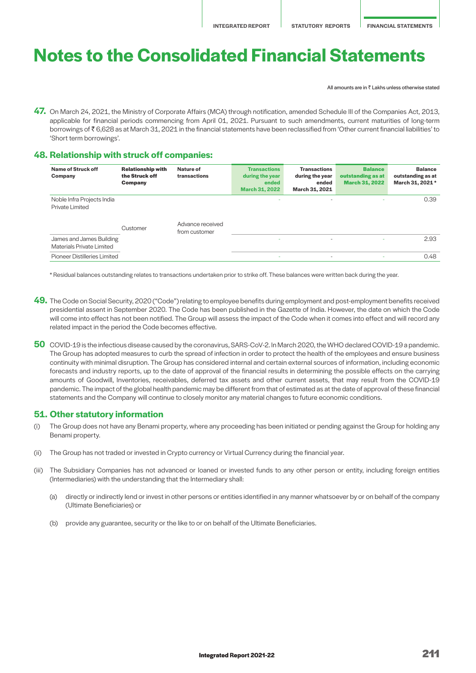All amounts are in  $\bar{z}$  Lakhs unless otherwise stated

**47.** On March 24, 2021, the Ministry of Corporate Affairs (MCA) through notification, amended Schedule III of the Companies Act, 2013, applicable for financial periods commencing from April 01, 2021. Pursuant to such amendments, current maturities of long-term borrowings of ` 6,628 as at March 31, 2021 in the financial statements have been reclassified from 'Other current financial liabilities' to 'Short term borrowings'.

### **48. Relationship with struck off companies:**

| Name of Struck off<br>Company                         | <b>Relationship with</b><br>the Struck off<br>Company | Nature of<br>transactions         | <b>Transactions</b><br>during the year<br>ended<br><b>March 31, 2022</b> | <b>Transactions</b><br>during the year<br>ended<br>March 31, 2021 | <b>Balance</b><br>outstanding as at<br><b>March 31, 2022</b> | <b>Balance</b><br>outstanding as at<br>March 31, 2021* |
|-------------------------------------------------------|-------------------------------------------------------|-----------------------------------|--------------------------------------------------------------------------|-------------------------------------------------------------------|--------------------------------------------------------------|--------------------------------------------------------|
| Noble Infra Projects India<br>Private Limited         |                                                       |                                   | ٠                                                                        | -                                                                 | ۰                                                            | 0.39                                                   |
|                                                       | Customer                                              | Advance received<br>from customer |                                                                          |                                                                   |                                                              |                                                        |
| James and James Building<br>Materials Private Limited |                                                       |                                   | ٠                                                                        | $\sim$                                                            | ٠                                                            | 2.93                                                   |
| Pioneer Distilleries Limited                          |                                                       |                                   | ٠                                                                        | $\sim$                                                            | ٠                                                            | 0.48                                                   |

\* Residual balances outstanding relates to transactions undertaken prior to strike off. These balances were written back during the year.

- **49.** The Code on Social Security, 2020 ("Code") relating to employee benefits during employment and post-employment benefits received presidential assent in September 2020. The Code has been published in the Gazette of India. However, the date on which the Code will come into effect has not been notified. The Group will assess the impact of the Code when it comes into effect and will record any related impact in the period the Code becomes effective.
- **50** COVID-19 is the infectious disease caused by the coronavirus, SARS-CoV-2. In March 2020, the WHO declared COVlD-19 a pandemic. The Group has adopted measures to curb the spread of infection in order to protect the health of the employees and ensure business continuity with minimal disruption. The Group has considered internal and certain external sources of information, including economic forecasts and industry reports, up to the date of approval of the financial results in determining the possible effects on the carrying amounts of Goodwill, Inventories, receivables, deferred tax assets and other current assets, that may result from the COVID-19 pandemic. The impact of the global health pandemic may be different from that of estimated as at the date of approval of these financial statements and the Company will continue to closely monitor any material changes to future economic conditions.

### **51. Other statutory information**

- (i) The Group does not have any Benami property, where any proceeding has been initiated or pending against the Group for holding any Benami property.
- (ii) The Group has not traded or invested in Crypto currency or Virtual Currency during the financial year.
- (iii) The Subsidiary Companies has not advanced or loaned or invested funds to any other person or entity, including foreign entities (Intermediaries) with the understanding that the Intermediary shall:
	- (a) directly or indirectly lend or invest in other persons or entities identified in any manner whatsoever by or on behalf of the company (Ultimate Beneficiaries) or
	- (b) provide any guarantee, security or the like to or on behalf of the Ultimate Beneficiaries.